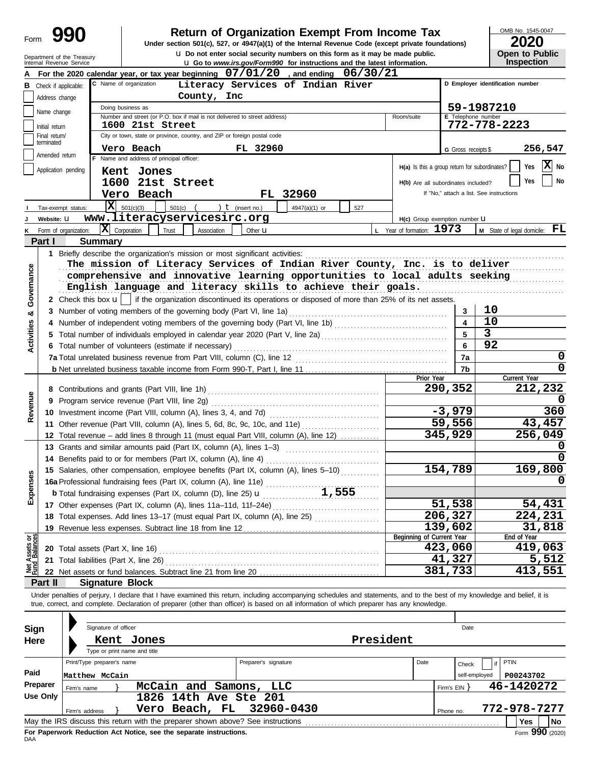| Form                           |                             | 990                        |                                                                                                                                                                                                                                                                                                                                                               | <b>Return of Organization Exempt From Income Tax</b><br>Under section 501(c), 527, or 4947(a)(1) of the Internal Revenue Code (except private foundations) |                           |                                               |                     | OMB No. 1545-0047<br>2020                       |               |
|--------------------------------|-----------------------------|----------------------------|---------------------------------------------------------------------------------------------------------------------------------------------------------------------------------------------------------------------------------------------------------------------------------------------------------------------------------------------------------------|------------------------------------------------------------------------------------------------------------------------------------------------------------|---------------------------|-----------------------------------------------|---------------------|-------------------------------------------------|---------------|
|                                |                             | Department of the Treasury |                                                                                                                                                                                                                                                                                                                                                               | u Do not enter social security numbers on this form as it may be made public.                                                                              |                           |                                               |                     | Open to Public                                  |               |
|                                |                             | Internal Revenue Service   |                                                                                                                                                                                                                                                                                                                                                               | <b>u</b> Go to www.irs.gov/Form990 for instructions and the latest information.                                                                            |                           |                                               |                     | <b>Inspection</b>                               |               |
|                                |                             |                            | For the 2020 calendar year, or tax year beginning 07/01/20, and ending 06/30/21<br>C Name of organization                                                                                                                                                                                                                                                     | Literacy Services of Indian River                                                                                                                          |                           |                                               |                     | D Employer identification number                |               |
| в                              | Address change              | Check if applicable:       | County, Inc.                                                                                                                                                                                                                                                                                                                                                  |                                                                                                                                                            |                           |                                               |                     |                                                 |               |
|                                |                             |                            | Doing business as                                                                                                                                                                                                                                                                                                                                             |                                                                                                                                                            |                           |                                               | 59-1987210          |                                                 |               |
|                                | Name change                 |                            | Number and street (or P.O. box if mail is not delivered to street address)                                                                                                                                                                                                                                                                                    |                                                                                                                                                            | Room/suite                |                                               | E Telephone number  |                                                 |               |
|                                | Initial return              |                            | 1600 21st Street<br>City or town, state or province, country, and ZIP or foreign postal code                                                                                                                                                                                                                                                                  |                                                                                                                                                            |                           |                                               |                     | 772-778-2223                                    |               |
|                                | Final return/<br>terminated |                            |                                                                                                                                                                                                                                                                                                                                                               |                                                                                                                                                            |                           |                                               |                     |                                                 |               |
|                                | Amended return              |                            | Vero Beach<br>F Name and address of principal officer:                                                                                                                                                                                                                                                                                                        | FL 32960                                                                                                                                                   |                           |                                               | G Gross receipts \$ |                                                 | 256,547       |
|                                |                             | Application pending        | Kent Jones                                                                                                                                                                                                                                                                                                                                                    |                                                                                                                                                            |                           | H(a) Is this a group return for subordinates? |                     | Yes                                             | X No          |
|                                |                             |                            | 1600 21st Street                                                                                                                                                                                                                                                                                                                                              |                                                                                                                                                            |                           | H(b) Are all subordinates included?           |                     | Yes                                             | <b>No</b>     |
|                                |                             |                            | Vero Beach                                                                                                                                                                                                                                                                                                                                                    | FL 32960                                                                                                                                                   |                           | If "No," attach a list. See instructions      |                     |                                                 |               |
|                                |                             | IхI<br>Tax-exempt status:  | 501(c)(3)<br>$501(c)$ $($                                                                                                                                                                                                                                                                                                                                     | ) $t$ (insert no.)<br>4947(a)(1) or                                                                                                                        | 527                       |                                               |                     |                                                 |               |
|                                | Website: U                  |                            | www.literacyservicesirc.org                                                                                                                                                                                                                                                                                                                                   |                                                                                                                                                            |                           | H(c) Group exemption number LI                |                     |                                                 |               |
| κ                              |                             | Form of organization:      | $ \mathbf{X} $ Corporation<br>Trust<br>Association                                                                                                                                                                                                                                                                                                            | Other $\mathbf u$                                                                                                                                          | L Year of formation: 1973 |                                               |                     | <b>M</b> State of legal domicile: $\mathbf{FL}$ |               |
|                                | Part I                      | Summary                    |                                                                                                                                                                                                                                                                                                                                                               |                                                                                                                                                            |                           |                                               |                     |                                                 |               |
| Governance                     |                             |                            | The mission of Literacy Services of Indian River County, Inc. is to deliver<br>comprehensive and innovative learning opportunities to local adults seeking<br>English language and literacy skills to achieve their goals.<br>2 Check this box $\mathbf{u}$   if the organization discontinued its operations or disposed of more than 25% of its net assets. |                                                                                                                                                            |                           |                                               |                     |                                                 |               |
| ಯ                              |                             |                            | 3 Number of voting members of the governing body (Part VI, line 1a)                                                                                                                                                                                                                                                                                           |                                                                                                                                                            |                           |                                               | 3                   | 10                                              |               |
|                                |                             |                            |                                                                                                                                                                                                                                                                                                                                                               |                                                                                                                                                            |                           |                                               |                     | 10                                              |               |
| <b>Activities</b>              |                             |                            |                                                                                                                                                                                                                                                                                                                                                               |                                                                                                                                                            |                           |                                               | 3                   |                                                 |               |
|                                |                             |                            | 6 Total number of volunteers (estimate if necessary)                                                                                                                                                                                                                                                                                                          |                                                                                                                                                            |                           |                                               | 6                   | 92                                              |               |
|                                |                             |                            |                                                                                                                                                                                                                                                                                                                                                               |                                                                                                                                                            |                           |                                               | 7a                  |                                                 | 0<br>$\Omega$ |
|                                |                             |                            |                                                                                                                                                                                                                                                                                                                                                               |                                                                                                                                                            |                           | Prior Year                                    | 7b                  | Current Year                                    |               |
|                                |                             |                            |                                                                                                                                                                                                                                                                                                                                                               |                                                                                                                                                            |                           | 290,352                                       |                     |                                                 | 212,232       |
| Revenue                        | 9                           |                            | Program service revenue (Part VIII, line 2g)                                                                                                                                                                                                                                                                                                                  |                                                                                                                                                            |                           |                                               |                     |                                                 |               |
|                                |                             |                            |                                                                                                                                                                                                                                                                                                                                                               |                                                                                                                                                            |                           | $-3,979$                                      |                     |                                                 | 360           |
|                                |                             |                            | 11 Other revenue (Part VIII, column (A), lines 5, 6d, 8c, 9c, 10c, and 11e)                                                                                                                                                                                                                                                                                   |                                                                                                                                                            |                           | 59,556                                        |                     |                                                 | 43,457        |
|                                |                             |                            | 12 Total revenue - add lines 8 through 11 (must equal Part VIII, column (A), line 12)                                                                                                                                                                                                                                                                         |                                                                                                                                                            |                           | 345,929                                       |                     |                                                 | 256,049       |
|                                |                             |                            | 13 Grants and similar amounts paid (Part IX, column (A), lines 1-3)                                                                                                                                                                                                                                                                                           |                                                                                                                                                            |                           |                                               |                     |                                                 | 0             |
|                                |                             |                            | 14 Benefits paid to or for members (Part IX, column (A), line 4)                                                                                                                                                                                                                                                                                              |                                                                                                                                                            |                           |                                               |                     |                                                 | 0             |
|                                |                             |                            | 15 Salaries, other compensation, employee benefits (Part IX, column (A), lines 5-10)                                                                                                                                                                                                                                                                          |                                                                                                                                                            |                           | 154,789                                       |                     |                                                 | 169,800       |
| Expenses                       |                             |                            | 16a Professional fundraising fees (Part IX, column (A), line 11e)                                                                                                                                                                                                                                                                                             | 1,555                                                                                                                                                      |                           |                                               |                     |                                                 | 0             |
|                                |                             |                            | <b>b</b> Total fundraising expenses (Part IX, column (D), line 25) $\mathbf{u}$<br>17 Other expenses (Part IX, column (A), lines 11a-11d, 11f-24e)                                                                                                                                                                                                            |                                                                                                                                                            |                           | 51,538                                        |                     |                                                 | 54,431        |
|                                |                             |                            | 18 Total expenses. Add lines 13-17 (must equal Part IX, column (A), line 25)                                                                                                                                                                                                                                                                                  |                                                                                                                                                            |                           | 206, 327                                      |                     |                                                 | 224,231       |
|                                |                             |                            | 19 Revenue less expenses. Subtract line 18 from line 12                                                                                                                                                                                                                                                                                                       |                                                                                                                                                            |                           | 139,602                                       |                     |                                                 | 31,818        |
| Net Assets or<br>Fund Balances |                             |                            |                                                                                                                                                                                                                                                                                                                                                               |                                                                                                                                                            | Beginning of Current Year |                                               |                     | End of Year                                     |               |
|                                |                             |                            |                                                                                                                                                                                                                                                                                                                                                               |                                                                                                                                                            |                           | 423,060                                       |                     |                                                 | 419,063       |
|                                |                             |                            |                                                                                                                                                                                                                                                                                                                                                               |                                                                                                                                                            |                           | 41,327                                        |                     |                                                 | 5,512         |
|                                |                             |                            |                                                                                                                                                                                                                                                                                                                                                               |                                                                                                                                                            |                           | 381,733                                       |                     |                                                 | 413,551       |
|                                | Part II                     | <b>Signature Block</b>     |                                                                                                                                                                                                                                                                                                                                                               |                                                                                                                                                            |                           |                                               |                     |                                                 |               |
|                                |                             |                            | Under penalties of perjury, I declare that I have examined this return, including accompanying schedules and statements, and to the best of my knowledge and belief, it is<br>true, correct, and complete. Declaration of preparer (other than officer) is based on all information of which preparer has any knowledge.                                      |                                                                                                                                                            |                           |                                               |                     |                                                 |               |
| <b>Sign</b>                    |                             | Signature of officer       |                                                                                                                                                                                                                                                                                                                                                               |                                                                                                                                                            |                           |                                               | Date                |                                                 |               |
| Here                           |                             |                            | Kent Jones                                                                                                                                                                                                                                                                                                                                                    |                                                                                                                                                            | President                 |                                               |                     |                                                 |               |
|                                |                             |                            | Type or print name and title                                                                                                                                                                                                                                                                                                                                  |                                                                                                                                                            |                           |                                               |                     |                                                 |               |
|                                |                             | Print/Type preparer's name |                                                                                                                                                                                                                                                                                                                                                               | Preparer's signature                                                                                                                                       | Date                      |                                               | Check               | PTIN                                            |               |
| Paid                           |                             | Matthew McCain             |                                                                                                                                                                                                                                                                                                                                                               |                                                                                                                                                            |                           |                                               | self-employed       | P00243702                                       |               |
|                                | Preparer                    | Firm's name                | McCain and Samons, LLC                                                                                                                                                                                                                                                                                                                                        |                                                                                                                                                            |                           | Firm's $EIN$ }                                |                     | 46-1420272                                      |               |
|                                | <b>Use Only</b>             |                            | 1826 14th Ave Ste 201                                                                                                                                                                                                                                                                                                                                         |                                                                                                                                                            |                           |                                               |                     |                                                 |               |
|                                |                             | Firm's address             | Vero Beach, FL                                                                                                                                                                                                                                                                                                                                                | 32960-0430                                                                                                                                                 |                           | Phone no.                                     |                     | 772-978-7277                                    |               |
|                                |                             |                            | May the IRS discuss this return with the preparer shown above? See instructions                                                                                                                                                                                                                                                                               |                                                                                                                                                            |                           |                                               |                     | Yes                                             | No            |

| Sign     | Signature of officer                                                            |                      |      | Date          |                    |
|----------|---------------------------------------------------------------------------------|----------------------|------|---------------|--------------------|
| Here     | Kent Jones                                                                      | President            |      |               |                    |
|          | Type or print name and title                                                    |                      |      |               |                    |
|          | Print/Type preparer's name                                                      | Preparer's signature | Date | Check         | PTIN               |
| Paid     | Matthew McCain                                                                  |                      |      | self-employed | P00243702          |
| Preparer | McCain and Samons, LLC<br>Firm's name                                           |                      |      | Firm's EIN Y  | 46-1420272         |
| Use Only | 1826 14th Ave Ste 201                                                           |                      |      |               |                    |
|          | Vero Beach, FL 32960-0430<br>Firm's address                                     |                      |      | Phone no.     | 772-978-7277       |
|          | May the IRS discuss this return with the preparer shown above? See instructions |                      |      |               | l No<br><b>Yes</b> |
|          |                                                                                 |                      |      |               | $\sim$             |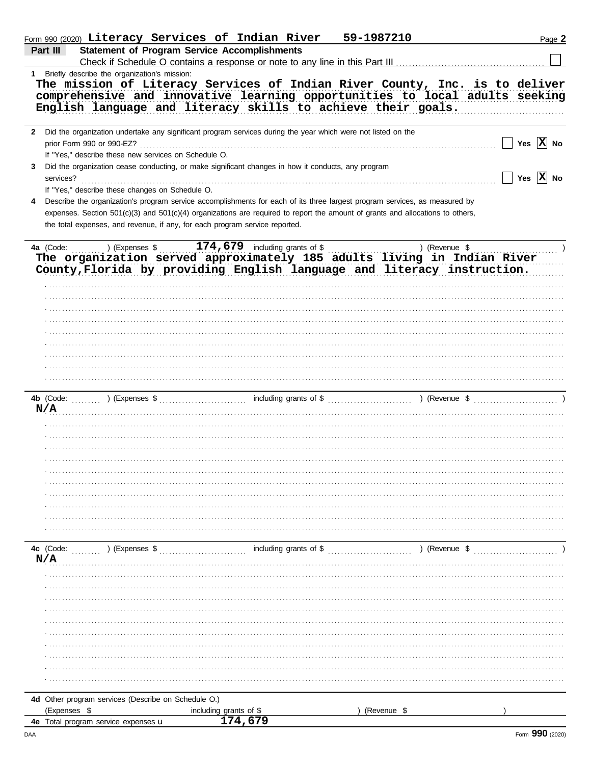|   | Form 990 (2020) Literacy Services of Indian River                                                                              | 59-1987210                              | Page 2                                            |
|---|--------------------------------------------------------------------------------------------------------------------------------|-----------------------------------------|---------------------------------------------------|
|   | Part III<br><b>Statement of Program Service Accomplishments</b>                                                                |                                         |                                                   |
|   | Check if Schedule O contains a response or note to any line in this Part III                                                   |                                         |                                                   |
| 1 | Briefly describe the organization's mission:                                                                                   |                                         |                                                   |
|   | The mission of Literacy Services of Indian River County, Inc. is to deliver                                                    |                                         |                                                   |
|   | comprehensive and innovative learning opportunities to local adults seeking                                                    |                                         |                                                   |
|   | English language and literacy skills to achieve their goals.                                                                   |                                         |                                                   |
|   |                                                                                                                                |                                         |                                                   |
| 2 | Did the organization undertake any significant program services during the year which were not listed on the                   |                                         |                                                   |
|   | prior Form 990 or 990-EZ?                                                                                                      |                                         | Yes $\boxed{\mathbf{X}}$ No                       |
|   | If "Yes," describe these new services on Schedule O.                                                                           |                                         |                                                   |
| 3 | Did the organization cease conducting, or make significant changes in how it conducts, any program                             |                                         |                                                   |
|   | services?                                                                                                                      |                                         | $\boxed{\phantom{1}}$ Yes $\boxed{\textbf{X}}$ No |
|   | If "Yes," describe these changes on Schedule O.                                                                                |                                         |                                                   |
|   |                                                                                                                                |                                         |                                                   |
| 4 | Describe the organization's program service accomplishments for each of its three largest program services, as measured by     |                                         |                                                   |
|   | expenses. Section 501(c)(3) and 501(c)(4) organizations are required to report the amount of grants and allocations to others, |                                         |                                                   |
|   | the total expenses, and revenue, if any, for each program service reported.                                                    |                                         |                                                   |
|   |                                                                                                                                |                                         |                                                   |
|   | 4a (Code: ) (Expenses \$174,679 including grants of \$114,679 including grants of \$11 (Revenue \$11) (Revenue \$11)           |                                         |                                                   |
|   |                                                                                                                                |                                         |                                                   |
|   | County, Florida by providing English language and literacy instruction.                                                        |                                         |                                                   |
|   |                                                                                                                                |                                         |                                                   |
|   |                                                                                                                                |                                         |                                                   |
|   |                                                                                                                                |                                         |                                                   |
|   |                                                                                                                                |                                         |                                                   |
|   |                                                                                                                                |                                         |                                                   |
|   |                                                                                                                                |                                         |                                                   |
|   |                                                                                                                                |                                         |                                                   |
|   |                                                                                                                                |                                         |                                                   |
|   |                                                                                                                                |                                         |                                                   |
|   |                                                                                                                                |                                         |                                                   |
|   |                                                                                                                                |                                         |                                                   |
|   | N/A                                                                                                                            |                                         |                                                   |
|   |                                                                                                                                |                                         |                                                   |
|   |                                                                                                                                |                                         |                                                   |
|   |                                                                                                                                |                                         |                                                   |
|   |                                                                                                                                |                                         |                                                   |
|   |                                                                                                                                |                                         |                                                   |
|   |                                                                                                                                |                                         |                                                   |
|   |                                                                                                                                |                                         |                                                   |
|   |                                                                                                                                |                                         |                                                   |
|   |                                                                                                                                |                                         |                                                   |
|   |                                                                                                                                |                                         |                                                   |
|   |                                                                                                                                |                                         |                                                   |
|   |                                                                                                                                |                                         |                                                   |
|   |                                                                                                                                |                                         |                                                   |
|   | 4c (Code:<br>) (Expenses \$                                                                                                    | including grants of \$<br>) (Revenue \$ |                                                   |
|   | N/A                                                                                                                            |                                         |                                                   |
|   |                                                                                                                                |                                         |                                                   |
|   |                                                                                                                                |                                         |                                                   |
|   |                                                                                                                                |                                         |                                                   |
|   |                                                                                                                                |                                         |                                                   |
|   |                                                                                                                                |                                         |                                                   |
|   |                                                                                                                                |                                         |                                                   |
|   |                                                                                                                                |                                         |                                                   |
|   |                                                                                                                                |                                         |                                                   |
|   |                                                                                                                                |                                         |                                                   |
|   |                                                                                                                                |                                         |                                                   |
|   |                                                                                                                                |                                         |                                                   |
|   |                                                                                                                                |                                         |                                                   |
|   | 4d Other program services (Describe on Schedule O.)                                                                            |                                         |                                                   |
|   | (Expenses \$<br>including grants of \$<br>174,679<br><b>4e</b> Total program service expenses <b>u</b>                         | (Revenue \$                             |                                                   |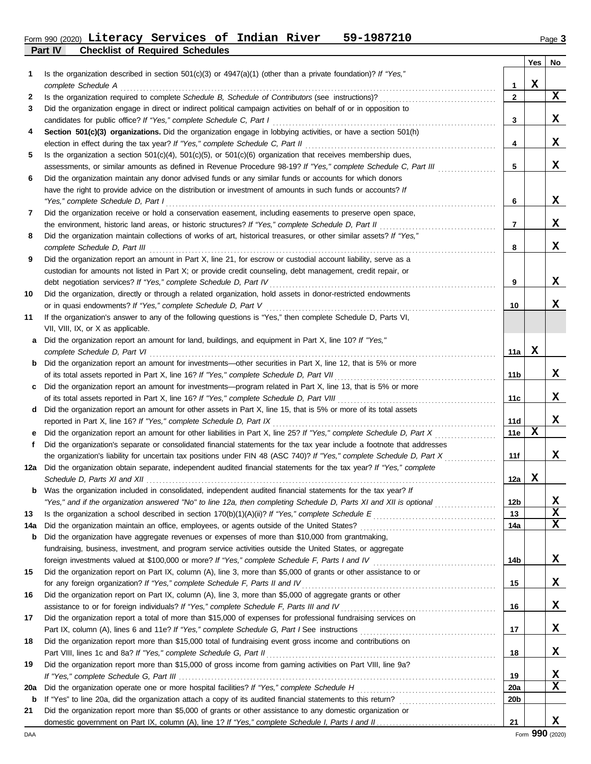# Form 990 (2020) Page **3 Literacy Services of Indian River 59-1987210**

**Part IV Checklist of Required Schedules**

|     |                                                                                                                                                                                                                              |                 | Yes | No |
|-----|------------------------------------------------------------------------------------------------------------------------------------------------------------------------------------------------------------------------------|-----------------|-----|----|
| 1   | Is the organization described in section $501(c)(3)$ or $4947(a)(1)$ (other than a private foundation)? If "Yes,"                                                                                                            | 1               | x   |    |
| 2   | complete Schedule A<br>Is the organization required to complete Schedule B, Schedule of Contributors (see instructions)?                                                                                                     | $\mathbf{2}$    |     | X  |
| 3   | Did the organization engage in direct or indirect political campaign activities on behalf of or in opposition to                                                                                                             |                 |     |    |
|     | candidates for public office? If "Yes," complete Schedule C, Part I                                                                                                                                                          | 3               |     | X. |
| 4   | Section 501(c)(3) organizations. Did the organization engage in lobbying activities, or have a section 501(h)                                                                                                                |                 |     |    |
|     | election in effect during the tax year? If "Yes," complete Schedule C, Part II                                                                                                                                               | 4               |     | X. |
| 5   | Is the organization a section $501(c)(4)$ , $501(c)(5)$ , or $501(c)(6)$ organization that receives membership dues,                                                                                                         |                 |     |    |
|     | assessments, or similar amounts as defined in Revenue Procedure 98-19? If "Yes," complete Schedule C, Part III                                                                                                               | 5               |     | x  |
| 6   | Did the organization maintain any donor advised funds or any similar funds or accounts for which donors                                                                                                                      |                 |     |    |
|     | have the right to provide advice on the distribution or investment of amounts in such funds or accounts? If                                                                                                                  |                 |     |    |
|     | "Yes," complete Schedule D, Part I                                                                                                                                                                                           | 6               |     | X. |
| 7   | Did the organization receive or hold a conservation easement, including easements to preserve open space,                                                                                                                    |                 |     |    |
|     | the environment, historic land areas, or historic structures? If "Yes," complete Schedule D, Part II                                                                                                                         | 7               |     | X. |
| 8   | Did the organization maintain collections of works of art, historical treasures, or other similar assets? If "Yes,"                                                                                                          |                 |     |    |
|     | complete Schedule D, Part III                                                                                                                                                                                                | 8               |     | x  |
| 9   | Did the organization report an amount in Part X, line 21, for escrow or custodial account liability, serve as a                                                                                                              |                 |     |    |
|     | custodian for amounts not listed in Part X; or provide credit counseling, debt management, credit repair, or                                                                                                                 |                 |     |    |
|     | debt negotiation services? If "Yes," complete Schedule D, Part IV                                                                                                                                                            | 9               |     | X. |
| 10  | Did the organization, directly or through a related organization, hold assets in donor-restricted endowments                                                                                                                 |                 |     |    |
|     | or in quasi endowments? If "Yes," complete Schedule D, Part V                                                                                                                                                                | 10              |     | x. |
| 11  | If the organization's answer to any of the following questions is "Yes," then complete Schedule D, Parts VI,                                                                                                                 |                 |     |    |
|     | VII, VIII, IX, or X as applicable.                                                                                                                                                                                           |                 |     |    |
| a   | Did the organization report an amount for land, buildings, and equipment in Part X, line 10? If "Yes,"                                                                                                                       | 11a             | х   |    |
| b   | complete Schedule D, Part VI<br>Did the organization report an amount for investments—other securities in Part X, line 12, that is 5% or more                                                                                |                 |     |    |
|     | of its total assets reported in Part X, line 16? If "Yes," complete Schedule D, Part VII                                                                                                                                     | 11b             |     | X. |
| c   | Did the organization report an amount for investments—program related in Part X, line 13, that is 5% or more                                                                                                                 |                 |     |    |
|     | of its total assets reported in Part X, line 16? If "Yes," complete Schedule D, Part VIII                                                                                                                                    | 11c             |     | X. |
| d   | Did the organization report an amount for other assets in Part X, line 15, that is 5% or more of its total assets                                                                                                            |                 |     |    |
|     | reported in Part X, line 16? If "Yes," complete Schedule D, Part IX                                                                                                                                                          | <b>11d</b>      |     | x  |
| е   | Did the organization report an amount for other liabilities in Part X, line 25? If "Yes," complete Schedule D, Part X                                                                                                        | 11e             | x   |    |
| f   | Did the organization's separate or consolidated financial statements for the tax year include a footnote that addresses                                                                                                      |                 |     |    |
|     | the organization's liability for uncertain tax positions under FIN 48 (ASC 740)? If "Yes," complete Schedule D, Part X                                                                                                       | 11f             |     | X  |
| 12a | Did the organization obtain separate, independent audited financial statements for the tax year? If "Yes," complete                                                                                                          |                 |     |    |
|     |                                                                                                                                                                                                                              | 12a             | x   |    |
|     | <b>b</b> Was the organization included in consolidated, independent audited financial statements for the tax year? If                                                                                                        |                 |     |    |
|     | "Yes," and if the organization answered "No" to line 12a, then completing Schedule D, Parts XI and XII is optional                                                                                                           | 12 <sub>b</sub> |     | X  |
| 13  |                                                                                                                                                                                                                              | 13              |     | X  |
| 14a | Did the organization maintain an office, employees, or agents outside of the United States?                                                                                                                                  | 14a             |     | x  |
| b   | Did the organization have aggregate revenues or expenses of more than \$10,000 from grantmaking,                                                                                                                             |                 |     |    |
|     | fundraising, business, investment, and program service activities outside the United States, or aggregate                                                                                                                    |                 |     |    |
|     | foreign investments valued at \$100,000 or more? If "Yes," complete Schedule F, Parts I and IV [[[[[[[[[[[[[[[                                                                                                               | 14b             |     | X, |
| 15  | Did the organization report on Part IX, column (A), line 3, more than \$5,000 of grants or other assistance to or                                                                                                            |                 |     | X  |
| 16  | for any foreign organization? If "Yes," complete Schedule F, Parts II and IV [[[[[[[[[[[[[[[[[[[[[[[[[[[[[[[[[<br>Did the organization report on Part IX, column (A), line 3, more than \$5,000 of aggregate grants or other | 15              |     |    |
|     | assistance to or for foreign individuals? If "Yes," complete Schedule F, Parts III and IV [[[[[[[[[[[[[[[[[[[                                                                                                                | 16              |     | X. |
| 17  | Did the organization report a total of more than \$15,000 of expenses for professional fundraising services on                                                                                                               |                 |     |    |
|     |                                                                                                                                                                                                                              | 17              |     | X. |
| 18  | Did the organization report more than \$15,000 total of fundraising event gross income and contributions on                                                                                                                  |                 |     |    |
|     | Part VIII, lines 1c and 8a? If "Yes," complete Schedule G, Part II                                                                                                                                                           | 18              |     | X. |
| 19  | Did the organization report more than \$15,000 of gross income from gaming activities on Part VIII, line 9a?                                                                                                                 |                 |     |    |
|     |                                                                                                                                                                                                                              | 19              |     | x  |
| 20a |                                                                                                                                                                                                                              | <b>20a</b>      |     | x  |
| b   |                                                                                                                                                                                                                              | 20 <sub>b</sub> |     |    |
| 21  | Did the organization report more than \$5,000 of grants or other assistance to any domestic organization or                                                                                                                  |                 |     |    |
|     |                                                                                                                                                                                                                              | 21              |     | x  |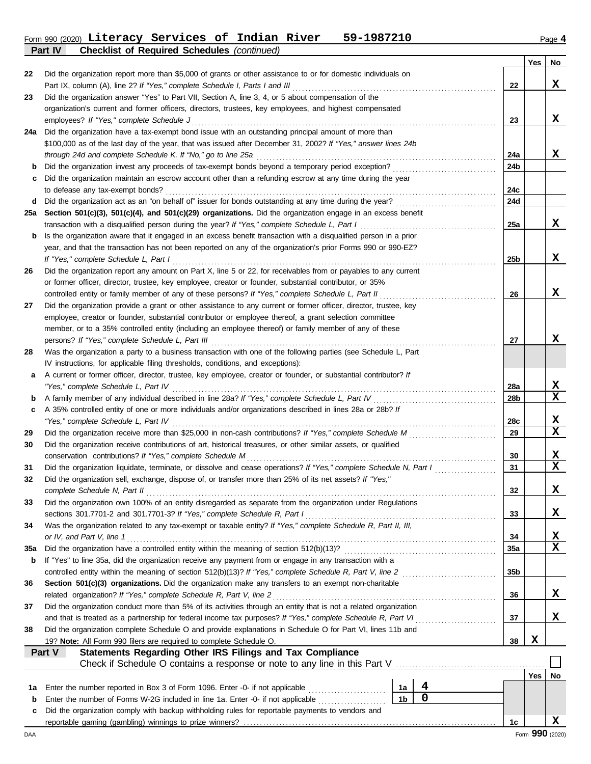#### Form 990 (2020) **Literacy Services of Indian River 59-1987210** Page **4 Literacy Services of Indian River 59-1987210**

**Part IV Checklist of Required Schedules** *(continued)*

|        | $\frac{1}{2}$                                                                                                                                                                                                        |                        | Yes | No               |
|--------|----------------------------------------------------------------------------------------------------------------------------------------------------------------------------------------------------------------------|------------------------|-----|------------------|
| 22     | Did the organization report more than \$5,000 of grants or other assistance to or for domestic individuals on                                                                                                        |                        |     |                  |
|        | Part IX, column (A), line 2? If "Yes," complete Schedule I, Parts I and III                                                                                                                                          | 22                     |     | x                |
| 23     | Did the organization answer "Yes" to Part VII, Section A, line 3, 4, or 5 about compensation of the                                                                                                                  |                        |     |                  |
|        | organization's current and former officers, directors, trustees, key employees, and highest compensated                                                                                                              |                        |     |                  |
|        | employees? If "Yes," complete Schedule J                                                                                                                                                                             | 23                     |     | x                |
| 24a    | Did the organization have a tax-exempt bond issue with an outstanding principal amount of more than                                                                                                                  |                        |     |                  |
|        | \$100,000 as of the last day of the year, that was issued after December 31, 2002? If "Yes," answer lines 24b                                                                                                        |                        |     |                  |
|        | through 24d and complete Schedule K. If "No," go to line 25a                                                                                                                                                         | 24a                    |     | x                |
| b      |                                                                                                                                                                                                                      | 24b                    |     |                  |
| c      | Did the organization maintain an escrow account other than a refunding escrow at any time during the year                                                                                                            |                        |     |                  |
| d      | to defease any tax-exempt bonds?<br>Did the organization act as an "on behalf of" issuer for bonds outstanding at any time during the year?                                                                          | 24c<br>24d             |     |                  |
| 25a    | Section 501(c)(3), 501(c)(4), and 501(c)(29) organizations. Did the organization engage in an excess benefit                                                                                                         |                        |     |                  |
|        | transaction with a disqualified person during the year? If "Yes," complete Schedule L, Part I                                                                                                                        | 25a                    |     | x                |
| b      | Is the organization aware that it engaged in an excess benefit transaction with a disqualified person in a prior                                                                                                     |                        |     |                  |
|        | year, and that the transaction has not been reported on any of the organization's prior Forms 990 or 990-EZ?                                                                                                         |                        |     |                  |
|        | If "Yes," complete Schedule L, Part I                                                                                                                                                                                | 25 <sub>b</sub>        |     | x                |
| 26     | Did the organization report any amount on Part X, line 5 or 22, for receivables from or payables to any current                                                                                                      |                        |     |                  |
|        | or former officer, director, trustee, key employee, creator or founder, substantial contributor, or 35%                                                                                                              |                        |     |                  |
|        | controlled entity or family member of any of these persons? If "Yes," complete Schedule L, Part II                                                                                                                   | 26                     |     | x                |
| 27     | Did the organization provide a grant or other assistance to any current or former officer, director, trustee, key                                                                                                    |                        |     |                  |
|        | employee, creator or founder, substantial contributor or employee thereof, a grant selection committee                                                                                                               |                        |     |                  |
|        | member, or to a 35% controlled entity (including an employee thereof) or family member of any of these                                                                                                               |                        |     |                  |
|        | persons? If "Yes," complete Schedule L, Part III                                                                                                                                                                     | 27                     |     | x                |
| 28     | Was the organization a party to a business transaction with one of the following parties (see Schedule L, Part                                                                                                       |                        |     |                  |
|        | IV instructions, for applicable filing thresholds, conditions, and exceptions):                                                                                                                                      |                        |     |                  |
| а      | A current or former officer, director, trustee, key employee, creator or founder, or substantial contributor? If                                                                                                     |                        |     |                  |
|        | "Yes," complete Schedule L, Part IV<br>A family member of any individual described in line 28a? If "Yes," complete Schedule L, Part IV                                                                               | 28a<br>28 <sub>b</sub> |     | X<br>$\mathbf x$ |
| b<br>c | A 35% controlled entity of one or more individuals and/or organizations described in lines 28a or 28b? If                                                                                                            |                        |     |                  |
|        | "Yes," complete Schedule L, Part IV                                                                                                                                                                                  | 28c                    |     | x                |
| 29     | Did the organization receive more than \$25,000 in non-cash contributions? If "Yes," complete Schedule M                                                                                                             | 29                     |     | $\mathbf x$      |
| 30     | Did the organization receive contributions of art, historical treasures, or other similar assets, or qualified                                                                                                       |                        |     |                  |
|        | conservation contributions? If "Yes," complete Schedule M                                                                                                                                                            | 30                     |     | X                |
| 31     | Did the organization liquidate, terminate, or dissolve and cease operations? If "Yes," complete Schedule N, Part I                                                                                                   | 31                     |     | $\mathbf x$      |
| 32     | Did the organization sell, exchange, dispose of, or transfer more than 25% of its net assets? If "Yes,"                                                                                                              |                        |     |                  |
|        | complete Schedule N, Part II                                                                                                                                                                                         | 32                     |     | X                |
| 33     | Did the organization own 100% of an entity disregarded as separate from the organization under Regulations                                                                                                           |                        |     |                  |
|        | sections 301.7701-2 and 301.7701-3? If "Yes," complete Schedule R, Part I                                                                                                                                            | 33                     |     | X                |
| 34     | Was the organization related to any tax-exempt or taxable entity? If "Yes," complete Schedule R, Part II, III,                                                                                                       |                        |     |                  |
|        | or IV, and Part V, line 1                                                                                                                                                                                            | 34                     |     | X                |
| 35a    | Did the organization have a controlled entity within the meaning of section 512(b)(13)?                                                                                                                              | 35a                    |     | $\mathbf x$      |
| b      | If "Yes" to line 35a, did the organization receive any payment from or engage in any transaction with a<br>controlled entity within the meaning of section 512(b)(13)? If "Yes," complete Schedule R, Part V, line 2 | 35b                    |     |                  |
| 36     | Section 501(c)(3) organizations. Did the organization make any transfers to an exempt non-charitable                                                                                                                 |                        |     |                  |
|        | related organization? If "Yes," complete Schedule R, Part V, line 2                                                                                                                                                  | 36                     |     | x                |
| 37     | Did the organization conduct more than 5% of its activities through an entity that is not a related organization                                                                                                     |                        |     |                  |
|        | and that is treated as a partnership for federal income tax purposes? If "Yes," complete Schedule R, Part VI                                                                                                         | 37                     |     | X                |
| 38     | Did the organization complete Schedule O and provide explanations in Schedule O for Part VI, lines 11b and                                                                                                           |                        |     |                  |
|        | 19? Note: All Form 990 filers are required to complete Schedule O.                                                                                                                                                   | 38                     | X   |                  |
|        | Statements Regarding Other IRS Filings and Tax Compliance<br>Part V                                                                                                                                                  |                        |     |                  |
|        | Check if Schedule O contains a response or note to any line in this Part V                                                                                                                                           |                        |     |                  |
|        |                                                                                                                                                                                                                      |                        | Yes | No               |
| 1a     | 4<br>Enter the number reported in Box 3 of Form 1096. Enter -0- if not applicable<br>1a                                                                                                                              |                        |     |                  |
| b      | $\mathbf 0$<br>1 <sub>b</sub><br>Enter the number of Forms W-2G included in line 1a. Enter -0- if not applicable                                                                                                     |                        |     |                  |
| c      | Did the organization comply with backup withholding rules for reportable payments to vendors and                                                                                                                     |                        |     |                  |
|        |                                                                                                                                                                                                                      | 1c                     |     | x                |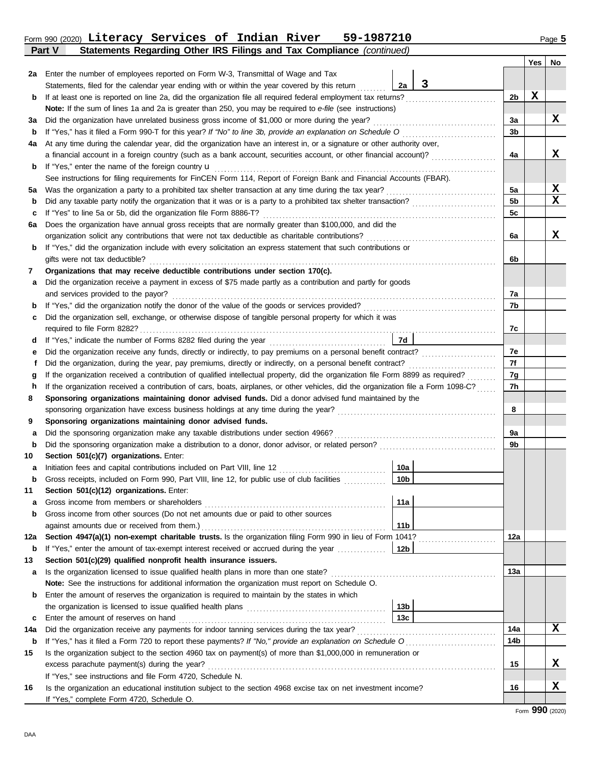## **Part V Statements Regarding Other IRS Filings and Tax Compliance** *(continued)* Form 990 (2020) Page **5 Literacy Services of Indian River 59-1987210**

|     |                                                                                                                                                                             |                 |   |                      | Yes | No |
|-----|-----------------------------------------------------------------------------------------------------------------------------------------------------------------------------|-----------------|---|----------------------|-----|----|
| 2a  | Enter the number of employees reported on Form W-3, Transmittal of Wage and Tax                                                                                             |                 |   |                      |     |    |
|     | Statements, filed for the calendar year ending with or within the year covered by this return                                                                               | 2a              | 3 |                      |     |    |
| b   | If at least one is reported on line 2a, did the organization file all required federal employment tax returns?                                                              |                 |   | 2b                   | X   |    |
|     | Note: If the sum of lines 1a and 2a is greater than 250, you may be required to e-file (see instructions)                                                                   |                 |   |                      |     |    |
| За  | Did the organization have unrelated business gross income of \$1,000 or more during the year?                                                                               |                 |   | За                   |     | x  |
| b   |                                                                                                                                                                             |                 |   | 3b                   |     |    |
| 4a  | At any time during the calendar year, did the organization have an interest in, or a signature or other authority over,                                                     |                 |   |                      |     |    |
|     | a financial account in a foreign country (such as a bank account, securities account, or other financial account)?                                                          |                 |   | 4a                   |     | х  |
| b   | If "Yes," enter the name of the foreign country <b>u</b>                                                                                                                    |                 |   |                      |     |    |
|     | See instructions for filing requirements for FinCEN Form 114, Report of Foreign Bank and Financial Accounts (FBAR).                                                         |                 |   |                      |     |    |
| 5a  | Was the organization a party to a prohibited tax shelter transaction at any time during the tax year?                                                                       |                 |   | 5a<br>5 <sub>b</sub> |     | x  |
| b   |                                                                                                                                                                             |                 |   |                      |     | X  |
| c   | If "Yes" to line 5a or 5b, did the organization file Form 8886-T?<br>Does the organization have annual gross receipts that are normally greater than \$100,000, and did the |                 |   | 5c                   |     |    |
| 6a  | organization solicit any contributions that were not tax deductible as charitable contributions?                                                                            |                 |   | 6a                   |     | x  |
| b   | If "Yes," did the organization include with every solicitation an express statement that such contributions or                                                              |                 |   |                      |     |    |
|     | gifts were not tax deductible?                                                                                                                                              |                 |   | 6b                   |     |    |
| 7   | Organizations that may receive deductible contributions under section 170(c).                                                                                               |                 |   |                      |     |    |
| а   | Did the organization receive a payment in excess of \$75 made partly as a contribution and partly for goods                                                                 |                 |   |                      |     |    |
|     | and services provided to the payor?                                                                                                                                         |                 |   | 7a                   |     |    |
| b   |                                                                                                                                                                             |                 |   | 7b                   |     |    |
| c   | Did the organization sell, exchange, or otherwise dispose of tangible personal property for which it was                                                                    |                 |   |                      |     |    |
|     |                                                                                                                                                                             |                 |   | 7c                   |     |    |
| a   | If "Yes," indicate the number of Forms 8282 filed during the year                                                                                                           | 7d              |   |                      |     |    |
| е   | Did the organization receive any funds, directly or indirectly, to pay premiums on a personal benefit contract?                                                             |                 |   | 7e<br>7f             |     |    |
| f   | Did the organization, during the year, pay premiums, directly or indirectly, on a personal benefit contract?                                                                |                 |   |                      |     |    |
| g   | If the organization received a contribution of qualified intellectual property, did the organization file Form 8899 as required?                                            |                 |   | 7g<br>7h             |     |    |
| h   | If the organization received a contribution of cars, boats, airplanes, or other vehicles, did the organization file a Form 1098-C?                                          |                 |   |                      |     |    |
| 8   | Sponsoring organizations maintaining donor advised funds. Did a donor advised fund maintained by the                                                                        |                 |   |                      |     |    |
| 9   | sponsoring organization have excess business holdings at any time during the year?<br>Sponsoring organizations maintaining donor advised funds.                             |                 |   | 8                    |     |    |
| а   | Did the sponsoring organization make any taxable distributions under section 4966?                                                                                          |                 |   | 9a                   |     |    |
| b   |                                                                                                                                                                             |                 |   | 9b                   |     |    |
| 10  | Section 501(c)(7) organizations. Enter:                                                                                                                                     |                 |   |                      |     |    |
| а   | Initiation fees and capital contributions included on Part VIII, line 12                                                                                                    | 10a             |   |                      |     |    |
| b   | Gross receipts, included on Form 990, Part VIII, line 12, for public use of club facilities                                                                                 | 10 <sub>b</sub> |   |                      |     |    |
| 11  | Section 501(c)(12) organizations. Enter:                                                                                                                                    |                 |   |                      |     |    |
| а   | Gross income from members or shareholders                                                                                                                                   | 11a             |   |                      |     |    |
| b   | Gross income from other sources (Do not net amounts due or paid to other sources                                                                                            |                 |   |                      |     |    |
|     | against amounts due or received from them.)                                                                                                                                 | 11 <sub>b</sub> |   |                      |     |    |
| 12a | Section 4947(a)(1) non-exempt charitable trusts. Is the organization filing Form 990 in lieu of Form 1041?                                                                  |                 |   | 12a                  |     |    |
| b   | If "Yes," enter the amount of tax-exempt interest received or accrued during the year                                                                                       | 12b             |   |                      |     |    |
| 13  | Section 501(c)(29) qualified nonprofit health insurance issuers.                                                                                                            |                 |   |                      |     |    |
| а   | Is the organization licensed to issue qualified health plans in more than one state?                                                                                        |                 |   | 13а                  |     |    |
|     | Note: See the instructions for additional information the organization must report on Schedule O.                                                                           |                 |   |                      |     |    |
| b   | Enter the amount of reserves the organization is required to maintain by the states in which                                                                                | 13b             |   |                      |     |    |
| c   | Enter the amount of reserves on hand                                                                                                                                        | 13с             |   |                      |     |    |
| 14a |                                                                                                                                                                             |                 |   | 14a                  |     | x  |
| b   |                                                                                                                                                                             |                 |   | 14b                  |     |    |
| 15  | Is the organization subject to the section 4960 tax on payment(s) of more than \$1,000,000 in remuneration or                                                               |                 |   |                      |     |    |
|     | excess parachute payment(s) during the year?                                                                                                                                |                 |   | 15                   |     | x  |
|     | If "Yes," see instructions and file Form 4720, Schedule N.                                                                                                                  |                 |   |                      |     |    |
| 16  | Is the organization an educational institution subject to the section 4968 excise tax on net investment income?                                                             |                 |   | 16                   |     | X  |
|     | If "Yes," complete Form 4720, Schedule O.                                                                                                                                   |                 |   |                      |     |    |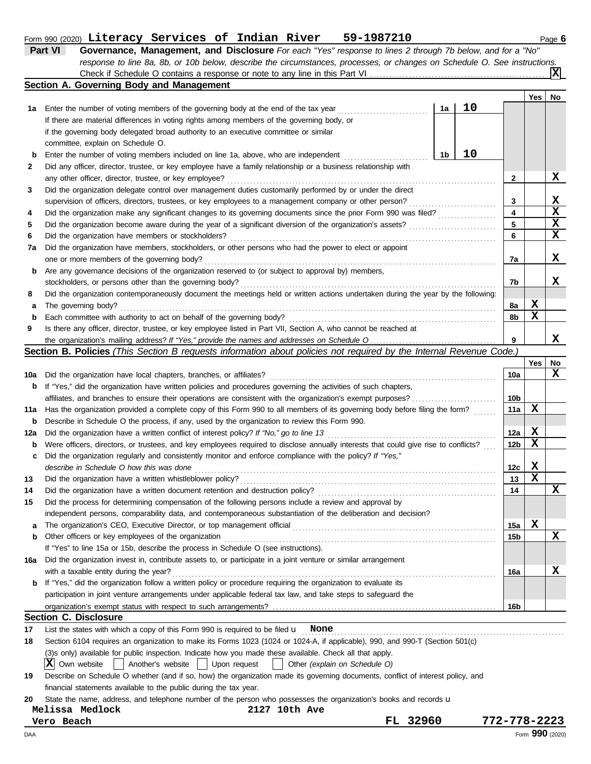## Form 990 (2020) Page **6 Literacy Services of Indian River 59-1987210**

| Part VI                                  | Governance, Management, and Disclosure For each "Yes" response to lines 2 through 7b below, and for a "No"                |  |  |  |  |  |
|------------------------------------------|---------------------------------------------------------------------------------------------------------------------------|--|--|--|--|--|
|                                          | response to line 8a, 8b, or 10b below, describe the circumstances, processes, or changes on Schedule O. See instructions. |  |  |  |  |  |
|                                          | $\sqrt{\mathbf{x}}$                                                                                                       |  |  |  |  |  |
| Section A. Governing Body and Management |                                                                                                                           |  |  |  |  |  |

|     |                                                                                                                                                          |    |    |                         | Yes         | No |
|-----|----------------------------------------------------------------------------------------------------------------------------------------------------------|----|----|-------------------------|-------------|----|
| 1а  | Enter the number of voting members of the governing body at the end of the tax year                                                                      | 1a | 10 |                         |             |    |
|     | If there are material differences in voting rights among members of the governing body, or                                                               |    |    |                         |             |    |
|     | if the governing body delegated broad authority to an executive committee or similar                                                                     |    |    |                         |             |    |
|     | committee, explain on Schedule O.                                                                                                                        |    |    |                         |             |    |
| b   | Enter the number of voting members included on line 1a, above, who are independent                                                                       | 1b | 10 |                         |             |    |
| 2   | Did any officer, director, trustee, or key employee have a family relationship or a business relationship with                                           |    |    |                         |             |    |
|     | any other officer, director, trustee, or key employee?                                                                                                   |    |    | 2                       |             | x  |
| 3   | Did the organization delegate control over management duties customarily performed by or under the direct                                                |    |    |                         |             |    |
|     | supervision of officers, directors, trustees, or key employees to a management company or other person?                                                  |    |    | 3                       |             | X  |
| 4   | Did the organization make any significant changes to its governing documents since the prior Form 990 was filed?                                         |    |    | $\overline{\mathbf{4}}$ |             | X  |
| 5   |                                                                                                                                                          |    |    | 5                       |             | X  |
| 6   | Did the organization have members or stockholders?                                                                                                       |    |    | 6                       |             | x  |
| 7a  | Did the organization have members, stockholders, or other persons who had the power to elect or appoint                                                  |    |    |                         |             |    |
|     | one or more members of the governing body?                                                                                                               |    |    | 7a                      |             | x  |
| b   | Are any governance decisions of the organization reserved to (or subject to approval by) members,                                                        |    |    |                         |             |    |
|     | stockholders, or persons other than the governing body?                                                                                                  |    |    | 7b                      |             | x  |
| 8   | Did the organization contemporaneously document the meetings held or written actions undertaken during the year by the following:                        |    |    |                         |             |    |
| а   | The governing body?                                                                                                                                      |    |    | 8a                      | х           |    |
| b   | Each committee with authority to act on behalf of the governing body?                                                                                    |    |    | 8b                      | X           |    |
| 9   | Is there any officer, director, trustee, or key employee listed in Part VII, Section A, who cannot be reached at                                         |    |    |                         |             |    |
|     |                                                                                                                                                          |    |    | 9                       |             | x  |
|     | Section B. Policies (This Section B requests information about policies not required by the Internal Revenue Code.)                                      |    |    |                         |             |    |
|     |                                                                                                                                                          |    |    |                         | Yes         | No |
| 10a | Did the organization have local chapters, branches, or affiliates?                                                                                       |    |    | 10a                     |             | x  |
| b   | If "Yes," did the organization have written policies and procedures governing the activities of such chapters,                                           |    |    |                         |             |    |
|     | affiliates, and branches to ensure their operations are consistent with the organization's exempt purposes?                                              |    |    | 10b                     |             |    |
| 11a | Has the organization provided a complete copy of this Form 990 to all members of its governing body before filing the form?                              |    |    | 11a                     | X           |    |
| b   | Describe in Schedule O the process, if any, used by the organization to review this Form 990.                                                            |    |    |                         |             |    |
| 12a |                                                                                                                                                          |    |    | 12a                     | X           |    |
| b   | Were officers, directors, or trustees, and key employees required to disclose annually interests that could give rise to conflicts?                      |    |    | 12 <sub>b</sub>         | X           |    |
| c   | Did the organization regularly and consistently monitor and enforce compliance with the policy? If "Yes,"                                                |    |    |                         |             |    |
|     | describe in Schedule O how this was done                                                                                                                 |    |    | 12c                     | X           |    |
| 13  | Did the organization have a written whistleblower policy?                                                                                                |    |    | 13                      | X           |    |
| 14  | Did the organization have a written document retention and destruction policy?                                                                           |    |    | 14                      |             | x  |
| 15  | Did the process for determining compensation of the following persons include a review and approval by                                                   |    |    |                         |             |    |
|     | independent persons, comparability data, and contemporaneous substantiation of the deliberation and decision?                                            |    |    |                         | $\mathbf x$ |    |
|     |                                                                                                                                                          |    |    | 15a                     |             |    |
|     | Other officers or key employees of the organization                                                                                                      |    |    | 15b                     |             | х  |
|     | If "Yes" to line 15a or 15b, describe the process in Schedule O (see instructions).                                                                      |    |    |                         |             |    |
| 16a | Did the organization invest in, contribute assets to, or participate in a joint venture or similar arrangement<br>with a taxable entity during the year? |    |    |                         |             | x  |
|     | If "Yes," did the organization follow a written policy or procedure requiring the organization to evaluate its                                           |    |    | 16a                     |             |    |
|     | participation in joint venture arrangements under applicable federal tax law, and take steps to safeguard the                                            |    |    |                         |             |    |
|     |                                                                                                                                                          |    |    | 16b                     |             |    |
|     | <b>Section C. Disclosure</b>                                                                                                                             |    |    |                         |             |    |
| 17  | List the states with which a copy of this Form 990 is required to be filed $\mathbf u$ None                                                              |    |    |                         |             |    |
| 18  | Section 6104 requires an organization to make its Forms 1023 (1024 or 1024-A, if applicable), 990, and 990-T (Section 501(c)                             |    |    |                         |             |    |
|     | (3)s only) available for public inspection. Indicate how you made these available. Check all that apply.                                                 |    |    |                         |             |    |
|     | ΙXΙ<br>Own website<br>Another's website<br>Upon request<br>Other (explain on Schedule O)                                                                 |    |    |                         |             |    |
| 19  | Describe on Schedule O whether (and if so, how) the organization made its governing documents, conflict of interest policy, and                          |    |    |                         |             |    |
|     | financial statements available to the public during the tax year.                                                                                        |    |    |                         |             |    |
| 20  | State the name, address, and telephone number of the person who possesses the organization's books and records u                                         |    |    |                         |             |    |
|     | Melissa Medlock<br>2127 10th Ave                                                                                                                         |    |    |                         |             |    |
|     | FL 32960<br>Vero Beach                                                                                                                                   |    |    | 772-778-2223            |             |    |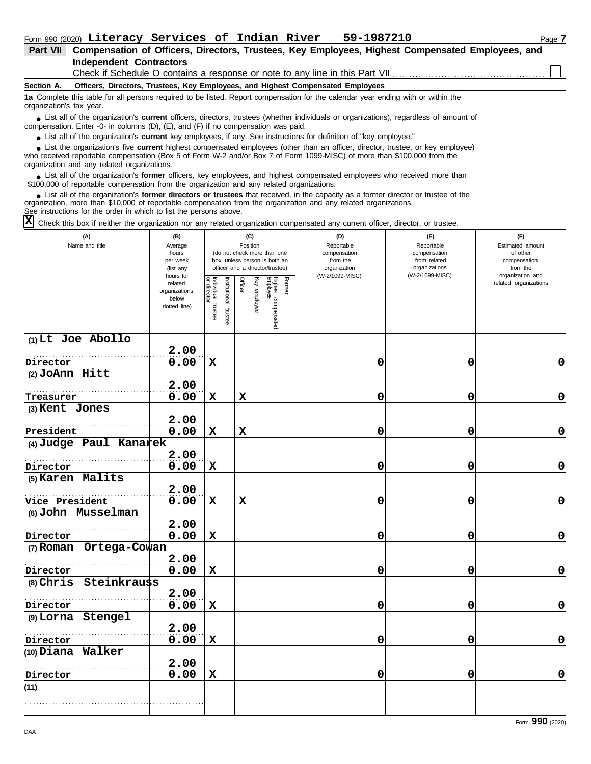|                          | Form 990 (2020) Literacy Services of Indian River<br>59-1987210                                                                                                                                                             | Page 7 |
|--------------------------|-----------------------------------------------------------------------------------------------------------------------------------------------------------------------------------------------------------------------------|--------|
| <b>Part VII</b>          | Compensation of Officers, Directors, Trustees, Key Employees, Highest Compensated Employees, and                                                                                                                            |        |
|                          | <b>Independent Contractors</b>                                                                                                                                                                                              |        |
|                          | Check if Schedule O contains a response or note to any line in this Part VII                                                                                                                                                |        |
| Section A.               | Officers, Directors, Trustees, Key Employees, and Highest Compensated Employees                                                                                                                                             |        |
| organization's tax year. | 1a Complete this table for all persons required to be listed. Report compensation for the calendar year ending with or within the                                                                                           |        |
|                          | • List all of the organization's current officers, directors, trustees (whether individuals or organizations), regardless of amount of<br>compensation. Enter -0- in columns (D), (E), and (F) if no compensation was paid. |        |

● List all of the organization's **current** key employees, if any. See instructions for definition of "key employee."

who received reportable compensation (Box 5 of Form W-2 and/or Box 7 of Form 1099-MISC) of more than \$100,000 from the organization and any related organizations. ■ List the organization's five **current** highest compensated employees (other than an officer, director, trustee, or key employee)<br> **•** Preceived reportable compensation (Box 5 of Form W.2 and/or Box 7 of Form 1000 MISC)

■ List all of the organization's **former** officers, key employees, and highest compensated employees who received more than<br> **•** 00,000 of reportable compensation from the ergonization and any related ergonizations \$100,000 of reportable compensation from the organization and any related organizations.

List all of the organization's **former directors or trustees** that received, in the capacity as a former director or trustee of the organization, more than \$10,000 of reportable compensation from the organization and any related organizations. See instructions for the order in which to list the persons above. **•**

 $\overline{X}$  Check this box if neither the organization nor any related organization compensated any current officer, director, or trustee.

| (A)<br>Name and title      | (B)<br>Average<br>hours<br>per week<br>(list any<br>hours for |                                      |                      | (C)<br>Position |              | (do not check more than one<br>box, unless person is both an<br>officer and a director/trustee) |        | (D)<br>Reportable<br>compensation<br>from the<br>organization<br>(W-2/1099-MISC) | (E)<br>Reportable<br>compensation<br>from related<br>organizations<br>(W-2/1099-MISC) | (F)<br>Estimated amount<br>of other<br>compensation<br>from the<br>organization and |
|----------------------------|---------------------------------------------------------------|--------------------------------------|----------------------|-----------------|--------------|-------------------------------------------------------------------------------------------------|--------|----------------------------------------------------------------------------------|---------------------------------------------------------------------------------------|-------------------------------------------------------------------------------------|
|                            | related<br>organizations<br>below<br>dotted line)             | Individual<br>or director<br>trustee | nstitutional trustee | Officer         | Key employee | Highest compensated<br>employee                                                                 | Former |                                                                                  |                                                                                       | related organizations                                                               |
| $(1)$ Lt Joe Abollo        | 2.00                                                          |                                      |                      |                 |              |                                                                                                 |        |                                                                                  |                                                                                       |                                                                                     |
| Director                   | 0.00                                                          | $\mathbf x$                          |                      |                 |              |                                                                                                 |        | 0                                                                                | $\mathbf 0$                                                                           | 0                                                                                   |
| $(2)$ JoAnn Hitt           |                                                               |                                      |                      |                 |              |                                                                                                 |        |                                                                                  |                                                                                       |                                                                                     |
|                            | 2.00                                                          |                                      |                      |                 |              |                                                                                                 |        |                                                                                  |                                                                                       |                                                                                     |
| Treasurer                  | 0.00                                                          | $\mathbf x$                          |                      | $\mathbf x$     |              |                                                                                                 |        | 0                                                                                | 0                                                                                     | $\mathbf 0$                                                                         |
| (3) Kent Jones             |                                                               |                                      |                      |                 |              |                                                                                                 |        |                                                                                  |                                                                                       |                                                                                     |
|                            | 2.00                                                          |                                      |                      |                 |              |                                                                                                 |        |                                                                                  |                                                                                       |                                                                                     |
| President                  | 0.00                                                          | $\mathbf x$                          |                      | $\mathbf x$     |              |                                                                                                 |        | 0                                                                                | 0                                                                                     | $\mathbf 0$                                                                         |
| (4) Judge Paul Kanarek     |                                                               |                                      |                      |                 |              |                                                                                                 |        |                                                                                  |                                                                                       |                                                                                     |
| Director                   | 2.00<br>0.00                                                  | $\mathbf x$                          |                      |                 |              |                                                                                                 |        | 0                                                                                | 0                                                                                     | $\mathbf 0$                                                                         |
| (5) Karen Malits           |                                                               |                                      |                      |                 |              |                                                                                                 |        |                                                                                  |                                                                                       |                                                                                     |
|                            | 2.00                                                          |                                      |                      |                 |              |                                                                                                 |        |                                                                                  |                                                                                       |                                                                                     |
| Vice President             | 0.00                                                          | $\mathbf x$                          |                      | $\mathbf x$     |              |                                                                                                 |        | 0                                                                                | 0                                                                                     | $\mathbf 0$                                                                         |
| (6) John Musselman         |                                                               |                                      |                      |                 |              |                                                                                                 |        |                                                                                  |                                                                                       |                                                                                     |
|                            | 2.00                                                          |                                      |                      |                 |              |                                                                                                 |        |                                                                                  |                                                                                       |                                                                                     |
| Director                   | 0.00                                                          | $\mathbf x$                          |                      |                 |              |                                                                                                 |        | 0                                                                                | 0                                                                                     | $\mathbf 0$                                                                         |
| (7) Roman Ortega-Cowan     |                                                               |                                      |                      |                 |              |                                                                                                 |        |                                                                                  |                                                                                       |                                                                                     |
|                            | 2.00                                                          |                                      |                      |                 |              |                                                                                                 |        |                                                                                  |                                                                                       |                                                                                     |
| Director                   | 0.00                                                          | $\mathbf x$                          |                      |                 |              |                                                                                                 |        | 0                                                                                | 0                                                                                     | $\mathbf 0$                                                                         |
| Steinkrauss<br>$(8)$ Chris |                                                               |                                      |                      |                 |              |                                                                                                 |        |                                                                                  |                                                                                       |                                                                                     |
| Director                   | 2.00<br>0.00                                                  | $\mathbf x$                          |                      |                 |              |                                                                                                 |        | 0                                                                                | 0                                                                                     | $\mathbf 0$                                                                         |
| (9) Lorna Stengel          |                                                               |                                      |                      |                 |              |                                                                                                 |        |                                                                                  |                                                                                       |                                                                                     |
|                            | 2.00                                                          |                                      |                      |                 |              |                                                                                                 |        |                                                                                  |                                                                                       |                                                                                     |
| Director                   | 0.00                                                          | $\mathbf x$                          |                      |                 |              |                                                                                                 |        | 0                                                                                | 0                                                                                     | 0                                                                                   |
| (10) Diana Walker          |                                                               |                                      |                      |                 |              |                                                                                                 |        |                                                                                  |                                                                                       |                                                                                     |
|                            | 2.00                                                          |                                      |                      |                 |              |                                                                                                 |        |                                                                                  |                                                                                       |                                                                                     |
| Director                   | 0.00                                                          | $\mathbf x$                          |                      |                 |              |                                                                                                 |        | 0                                                                                | 0                                                                                     | $\mathbf 0$                                                                         |
| (11)                       |                                                               |                                      |                      |                 |              |                                                                                                 |        |                                                                                  |                                                                                       |                                                                                     |
|                            |                                                               |                                      |                      |                 |              |                                                                                                 |        |                                                                                  |                                                                                       |                                                                                     |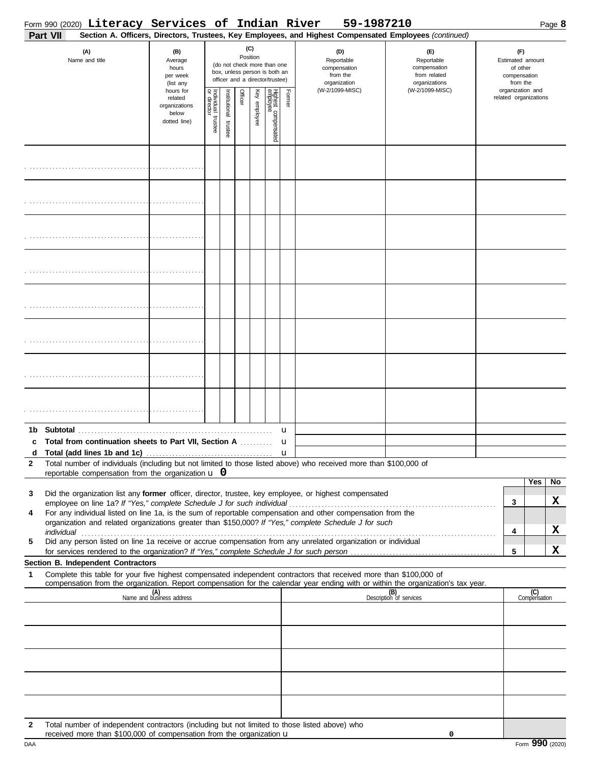|                   | Form 990 (2020) Literacy Services of Indian River                                                                                                                                                                                                                                                                                                                                                                                                     |                                                                |                         |                      |          |              |                                                                                                 |        | 59-1987210                                                                                                                                                              |                                                                    |  |                                                                 |                       | Page 8  |
|-------------------|-------------------------------------------------------------------------------------------------------------------------------------------------------------------------------------------------------------------------------------------------------------------------------------------------------------------------------------------------------------------------------------------------------------------------------------------------------|----------------------------------------------------------------|-------------------------|----------------------|----------|--------------|-------------------------------------------------------------------------------------------------|--------|-------------------------------------------------------------------------------------------------------------------------------------------------------------------------|--------------------------------------------------------------------|--|-----------------------------------------------------------------|-----------------------|---------|
|                   | Part VII<br>(A)<br>Name and title                                                                                                                                                                                                                                                                                                                                                                                                                     | (B)<br>Average<br>hours<br>per week<br>(list any               |                         |                      | Position | (C)          | (do not check more than one<br>box, unless person is both an<br>officer and a director/trustee) |        | Section A. Officers, Directors, Trustees, Key Employees, and Highest Compensated Employees (continued)<br>(D)<br>Reportable<br>compensation<br>from the<br>organization | (E)<br>Reportable<br>compensation<br>from related<br>organizations |  | (F)<br>Estimated amount<br>of other<br>compensation<br>from the |                       |         |
|                   |                                                                                                                                                                                                                                                                                                                                                                                                                                                       | hours for<br>related<br>organizations<br>below<br>dotted line) | Individual 1<br>trustee | nstitutional trustee | Officer  | Key employee | Highest compensated<br>employee                                                                 | Former | (W-2/1099-MISC)                                                                                                                                                         | (W-2/1099-MISC)                                                    |  | organization and                                                | related organizations |         |
|                   |                                                                                                                                                                                                                                                                                                                                                                                                                                                       |                                                                |                         |                      |          |              |                                                                                                 |        |                                                                                                                                                                         |                                                                    |  |                                                                 |                       |         |
|                   |                                                                                                                                                                                                                                                                                                                                                                                                                                                       |                                                                |                         |                      |          |              |                                                                                                 |        |                                                                                                                                                                         |                                                                    |  |                                                                 |                       |         |
|                   |                                                                                                                                                                                                                                                                                                                                                                                                                                                       |                                                                |                         |                      |          |              |                                                                                                 |        |                                                                                                                                                                         |                                                                    |  |                                                                 |                       |         |
|                   |                                                                                                                                                                                                                                                                                                                                                                                                                                                       |                                                                |                         |                      |          |              |                                                                                                 |        |                                                                                                                                                                         |                                                                    |  |                                                                 |                       |         |
|                   |                                                                                                                                                                                                                                                                                                                                                                                                                                                       |                                                                |                         |                      |          |              |                                                                                                 |        |                                                                                                                                                                         |                                                                    |  |                                                                 |                       |         |
|                   |                                                                                                                                                                                                                                                                                                                                                                                                                                                       |                                                                |                         |                      |          |              |                                                                                                 |        |                                                                                                                                                                         |                                                                    |  |                                                                 |                       |         |
|                   |                                                                                                                                                                                                                                                                                                                                                                                                                                                       |                                                                |                         |                      |          |              |                                                                                                 |        |                                                                                                                                                                         |                                                                    |  |                                                                 |                       |         |
|                   |                                                                                                                                                                                                                                                                                                                                                                                                                                                       |                                                                |                         |                      |          |              |                                                                                                 | u      |                                                                                                                                                                         |                                                                    |  |                                                                 |                       |         |
| c<br>$\mathbf{2}$ | Total from continuation sheets to Part VII, Section A<br>Total number of individuals (including but not limited to those listed above) who received more than \$100,000 of                                                                                                                                                                                                                                                                            |                                                                |                         |                      |          |              |                                                                                                 | u      |                                                                                                                                                                         |                                                                    |  |                                                                 |                       |         |
| 3                 | reportable compensation from the organization $\bf{u}$ 0<br>Did the organization list any former officer, director, trustee, key employee, or highest compensated                                                                                                                                                                                                                                                                                     |                                                                |                         |                      |          |              |                                                                                                 |        |                                                                                                                                                                         |                                                                    |  | 3                                                               | Yes                   | No<br>X |
| 4                 | For any individual listed on line 1a, is the sum of reportable compensation and other compensation from the<br>organization and related organizations greater than \$150,000? If "Yes," complete Schedule J for such<br>individual commutation of the contract of the contract of the contract of the contract of the contract of the contract of the contract of the contract of the contract of the contract of the contract of the contract of the |                                                                |                         |                      |          |              |                                                                                                 |        |                                                                                                                                                                         |                                                                    |  | 4                                                               |                       | X       |
| 5                 | Did any person listed on line 1a receive or accrue compensation from any unrelated organization or individual                                                                                                                                                                                                                                                                                                                                         |                                                                |                         |                      |          |              |                                                                                                 |        |                                                                                                                                                                         |                                                                    |  | 5                                                               |                       | X       |
| 1                 | <b>Section B. Independent Contractors</b><br>Complete this table for your five highest compensated independent contractors that received more than \$100,000 of<br>compensation from the organization. Report compensation for the calendar year ending with or within the organization's tax year.                                                                                                                                                   |                                                                |                         |                      |          |              |                                                                                                 |        |                                                                                                                                                                         |                                                                    |  |                                                                 |                       |         |
|                   |                                                                                                                                                                                                                                                                                                                                                                                                                                                       | (A)<br>Name and business address                               |                         |                      |          |              |                                                                                                 |        |                                                                                                                                                                         | (B)<br>Description of services                                     |  |                                                                 | (C)<br>Compensation   |         |
|                   |                                                                                                                                                                                                                                                                                                                                                                                                                                                       |                                                                |                         |                      |          |              |                                                                                                 |        |                                                                                                                                                                         |                                                                    |  |                                                                 |                       |         |
|                   |                                                                                                                                                                                                                                                                                                                                                                                                                                                       |                                                                |                         |                      |          |              |                                                                                                 |        |                                                                                                                                                                         |                                                                    |  |                                                                 |                       |         |
|                   |                                                                                                                                                                                                                                                                                                                                                                                                                                                       |                                                                |                         |                      |          |              |                                                                                                 |        |                                                                                                                                                                         |                                                                    |  |                                                                 |                       |         |
| 2                 | Total number of independent contractors (including but not limited to those listed above) who<br>received more than \$100,000 of compensation from the organization u                                                                                                                                                                                                                                                                                 |                                                                |                         |                      |          |              |                                                                                                 |        |                                                                                                                                                                         | 0                                                                  |  |                                                                 |                       |         |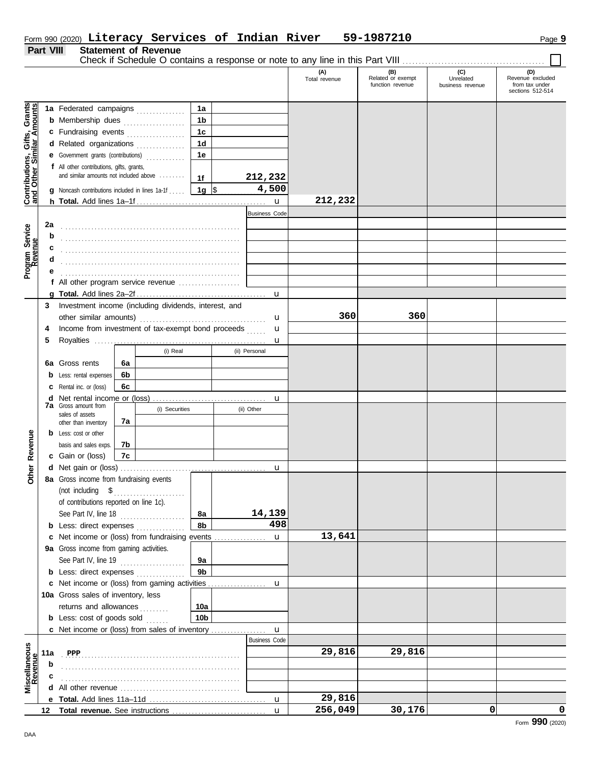|  |  |  |  | Form 990 (2020) Literacy Services of Indian |  |  | River | 59-1987210 | Page <b>9</b> |
|--|--|--|--|---------------------------------------------|--|--|-------|------------|---------------|
|--|--|--|--|---------------------------------------------|--|--|-------|------------|---------------|

#### **Part VIII Statement of Revenue**

Check if Schedule O contains a response or note to any line in this Part VIII . . . . . . . . . . . . . . . . . . . . . . . . . . . . . . . . . . . . . . . . . . . .

|                                                           |     |                                                                                                                                                                                                                                                        |                 |                      | (A)<br>Total revenue | (B)<br>Related or exempt<br>function revenue | (C)<br>Unrelated<br>business revenue | (D)<br>Revenue excluded<br>from tax under |
|-----------------------------------------------------------|-----|--------------------------------------------------------------------------------------------------------------------------------------------------------------------------------------------------------------------------------------------------------|-----------------|----------------------|----------------------|----------------------------------------------|--------------------------------------|-------------------------------------------|
|                                                           |     |                                                                                                                                                                                                                                                        |                 |                      |                      |                                              |                                      | sections 512-514                          |
|                                                           |     | 1a Federated campaigns                                                                                                                                                                                                                                 | 1a              |                      |                      |                                              |                                      |                                           |
| Contributions, Gifts, Grants<br>and Other Similar Amounts |     | <b>b</b> Membership dues                                                                                                                                                                                                                               | 1 <sub>b</sub>  |                      |                      |                                              |                                      |                                           |
|                                                           |     | c Fundraising events                                                                                                                                                                                                                                   | 1 <sub>c</sub>  |                      |                      |                                              |                                      |                                           |
|                                                           |     | d Related organizations                                                                                                                                                                                                                                | 1 <sub>d</sub>  |                      |                      |                                              |                                      |                                           |
|                                                           |     | e Government grants (contributions)                                                                                                                                                                                                                    | 1e              |                      |                      |                                              |                                      |                                           |
|                                                           |     | f All other contributions, gifts, grants,                                                                                                                                                                                                              |                 |                      |                      |                                              |                                      |                                           |
|                                                           |     | and similar amounts not included above                                                                                                                                                                                                                 | 1f              | 212,232              |                      |                                              |                                      |                                           |
|                                                           |     | g Noncash contributions included in lines 1a-1f                                                                                                                                                                                                        | 1g ∣\$          | 4,500                |                      |                                              |                                      |                                           |
|                                                           |     |                                                                                                                                                                                                                                                        |                 | $\mathbf{u}$         | 212,232              |                                              |                                      |                                           |
|                                                           |     |                                                                                                                                                                                                                                                        |                 | <b>Business Code</b> |                      |                                              |                                      |                                           |
|                                                           | 2a  |                                                                                                                                                                                                                                                        |                 |                      |                      |                                              |                                      |                                           |
|                                                           | b   |                                                                                                                                                                                                                                                        |                 |                      |                      |                                              |                                      |                                           |
|                                                           | c   |                                                                                                                                                                                                                                                        |                 |                      |                      |                                              |                                      |                                           |
|                                                           | d   |                                                                                                                                                                                                                                                        |                 |                      |                      |                                              |                                      |                                           |
| Program Service<br>Revenue                                | е   |                                                                                                                                                                                                                                                        |                 |                      |                      |                                              |                                      |                                           |
|                                                           |     | f All other program service revenue                                                                                                                                                                                                                    |                 |                      |                      |                                              |                                      |                                           |
|                                                           |     |                                                                                                                                                                                                                                                        |                 | $\mathbf{u}$         |                      |                                              |                                      |                                           |
|                                                           | 3   | Investment income (including dividends, interest, and                                                                                                                                                                                                  |                 |                      |                      |                                              |                                      |                                           |
|                                                           |     | other similar amounts)                                                                                                                                                                                                                                 |                 | u                    | 360                  | 360                                          |                                      |                                           |
|                                                           | 4   | Income from investment of tax-exempt bond proceeds                                                                                                                                                                                                     |                 | u<br>.               |                      |                                              |                                      |                                           |
|                                                           | 5   |                                                                                                                                                                                                                                                        |                 | u                    |                      |                                              |                                      |                                           |
|                                                           |     | (i) Real                                                                                                                                                                                                                                               |                 | (ii) Personal        |                      |                                              |                                      |                                           |
|                                                           |     | 6a Gross rents<br>6a                                                                                                                                                                                                                                   |                 |                      |                      |                                              |                                      |                                           |
|                                                           |     | 6b<br><b>b</b> Less: rental expenses                                                                                                                                                                                                                   |                 |                      |                      |                                              |                                      |                                           |
|                                                           |     | 6с<br><b>c</b> Rental inc. or (loss)                                                                                                                                                                                                                   |                 |                      |                      |                                              |                                      |                                           |
|                                                           |     | <b>7a</b> Gross amount from                                                                                                                                                                                                                            |                 | u                    |                      |                                              |                                      |                                           |
|                                                           |     | (i) Securities<br>sales of assets                                                                                                                                                                                                                      |                 | (ii) Other           |                      |                                              |                                      |                                           |
|                                                           |     | 7a<br>other than inventory                                                                                                                                                                                                                             |                 |                      |                      |                                              |                                      |                                           |
|                                                           |     | <b>b</b> Less: cost or other                                                                                                                                                                                                                           |                 |                      |                      |                                              |                                      |                                           |
|                                                           |     | 7b<br>basis and sales exps.                                                                                                                                                                                                                            |                 |                      |                      |                                              |                                      |                                           |
| Other Revenue                                             |     | 7c<br>c Gain or (loss)                                                                                                                                                                                                                                 |                 |                      |                      |                                              |                                      |                                           |
|                                                           |     |                                                                                                                                                                                                                                                        |                 | u                    |                      |                                              |                                      |                                           |
|                                                           |     | 8a Gross income from fundraising events                                                                                                                                                                                                                |                 |                      |                      |                                              |                                      |                                           |
|                                                           |     | (not including $$$                                                                                                                                                                                                                                     |                 |                      |                      |                                              |                                      |                                           |
|                                                           |     | of contributions reported on line 1c).                                                                                                                                                                                                                 |                 | 14,139               |                      |                                              |                                      |                                           |
|                                                           |     | See Part IV, line 18<br>and the company of the company of the company of the company of the company of the company of the company of the company of the company of the company of the company of the company of the company of the company of the comp | 8а<br>8b        | 498                  |                      |                                              |                                      |                                           |
|                                                           |     | <b>b</b> Less: direct expenses<br>c Net income or (loss) from fundraising events                                                                                                                                                                       |                 |                      | 13,641               |                                              |                                      |                                           |
|                                                           |     | 9a Gross income from gaming activities.                                                                                                                                                                                                                |                 | $\mathbf{u}$         |                      |                                              |                                      |                                           |
|                                                           |     |                                                                                                                                                                                                                                                        | 9а              |                      |                      |                                              |                                      |                                           |
|                                                           |     | See Part IV, line 19<br><b>b</b> Less: direct expenses                                                                                                                                                                                                 | 9 <sub>b</sub>  |                      |                      |                                              |                                      |                                           |
|                                                           |     | c Net income or (loss) from gaming activities                                                                                                                                                                                                          |                 | u                    |                      |                                              |                                      |                                           |
|                                                           |     | 10a Gross sales of inventory, less                                                                                                                                                                                                                     |                 |                      |                      |                                              |                                      |                                           |
|                                                           |     | returns and allowances                                                                                                                                                                                                                                 | 10a             |                      |                      |                                              |                                      |                                           |
|                                                           |     | .<br><b>b</b> Less: cost of goods sold                                                                                                                                                                                                                 | 10 <sub>b</sub> |                      |                      |                                              |                                      |                                           |
|                                                           |     | <b>c</b> Net income or (loss) from sales of inventory                                                                                                                                                                                                  |                 | $\mathbf{u}$         |                      |                                              |                                      |                                           |
|                                                           |     |                                                                                                                                                                                                                                                        |                 | <b>Business Code</b> |                      |                                              |                                      |                                           |
| Miscellaneous<br>Revenue                                  | 11a | PPP                                                                                                                                                                                                                                                    |                 |                      | 29,816               | 29,816                                       |                                      |                                           |
|                                                           | b   |                                                                                                                                                                                                                                                        |                 |                      |                      |                                              |                                      |                                           |
|                                                           | с   |                                                                                                                                                                                                                                                        |                 |                      |                      |                                              |                                      |                                           |
|                                                           | d   |                                                                                                                                                                                                                                                        |                 |                      |                      |                                              |                                      |                                           |
|                                                           |     |                                                                                                                                                                                                                                                        |                 | $\mathbf{u}$         | 29,816               |                                              |                                      |                                           |
|                                                           | 12  |                                                                                                                                                                                                                                                        |                 | $\mathbf{u}$         | 256,049              | 30,176                                       | 0                                    | 0                                         |
|                                                           |     |                                                                                                                                                                                                                                                        |                 |                      |                      |                                              |                                      | 0 <sub>0</sub>                            |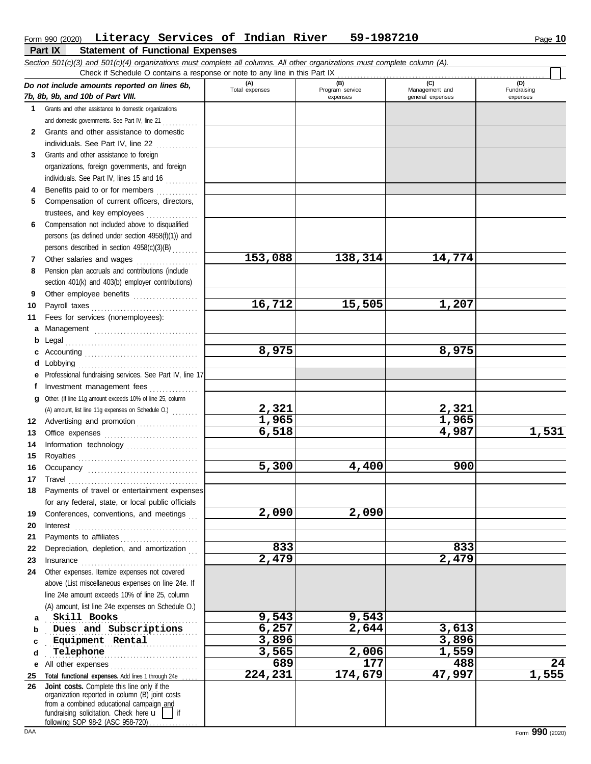|             | Section 501(c)(3) and 501(c)(4) organizations must complete all columns. All other organizations must complete column (A).<br>Check if Schedule O contains a response or note to any line in this Part IX |                       |                        |                       |                    |
|-------------|-----------------------------------------------------------------------------------------------------------------------------------------------------------------------------------------------------------|-----------------------|------------------------|-----------------------|--------------------|
|             | Do not include amounts reported on lines 6b,<br>7b, 8b, 9b, and 10b of Part VIII.                                                                                                                         | (A)<br>Total expenses | (B)<br>Program service | (C)<br>Management and | (D)<br>Fundraising |
|             |                                                                                                                                                                                                           |                       | expenses               | general expenses      | expenses           |
| $\mathbf 1$ | Grants and other assistance to domestic organizations                                                                                                                                                     |                       |                        |                       |                    |
|             | and domestic governments. See Part IV, line 21                                                                                                                                                            |                       |                        |                       |                    |
| 2           | Grants and other assistance to domestic                                                                                                                                                                   |                       |                        |                       |                    |
|             | individuals. See Part IV, line 22                                                                                                                                                                         |                       |                        |                       |                    |
| 3           | Grants and other assistance to foreign                                                                                                                                                                    |                       |                        |                       |                    |
|             | organizations, foreign governments, and foreign                                                                                                                                                           |                       |                        |                       |                    |
|             | individuals. See Part IV, lines 15 and 16                                                                                                                                                                 |                       |                        |                       |                    |
| 4<br>5      | Benefits paid to or for members<br>Compensation of current officers, directors,                                                                                                                           |                       |                        |                       |                    |
|             | trustees, and key employees                                                                                                                                                                               |                       |                        |                       |                    |
| 6           | Compensation not included above to disqualified                                                                                                                                                           |                       |                        |                       |                    |
|             | persons (as defined under section 4958(f)(1)) and                                                                                                                                                         |                       |                        |                       |                    |
|             | persons described in section 4958(c)(3)(B)                                                                                                                                                                |                       |                        |                       |                    |
| 7           | Other salaries and wages                                                                                                                                                                                  | 153,088               | 138,314                | 14,774                |                    |
| 8           | Pension plan accruals and contributions (include                                                                                                                                                          |                       |                        |                       |                    |
|             | section 401(k) and 403(b) employer contributions)                                                                                                                                                         |                       |                        |                       |                    |
| 9           | Other employee benefits                                                                                                                                                                                   |                       |                        |                       |                    |
| 10          |                                                                                                                                                                                                           | 16,712                | 15,505                 | 1,207                 |                    |
| 11          | Fees for services (nonemployees):                                                                                                                                                                         |                       |                        |                       |                    |
| a           | Management                                                                                                                                                                                                |                       |                        |                       |                    |
| b           |                                                                                                                                                                                                           |                       |                        |                       |                    |
| c           |                                                                                                                                                                                                           | 8,975                 |                        | 8,975                 |                    |
| d           |                                                                                                                                                                                                           |                       |                        |                       |                    |
|             | e Professional fundraising services. See Part IV, line 17                                                                                                                                                 |                       |                        |                       |                    |
| f           | Investment management fees                                                                                                                                                                                |                       |                        |                       |                    |
|             | g Other. (If line 11g amount exceeds 10% of line 25, column                                                                                                                                               |                       |                        |                       |                    |
|             | (A) amount, list line 11g expenses on Schedule O.)                                                                                                                                                        | 2,321                 |                        | 2,321                 |                    |
|             | 12 Advertising and promotion                                                                                                                                                                              | 1,965                 |                        | 1,965<br>4,987        | 1,531              |
| 13          | Office expenses                                                                                                                                                                                           | 6,518                 |                        |                       |                    |
| 14          | Information technology                                                                                                                                                                                    |                       |                        |                       |                    |
| 15<br>16    |                                                                                                                                                                                                           | 5,300                 | 4,400                  | 900                   |                    |
| 17          |                                                                                                                                                                                                           |                       |                        |                       |                    |
| 18          | Payments of travel or entertainment expenses                                                                                                                                                              |                       |                        |                       |                    |
|             | for any federal, state, or local public officials                                                                                                                                                         |                       |                        |                       |                    |
| 19          | Conferences, conventions, and meetings                                                                                                                                                                    | 2,090                 | 2,090                  |                       |                    |
| 20          | Interest                                                                                                                                                                                                  |                       |                        |                       |                    |
| 21          |                                                                                                                                                                                                           |                       |                        |                       |                    |
| 22          | Depreciation, depletion, and amortization                                                                                                                                                                 | 833                   |                        | 833                   |                    |
| 23          | Insurance <b>continuous</b>                                                                                                                                                                               | 2,479                 |                        | 2,479                 |                    |
| 24          | Other expenses. Itemize expenses not covered                                                                                                                                                              |                       |                        |                       |                    |
|             | above (List miscellaneous expenses on line 24e. If                                                                                                                                                        |                       |                        |                       |                    |
|             | line 24e amount exceeds 10% of line 25, column                                                                                                                                                            |                       |                        |                       |                    |
|             | (A) amount, list line 24e expenses on Schedule O.)                                                                                                                                                        |                       |                        |                       |                    |
| a           | Skill Books                                                                                                                                                                                               | 9,543                 | 9,543                  |                       |                    |
| b           | Dues and Subscriptions                                                                                                                                                                                    | 6,257                 | 2,644                  | 3,613                 |                    |
| c           | Equipment Rental                                                                                                                                                                                          | 3,896                 |                        | 3,896                 |                    |
| d           | Telephone<br>.                                                                                                                                                                                            | 3,565                 | 2,006                  | 1,559                 |                    |
| е           | All other expenses                                                                                                                                                                                        | 689                   | 177                    | 488                   | $\overline{24}$    |
| 25          | Total functional expenses. Add lines 1 through 24e                                                                                                                                                        | 224,231               | 174,679                | 47,997                | 1,555              |
|             | 26 Joint costs. Complete this line only if the<br>organization reported in column (B) joint costs                                                                                                         |                       |                        |                       |                    |
|             | from a combined educational campaign and                                                                                                                                                                  |                       |                        |                       |                    |
|             | fundraising solicitation. Check here u<br>following SOP 98-2 (ASC 958-720)                                                                                                                                |                       |                        |                       |                    |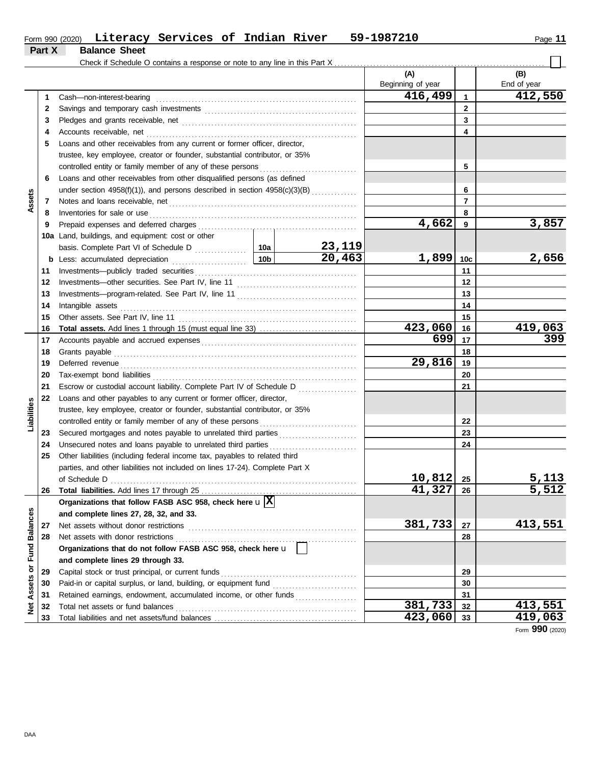| Form 990 (2020) | Literacy Services of | Indian River | 1987210<br>$59-$ | Page |
|-----------------|----------------------|--------------|------------------|------|
|                 |                      |              |                  |      |

|                 | Part X | <b>Balance Sheet</b>                                                                                                                                                                                                           |  |                      |                   |                 |                  |
|-----------------|--------|--------------------------------------------------------------------------------------------------------------------------------------------------------------------------------------------------------------------------------|--|----------------------|-------------------|-----------------|------------------|
|                 |        |                                                                                                                                                                                                                                |  |                      |                   |                 |                  |
|                 |        |                                                                                                                                                                                                                                |  |                      | (A)               |                 | (B)              |
|                 |        |                                                                                                                                                                                                                                |  |                      | Beginning of year |                 | End of year      |
|                 | 1      | Cash-non-interest-bearing                                                                                                                                                                                                      |  |                      | 416,499           | $\mathbf{1}$    | 412,550          |
|                 | 2      |                                                                                                                                                                                                                                |  |                      |                   | $\mathbf{2}$    |                  |
|                 | 3      |                                                                                                                                                                                                                                |  |                      |                   | 3               |                  |
|                 | 4      |                                                                                                                                                                                                                                |  |                      |                   | 4               |                  |
|                 | 5      | Loans and other receivables from any current or former officer, director,                                                                                                                                                      |  |                      |                   |                 |                  |
|                 |        | trustee, key employee, creator or founder, substantial contributor, or 35%                                                                                                                                                     |  |                      |                   |                 |                  |
|                 |        |                                                                                                                                                                                                                                |  |                      |                   | 5               |                  |
|                 | 6      | Loans and other receivables from other disqualified persons (as defined                                                                                                                                                        |  |                      |                   |                 |                  |
|                 |        | under section 4958(f)(1)), and persons described in section 4958(c)(3)(B)                                                                                                                                                      |  |                      |                   | 6               |                  |
| Assets          | 7      |                                                                                                                                                                                                                                |  |                      |                   | 7               |                  |
|                 | 8      |                                                                                                                                                                                                                                |  |                      |                   | 8               |                  |
|                 | 9      |                                                                                                                                                                                                                                |  |                      | 4,662             | - 9             | 3,857            |
|                 |        | 10a Land, buildings, and equipment: cost or other                                                                                                                                                                              |  |                      |                   |                 |                  |
|                 |        |                                                                                                                                                                                                                                |  | <u>23,119</u>        |                   |                 |                  |
|                 |        |                                                                                                                                                                                                                                |  | $\overline{20, 463}$ | 1,899             | 10 <sub>c</sub> | 2,656            |
|                 | 11     |                                                                                                                                                                                                                                |  |                      |                   | 11              |                  |
|                 | 12     |                                                                                                                                                                                                                                |  |                      |                   | 12              |                  |
|                 | 13     |                                                                                                                                                                                                                                |  |                      | 13                |                 |                  |
|                 | 14     | Intangible assets with a control of the control of the control of the control of the control of the control of the control of the control of the control of the control of the control of the control of the control of the co |  |                      |                   | 14              |                  |
|                 | 15     |                                                                                                                                                                                                                                |  |                      |                   | 15              |                  |
|                 | 16     |                                                                                                                                                                                                                                |  |                      | 423,060           | - 16            | 419,063          |
|                 | 17     |                                                                                                                                                                                                                                |  |                      | 699               | 17              | $\overline{399}$ |
|                 | 18     |                                                                                                                                                                                                                                |  |                      |                   | 18              |                  |
|                 | 19     |                                                                                                                                                                                                                                |  | 29,816               | 19                |                 |                  |
|                 | 20     |                                                                                                                                                                                                                                |  |                      | 20                |                 |                  |
|                 | 21     | Escrow or custodial account liability. Complete Part IV of Schedule D                                                                                                                                                          |  |                      |                   | 21              |                  |
|                 | 22     | Loans and other payables to any current or former officer, director,                                                                                                                                                           |  |                      |                   |                 |                  |
| Liabilities     |        | trustee, key employee, creator or founder, substantial contributor, or 35%                                                                                                                                                     |  |                      |                   |                 |                  |
|                 |        |                                                                                                                                                                                                                                |  |                      |                   | 22              |                  |
|                 | 23     |                                                                                                                                                                                                                                |  |                      |                   | 23              |                  |
|                 | 24     |                                                                                                                                                                                                                                |  |                      |                   | 24              |                  |
|                 | 25     | Other liabilities (including federal income tax, payables to related third                                                                                                                                                     |  |                      |                   |                 |                  |
|                 |        | parties, and other liabilities not included on lines 17-24). Complete Part X                                                                                                                                                   |  |                      |                   |                 |                  |
|                 |        | of Schedule D                                                                                                                                                                                                                  |  |                      | 10,812            | 25              | 5,113            |
|                 | 26     |                                                                                                                                                                                                                                |  |                      | 41,327            | 26              | 5,512            |
|                 |        | Organizations that follow FASB ASC 958, check here $\mathbf{u}$ $\overline{\mathbf{X}}$                                                                                                                                        |  |                      |                   |                 |                  |
|                 |        | and complete lines 27, 28, 32, and 33.                                                                                                                                                                                         |  |                      |                   |                 |                  |
|                 | 27     | Net assets without donor restrictions [11] with a set of the system of the system of the system of the system of the system of the system of the system of the system of the system of the system of the system of the system  |  |                      | 381,733           | 27              | 413,551          |
| <b>Balances</b> | 28     | Net assets with donor restrictions                                                                                                                                                                                             |  |                      |                   | 28              |                  |
| <b>Fund</b>     |        | Organizations that do not follow FASB ASC 958, check here u                                                                                                                                                                    |  |                      |                   |                 |                  |
|                 |        | and complete lines 29 through 33.                                                                                                                                                                                              |  |                      |                   |                 |                  |
| ŏ               | 29     | Capital stock or trust principal, or current funds                                                                                                                                                                             |  |                      | 29                |                 |                  |
|                 | 30     |                                                                                                                                                                                                                                |  |                      |                   | 30              |                  |
| Assets          | 31     | Retained earnings, endowment, accumulated income, or other funds                                                                                                                                                               |  |                      |                   | 31              |                  |
| ğ               | 32     | Total net assets or fund balances                                                                                                                                                                                              |  |                      | 381,733           | 32              | 413,551          |
|                 | 33     |                                                                                                                                                                                                                                |  |                      | 423,060           | 33              | 419,063          |

Form **990** (2020)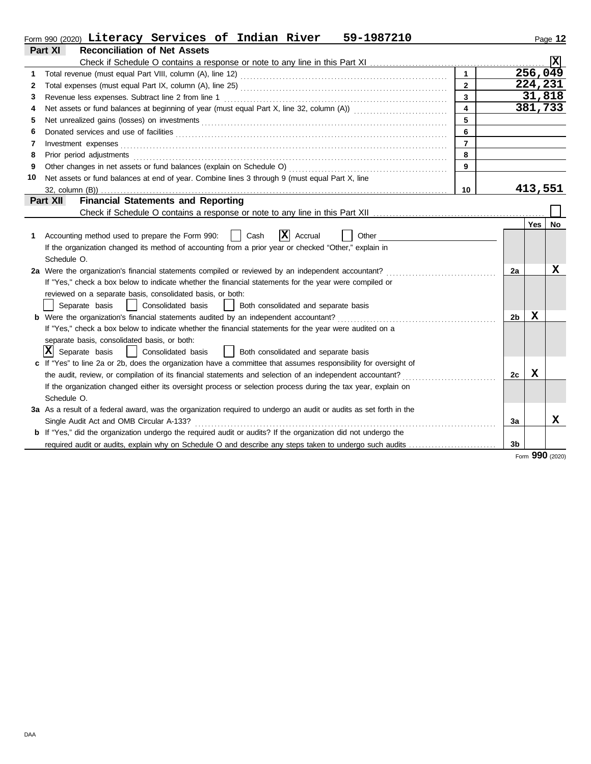|                                                       | Form 990 (2020) Literacy Services of Indian River<br>59-1987210                                                       |                         |    |         | Page 12        |  |  |  |  |
|-------------------------------------------------------|-----------------------------------------------------------------------------------------------------------------------|-------------------------|----|---------|----------------|--|--|--|--|
|                                                       | Part XI<br><b>Reconciliation of Net Assets</b>                                                                        |                         |    |         |                |  |  |  |  |
|                                                       |                                                                                                                       |                         |    |         | $ \mathbf{x} $ |  |  |  |  |
| 1                                                     |                                                                                                                       | $\mathbf{1}$            |    | 256,049 |                |  |  |  |  |
| 2                                                     |                                                                                                                       | $\overline{2}$          |    | 224,231 |                |  |  |  |  |
| 3                                                     | Revenue less expenses. Subtract line 2 from line 1                                                                    | 3                       |    |         | 31,818         |  |  |  |  |
| 4                                                     |                                                                                                                       | $\overline{\mathbf{4}}$ |    |         | 381,733        |  |  |  |  |
| 5                                                     |                                                                                                                       | 5                       |    |         |                |  |  |  |  |
| 6                                                     |                                                                                                                       | 6                       |    |         |                |  |  |  |  |
| 7                                                     | Investment expenses                                                                                                   | $\overline{7}$          |    |         |                |  |  |  |  |
| 8                                                     | 8<br>Prior period adjustments                                                                                         |                         |    |         |                |  |  |  |  |
| 9                                                     | Other changes in net assets or fund balances (explain on Schedule O)                                                  | 9                       |    |         |                |  |  |  |  |
| 10                                                    | Net assets or fund balances at end of year. Combine lines 3 through 9 (must equal Part X, line                        |                         |    |         |                |  |  |  |  |
|                                                       |                                                                                                                       | 10                      |    | 413,551 |                |  |  |  |  |
| <b>Financial Statements and Reporting</b><br>Part XII |                                                                                                                       |                         |    |         |                |  |  |  |  |
|                                                       |                                                                                                                       |                         |    |         |                |  |  |  |  |
|                                                       |                                                                                                                       |                         |    | Yes     | No             |  |  |  |  |
| 1                                                     | $ \mathbf{x} $<br>Accounting method used to prepare the Form 990:<br>Cash<br>Accrual<br>Other                         |                         |    |         |                |  |  |  |  |
|                                                       | If the organization changed its method of accounting from a prior year or checked "Other," explain in                 |                         |    |         |                |  |  |  |  |
|                                                       | Schedule O.                                                                                                           |                         |    |         |                |  |  |  |  |
|                                                       | 2a Were the organization's financial statements compiled or reviewed by an independent accountant?                    |                         | 2a |         | X              |  |  |  |  |
|                                                       | If "Yes," check a box below to indicate whether the financial statements for the year were compiled or                |                         |    |         |                |  |  |  |  |
|                                                       | reviewed on a separate basis, consolidated basis, or both:                                                            |                         |    |         |                |  |  |  |  |
|                                                       | Separate basis<br>Consolidated basis<br>Both consolidated and separate basis<br>$\perp$                               |                         |    |         |                |  |  |  |  |
|                                                       | <b>b</b> Were the organization's financial statements audited by an independent accountant?                           |                         | 2b | X       |                |  |  |  |  |
|                                                       | If "Yes," check a box below to indicate whether the financial statements for the year were audited on a               |                         |    |         |                |  |  |  |  |
|                                                       | separate basis, consolidated basis, or both:                                                                          |                         |    |         |                |  |  |  |  |
|                                                       | X <br>Separate basis<br>Consolidated basis<br>    Both consolidated and separate basis                                |                         |    |         |                |  |  |  |  |
|                                                       | If "Yes" to line 2a or 2b, does the organization have a committee that assumes responsibility for oversight of        |                         |    |         |                |  |  |  |  |
|                                                       | the audit, review, or compilation of its financial statements and selection of an independent accountant?             |                         | 2c | X       |                |  |  |  |  |
|                                                       | If the organization changed either its oversight process or selection process during the tax year, explain on         |                         |    |         |                |  |  |  |  |
|                                                       | Schedule O.                                                                                                           |                         |    |         |                |  |  |  |  |
|                                                       | 3a As a result of a federal award, was the organization required to undergo an audit or audits as set forth in the    |                         |    |         |                |  |  |  |  |
|                                                       | Single Audit Act and OMB Circular A-133?                                                                              |                         | За |         | x              |  |  |  |  |
|                                                       | <b>b</b> If "Yes," did the organization undergo the required audit or audits? If the organization did not undergo the |                         |    |         |                |  |  |  |  |
|                                                       | required audit or audits, explain why on Schedule O and describe any steps taken to undergo such audits               |                         | 3b |         |                |  |  |  |  |

Form **990** (2020)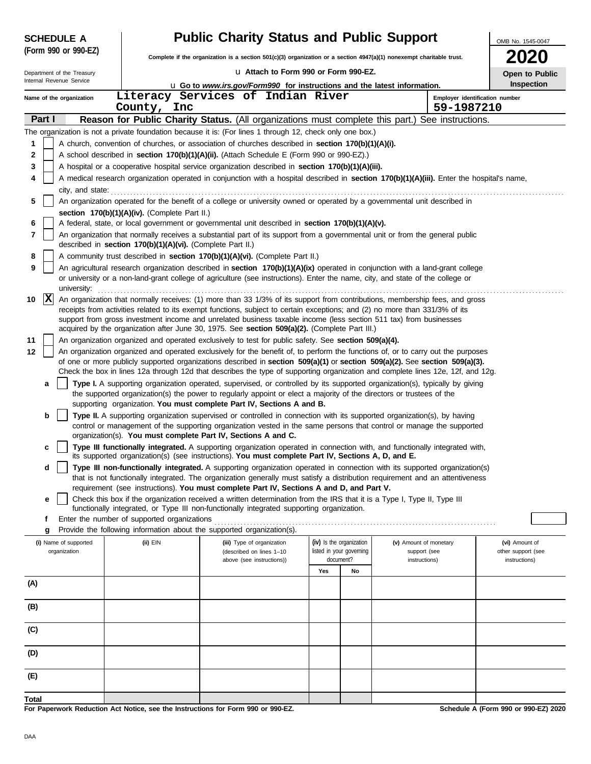| <b>Public Charity Status and Public Support</b><br><b>SCHEDULE A</b> |                                                                                                                                                                                                       |                                                                                                                                                                                                                                  |                                       |    |                                | OMB No. 1545-0047                    |  |  |  |  |  |  |
|----------------------------------------------------------------------|-------------------------------------------------------------------------------------------------------------------------------------------------------------------------------------------------------|----------------------------------------------------------------------------------------------------------------------------------------------------------------------------------------------------------------------------------|---------------------------------------|----|--------------------------------|--------------------------------------|--|--|--|--|--|--|
| (Form 990 or 990-EZ)                                                 |                                                                                                                                                                                                       | Complete if the organization is a section 501(c)(3) organization or a section 4947(a)(1) nonexempt charitable trust.                                                                                                             |                                       |    |                                |                                      |  |  |  |  |  |  |
| Department of the Treasury                                           |                                                                                                                                                                                                       | La Attach to Form 990 or Form 990-EZ.                                                                                                                                                                                            |                                       |    |                                | Open to Public                       |  |  |  |  |  |  |
| Internal Revenue Service                                             |                                                                                                                                                                                                       | <b>u</b> Go to www.irs.gov/Form990 for instructions and the latest information.                                                                                                                                                  |                                       |    |                                | Inspection                           |  |  |  |  |  |  |
| Name of the organization                                             |                                                                                                                                                                                                       | Literacy Services of Indian River                                                                                                                                                                                                |                                       |    | Employer identification number |                                      |  |  |  |  |  |  |
|                                                                      | County, Inc                                                                                                                                                                                           |                                                                                                                                                                                                                                  |                                       |    | 59-1987210                     |                                      |  |  |  |  |  |  |
| Part I                                                               |                                                                                                                                                                                                       | Reason for Public Charity Status. (All organizations must complete this part.) See instructions.                                                                                                                                 |                                       |    |                                |                                      |  |  |  |  |  |  |
|                                                                      |                                                                                                                                                                                                       | The organization is not a private foundation because it is: (For lines 1 through 12, check only one box.)                                                                                                                        |                                       |    |                                |                                      |  |  |  |  |  |  |
| 1                                                                    |                                                                                                                                                                                                       | A church, convention of churches, or association of churches described in <b>section 170(b)(1)(A)(i).</b>                                                                                                                        |                                       |    |                                |                                      |  |  |  |  |  |  |
| 2                                                                    |                                                                                                                                                                                                       | A school described in section 170(b)(1)(A)(ii). (Attach Schedule E (Form 990 or 990-EZ).)                                                                                                                                        |                                       |    |                                |                                      |  |  |  |  |  |  |
| 3                                                                    |                                                                                                                                                                                                       | A hospital or a cooperative hospital service organization described in section 170(b)(1)(A)(iii).                                                                                                                                |                                       |    |                                |                                      |  |  |  |  |  |  |
| 4                                                                    |                                                                                                                                                                                                       | A medical research organization operated in conjunction with a hospital described in section 170(b)(1)(A)(iii). Enter the hospital's name,                                                                                       |                                       |    |                                |                                      |  |  |  |  |  |  |
| 5                                                                    |                                                                                                                                                                                                       | city, and state: <b>contract the state</b> city and state:<br>An organization operated for the benefit of a college or university owned or operated by a governmental unit described in                                          |                                       |    |                                |                                      |  |  |  |  |  |  |
|                                                                      | section 170(b)(1)(A)(iv). (Complete Part II.)                                                                                                                                                         |                                                                                                                                                                                                                                  |                                       |    |                                |                                      |  |  |  |  |  |  |
| 6                                                                    |                                                                                                                                                                                                       | A federal, state, or local government or governmental unit described in section 170(b)(1)(A)(v).                                                                                                                                 |                                       |    |                                |                                      |  |  |  |  |  |  |
| 7                                                                    | An organization that normally receives a substantial part of its support from a governmental unit or from the general public<br>described in section 170(b)(1)(A)(vi). (Complete Part II.)            |                                                                                                                                                                                                                                  |                                       |    |                                |                                      |  |  |  |  |  |  |
| 8                                                                    |                                                                                                                                                                                                       | A community trust described in section 170(b)(1)(A)(vi). (Complete Part II.)                                                                                                                                                     |                                       |    |                                |                                      |  |  |  |  |  |  |
| 9                                                                    |                                                                                                                                                                                                       | An agricultural research organization described in <b>section 170(b)(1)(A)(ix)</b> operated in conjunction with a land-grant college                                                                                             |                                       |    |                                |                                      |  |  |  |  |  |  |
| university:                                                          |                                                                                                                                                                                                       | or university or a non-land-grant college of agriculture (see instructions). Enter the name, city, and state of the college or                                                                                                   |                                       |    |                                |                                      |  |  |  |  |  |  |
| X<br>10                                                              |                                                                                                                                                                                                       | An organization that normally receives: (1) more than 33 1/3% of its support from contributions, membership fees, and gross                                                                                                      |                                       |    |                                |                                      |  |  |  |  |  |  |
|                                                                      |                                                                                                                                                                                                       | receipts from activities related to its exempt functions, subject to certain exceptions; and (2) no more than 331/3% of its                                                                                                      |                                       |    |                                |                                      |  |  |  |  |  |  |
|                                                                      |                                                                                                                                                                                                       | support from gross investment income and unrelated business taxable income (less section 511 tax) from businesses                                                                                                                |                                       |    |                                |                                      |  |  |  |  |  |  |
| 11                                                                   | acquired by the organization after June 30, 1975. See section 509(a)(2). (Complete Part III.)<br>An organization organized and operated exclusively to test for public safety. See section 509(a)(4). |                                                                                                                                                                                                                                  |                                       |    |                                |                                      |  |  |  |  |  |  |
| 12                                                                   |                                                                                                                                                                                                       | An organization organized and operated exclusively for the benefit of, to perform the functions of, or to carry out the purposes                                                                                                 |                                       |    |                                |                                      |  |  |  |  |  |  |
|                                                                      |                                                                                                                                                                                                       | of one or more publicly supported organizations described in section 509(a)(1) or section 509(a)(2). See section 509(a)(3).                                                                                                      |                                       |    |                                |                                      |  |  |  |  |  |  |
|                                                                      |                                                                                                                                                                                                       | Check the box in lines 12a through 12d that describes the type of supporting organization and complete lines 12e, 12f, and 12g.                                                                                                  |                                       |    |                                |                                      |  |  |  |  |  |  |
| a                                                                    |                                                                                                                                                                                                       | Type I. A supporting organization operated, supervised, or controlled by its supported organization(s), typically by giving                                                                                                      |                                       |    |                                |                                      |  |  |  |  |  |  |
|                                                                      |                                                                                                                                                                                                       | the supported organization(s) the power to regularly appoint or elect a majority of the directors or trustees of the<br>supporting organization. You must complete Part IV, Sections A and B.                                    |                                       |    |                                |                                      |  |  |  |  |  |  |
| b                                                                    |                                                                                                                                                                                                       | Type II. A supporting organization supervised or controlled in connection with its supported organization(s), by having                                                                                                          |                                       |    |                                |                                      |  |  |  |  |  |  |
|                                                                      |                                                                                                                                                                                                       | control or management of the supporting organization vested in the same persons that control or manage the supported                                                                                                             |                                       |    |                                |                                      |  |  |  |  |  |  |
|                                                                      |                                                                                                                                                                                                       | organization(s). You must complete Part IV, Sections A and C.                                                                                                                                                                    |                                       |    |                                |                                      |  |  |  |  |  |  |
| c                                                                    |                                                                                                                                                                                                       | Type III functionally integrated. A supporting organization operated in connection with, and functionally integrated with,<br>its supported organization(s) (see instructions). You must complete Part IV, Sections A, D, and E. |                                       |    |                                |                                      |  |  |  |  |  |  |
| d                                                                    |                                                                                                                                                                                                       | Type III non-functionally integrated. A supporting organization operated in connection with its supported organization(s)                                                                                                        |                                       |    |                                |                                      |  |  |  |  |  |  |
|                                                                      |                                                                                                                                                                                                       | that is not functionally integrated. The organization generally must satisfy a distribution requirement and an attentiveness                                                                                                     |                                       |    |                                |                                      |  |  |  |  |  |  |
|                                                                      |                                                                                                                                                                                                       | requirement (see instructions). You must complete Part IV, Sections A and D, and Part V.                                                                                                                                         |                                       |    |                                |                                      |  |  |  |  |  |  |
| е                                                                    |                                                                                                                                                                                                       | Check this box if the organization received a written determination from the IRS that it is a Type I, Type II, Type III<br>functionally integrated, or Type III non-functionally integrated supporting organization.             |                                       |    |                                |                                      |  |  |  |  |  |  |
| f                                                                    | Enter the number of supported organizations                                                                                                                                                           |                                                                                                                                                                                                                                  |                                       |    |                                |                                      |  |  |  |  |  |  |
| g                                                                    |                                                                                                                                                                                                       | Provide the following information about the supported organization(s).                                                                                                                                                           |                                       |    |                                |                                      |  |  |  |  |  |  |
| (i) Name of supported                                                | $(ii)$ $EIN$                                                                                                                                                                                          | (iii) Type of organization                                                                                                                                                                                                       | (iv) Is the organization              |    | (v) Amount of monetary         | (vi) Amount of                       |  |  |  |  |  |  |
| organization                                                         |                                                                                                                                                                                                       | (described on lines 1-10<br>above (see instructions))                                                                                                                                                                            | listed in your governing<br>document? |    | support (see<br>instructions)  | other support (see<br>instructions)  |  |  |  |  |  |  |
|                                                                      |                                                                                                                                                                                                       |                                                                                                                                                                                                                                  | Yes                                   | No |                                |                                      |  |  |  |  |  |  |
| (A)                                                                  |                                                                                                                                                                                                       |                                                                                                                                                                                                                                  |                                       |    |                                |                                      |  |  |  |  |  |  |
|                                                                      |                                                                                                                                                                                                       |                                                                                                                                                                                                                                  |                                       |    |                                |                                      |  |  |  |  |  |  |
| (B)                                                                  |                                                                                                                                                                                                       |                                                                                                                                                                                                                                  |                                       |    |                                |                                      |  |  |  |  |  |  |
| (C)                                                                  |                                                                                                                                                                                                       |                                                                                                                                                                                                                                  |                                       |    |                                |                                      |  |  |  |  |  |  |
|                                                                      |                                                                                                                                                                                                       |                                                                                                                                                                                                                                  |                                       |    |                                |                                      |  |  |  |  |  |  |
| (D)                                                                  |                                                                                                                                                                                                       |                                                                                                                                                                                                                                  |                                       |    |                                |                                      |  |  |  |  |  |  |
| (E)                                                                  |                                                                                                                                                                                                       |                                                                                                                                                                                                                                  |                                       |    |                                |                                      |  |  |  |  |  |  |
|                                                                      |                                                                                                                                                                                                       |                                                                                                                                                                                                                                  |                                       |    |                                |                                      |  |  |  |  |  |  |
| Total                                                                |                                                                                                                                                                                                       | For Paperwork Reduction Act Notice, see the Instructions for Form 990 or 990-EZ.                                                                                                                                                 |                                       |    |                                | Schedule A (Form 990 or 990-EZ) 2020 |  |  |  |  |  |  |
|                                                                      |                                                                                                                                                                                                       |                                                                                                                                                                                                                                  |                                       |    |                                |                                      |  |  |  |  |  |  |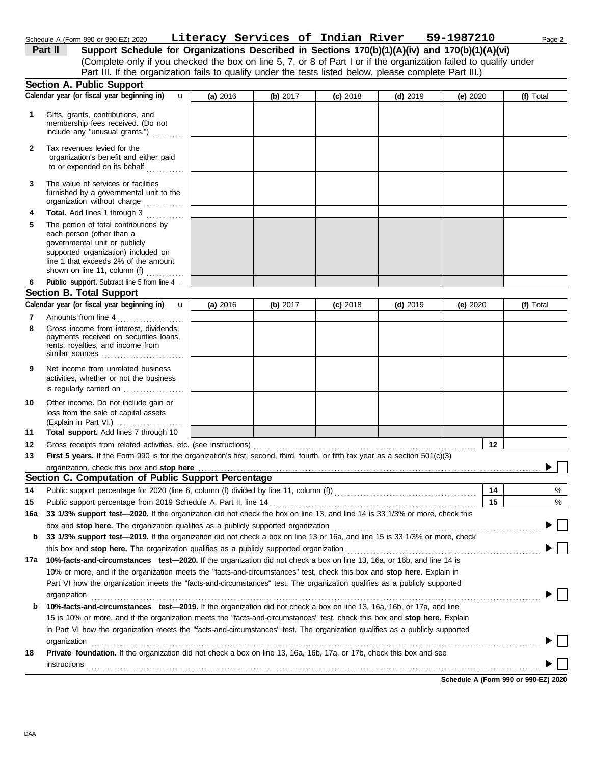| Schedule A (Form 990 or 990-EZ) 2020 | Literacy Services of Indian River |  |  | 59-1987210 | Page 2 |
|--------------------------------------|-----------------------------------|--|--|------------|--------|
|                                      |                                   |  |  |            |        |

(Complete only if you checked the box on line 5, 7, or 8 of Part I or if the organization failed to qualify under **Part II Support Schedule for Organizations Described in Sections 170(b)(1)(A)(iv) and 170(b)(1)(A)(vi)** Part III. If the organization fails to qualify under the tests listed below, please complete Part III.)

|        | <b>Section A. Public Support</b>                                                                                                                                                                                                                        |            |          |            |            |            |    |           |
|--------|---------------------------------------------------------------------------------------------------------------------------------------------------------------------------------------------------------------------------------------------------------|------------|----------|------------|------------|------------|----|-----------|
|        | Calendar year (or fiscal year beginning in)<br>$\mathbf{u}$                                                                                                                                                                                             | (a) $2016$ | (b) 2017 | $(c)$ 2018 | $(d)$ 2019 | (e) $2020$ |    | (f) Total |
| 1.     | Gifts, grants, contributions, and<br>membership fees received. (Do not<br>include any "unusual grants.")                                                                                                                                                |            |          |            |            |            |    |           |
| 2      | Tax revenues levied for the<br>organization's benefit and either paid<br>to or expended on its behalf<br>.                                                                                                                                              |            |          |            |            |            |    |           |
| 3      | The value of services or facilities<br>furnished by a governmental unit to the<br>organization without charge                                                                                                                                           |            |          |            |            |            |    |           |
| 4<br>5 | Total. Add lines 1 through 3<br>.<br>The portion of total contributions by<br>each person (other than a<br>governmental unit or publicly<br>supported organization) included on<br>line 1 that exceeds 2% of the amount<br>shown on line 11, column (f) |            |          |            |            |            |    |           |
| 6      | Public support. Subtract line 5 from line 4                                                                                                                                                                                                             |            |          |            |            |            |    |           |
|        | <b>Section B. Total Support</b>                                                                                                                                                                                                                         |            |          |            |            |            |    |           |
|        | Calendar year (or fiscal year beginning in)<br>$\mathbf{u}$                                                                                                                                                                                             | (a) $2016$ | (b) 2017 | $(c)$ 2018 | $(d)$ 2019 | (e) 2020   |    | (f) Total |
| 7<br>8 | Amounts from line 4<br>Gross income from interest, dividends,<br>payments received on securities loans,<br>rents, royalties, and income from                                                                                                            |            |          |            |            |            |    |           |
|        | similar sources                                                                                                                                                                                                                                         |            |          |            |            |            |    |           |
| 9      | Net income from unrelated business<br>activities, whether or not the business<br>is regularly carried on                                                                                                                                                |            |          |            |            |            |    |           |
| 10     | Other income. Do not include gain or<br>loss from the sale of capital assets<br>(Explain in Part VI.)                                                                                                                                                   |            |          |            |            |            |    |           |
| 11     | Total support. Add lines 7 through 10                                                                                                                                                                                                                   |            |          |            |            |            |    |           |
| 12     | Gross receipts from related activities, etc. (see instructions)                                                                                                                                                                                         |            |          |            |            |            | 12 |           |
| 13     | First 5 years. If the Form 990 is for the organization's first, second, third, fourth, or fifth tax year as a section 501(c)(3)                                                                                                                         |            |          |            |            |            |    |           |
|        | organization, check this box and stop here                                                                                                                                                                                                              |            |          |            |            |            |    |           |
|        | Section C. Computation of Public Support Percentage                                                                                                                                                                                                     |            |          |            |            |            |    |           |
| 14     | Public support percentage for 2020 (line 6, column (f) divided by line 11, column (f)) [[[[[[[[[[[[[[[[[[[[[[                                                                                                                                           |            |          |            |            |            | 14 | %         |
| 15     | Public support percentage from 2019 Schedule A, Part II, line 14                                                                                                                                                                                        |            |          |            |            |            | 15 | %         |
|        | 16a 33 1/3% support test-2020. If the organization did not check the box on line 13, and line 14 is 33 1/3% or more, check this                                                                                                                         |            |          |            |            |            |    |           |
|        | box and stop here. The organization qualifies as a publicly supported organization                                                                                                                                                                      |            |          |            |            |            |    |           |
| b      | 33 1/3% support test-2019. If the organization did not check a box on line 13 or 16a, and line 15 is 33 1/3% or more, check                                                                                                                             |            |          |            |            |            |    |           |
|        | this box and stop here. The organization qualifies as a publicly supported organization                                                                                                                                                                 |            |          |            |            |            |    |           |
|        | 17a 10%-facts-and-circumstances test-2020. If the organization did not check a box on line 13, 16a, or 16b, and line 14 is                                                                                                                              |            |          |            |            |            |    |           |
|        | 10% or more, and if the organization meets the "facts-and-circumstances" test, check this box and stop here. Explain in                                                                                                                                 |            |          |            |            |            |    |           |
|        | Part VI how the organization meets the "facts-and-circumstances" test. The organization qualifies as a publicly supported                                                                                                                               |            |          |            |            |            |    |           |
|        | organization                                                                                                                                                                                                                                            |            |          |            |            |            |    |           |
| b      | 10%-facts-and-circumstances test-2019. If the organization did not check a box on line 13, 16a, 16b, or 17a, and line                                                                                                                                   |            |          |            |            |            |    |           |
|        | 15 is 10% or more, and if the organization meets the "facts-and-circumstances" test, check this box and stop here. Explain                                                                                                                              |            |          |            |            |            |    |           |
|        | in Part VI how the organization meets the "facts-and-circumstances" test. The organization qualifies as a publicly supported                                                                                                                            |            |          |            |            |            |    |           |
|        | organization                                                                                                                                                                                                                                            |            |          |            |            |            |    |           |
| 18     | Private foundation. If the organization did not check a box on line 13, 16a, 16b, 17a, or 17b, check this box and see                                                                                                                                   |            |          |            |            |            |    |           |
|        | instructions                                                                                                                                                                                                                                            |            |          |            |            |            |    |           |
|        |                                                                                                                                                                                                                                                         |            |          |            |            |            |    |           |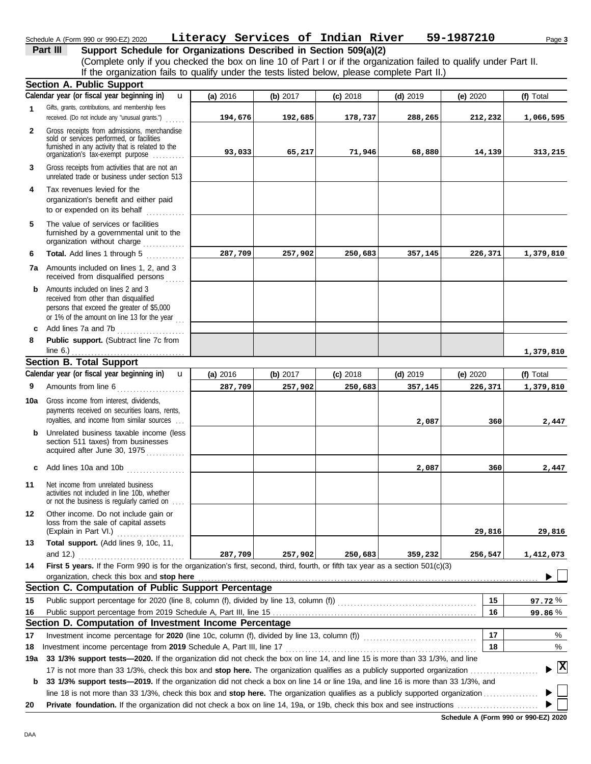## Schedule A (Form 990 or 990-EZ) 2020 Page **3 Literacy Services of Indian River 59-1987210**

# **Part III** Support Schedule for Organizations Described in Section 509(a)(2)

(Complete only if you checked the box on line 10 of Part I or if the organization failed to qualify under Part II. If the organization fails to qualify under the tests listed below, please complete Part II.)

|              | Section A. Public Support                                                                                                                                                                            |          |          |            |            |            |                                      |
|--------------|------------------------------------------------------------------------------------------------------------------------------------------------------------------------------------------------------|----------|----------|------------|------------|------------|--------------------------------------|
|              | Calendar year (or fiscal year beginning in)<br>$\mathbf{u}$                                                                                                                                          | (a) 2016 | (b) 2017 | $(c)$ 2018 | $(d)$ 2019 | (e) $2020$ | (f) Total                            |
| 1            | Gifts, grants, contributions, and membership fees<br>received. (Do not include any "unusual grants.")                                                                                                | 194,676  | 192,685  | 178,737    | 288,265    | 212,232    | 1,066,595                            |
| $\mathbf{2}$ | Gross receipts from admissions, merchandise<br>sold or services performed, or facilities<br>furnished in any activity that is related to the                                                         |          |          |            |            |            |                                      |
|              | organization's fax-exempt purpose                                                                                                                                                                    | 93,033   | 65,217   | 71,946     | 68,880     | 14,139     | 313,215                              |
| 3            | Gross receipts from activities that are not an<br>unrelated trade or business under section 513                                                                                                      |          |          |            |            |            |                                      |
| 4            | Tax revenues levied for the<br>organization's benefit and either paid<br>to or expended on its behalf                                                                                                |          |          |            |            |            |                                      |
| 5            | The value of services or facilities<br>furnished by a governmental unit to the<br>organization without charge                                                                                        |          |          |            |            |            |                                      |
| 6            | Total. Add lines 1 through 5<br>.                                                                                                                                                                    | 287,709  | 257,902  | 250,683    | 357,145    | 226,371    | 1,379,810                            |
| 7a           | Amounts included on lines 1, 2, and 3<br>received from disqualified persons                                                                                                                          |          |          |            |            |            |                                      |
| b            | Amounts included on lines 2 and 3<br>received from other than disqualified<br>persons that exceed the greater of \$5,000<br>or 1% of the amount on line 13 for the year                              |          |          |            |            |            |                                      |
| C            | Add lines 7a and 7b<br>.                                                                                                                                                                             |          |          |            |            |            |                                      |
| 8            | Public support. (Subtract line 7c from                                                                                                                                                               |          |          |            |            |            |                                      |
|              | line $6.$ )                                                                                                                                                                                          |          |          |            |            |            | 1,379,810                            |
|              | <b>Section B. Total Support</b><br>Calendar year (or fiscal year beginning in)<br>$\mathbf{u}$                                                                                                       |          |          |            |            |            |                                      |
|              |                                                                                                                                                                                                      | (a) 2016 | (b) 2017 | $(c)$ 2018 | $(d)$ 2019 | (e) $2020$ | (f) Total                            |
| 9            | Amounts from line 6<br>.                                                                                                                                                                             | 287,709  | 257,902  | 250,683    | 357,145    | 226,371    | 1,379,810                            |
| 10a          | Gross income from interest, dividends,<br>payments received on securities loans, rents,<br>royalties, and income from similar sources                                                                |          |          |            | 2,087      | 360        | 2,447                                |
| b            | Unrelated business taxable income (less<br>section 511 taxes) from businesses<br>acquired after June 30, 1975                                                                                        |          |          |            |            |            |                                      |
| c            | Add lines 10a and 10b                                                                                                                                                                                |          |          |            | 2,087      | 360        | 2,447                                |
| 11           | Net income from unrelated business<br>activities not included in line 10b, whether<br>or not the business is regularly carried on                                                                    |          |          |            |            |            |                                      |
| 12           | Other income. Do not include gain or<br>loss from the sale of capital assets<br>(Explain in Part VI.)                                                                                                |          |          |            |            | 29,816     | 29,816                               |
| 13           | Total support. (Add lines 9, 10c, 11,                                                                                                                                                                |          |          |            |            |            |                                      |
|              | and $12.$ )                                                                                                                                                                                          | 287,709  | 257,902  | 250,683    | 359,232    | 256,547    | 1,412,073                            |
| 14           | First 5 years. If the Form 990 is for the organization's first, second, third, fourth, or fifth tax year as a section 501(c)(3)                                                                      |          |          |            |            |            |                                      |
|              | organization, check this box and stop here                                                                                                                                                           |          |          |            |            |            |                                      |
|              | Section C. Computation of Public Support Percentage                                                                                                                                                  |          |          |            |            |            |                                      |
| 15           |                                                                                                                                                                                                      |          |          |            |            | 15         | 97.72%                               |
| 16           |                                                                                                                                                                                                      |          |          |            |            | 16         | 99.86%                               |
|              | Section D. Computation of Investment Income Percentage                                                                                                                                               |          |          |            |            |            |                                      |
| 17           | Investment income percentage for 2020 (line 10c, column (f), divided by line 13, column (f)) [[[[[[[[[[[[[[[[                                                                                        |          |          |            |            | 17<br>18   | %<br>%                               |
| 18           | Investment income percentage from 2019 Schedule A, Part III, line 17<br>33 1/3% support tests-2020. If the organization did not check the box on line 14, and line 15 is more than 33 1/3%, and line |          |          |            |            |            |                                      |
| 19a          | 17 is not more than 33 1/3%, check this box and stop here. The organization qualifies as a publicly supported organization                                                                           |          |          |            |            |            | $\blacktriangleright$ $ \mathbf{X} $ |
| b            | 33 1/3% support tests-2019. If the organization did not check a box on line 14 or line 19a, and line 16 is more than 33 1/3%, and                                                                    |          |          |            |            |            |                                      |
|              |                                                                                                                                                                                                      |          |          |            |            |            |                                      |
| 20           |                                                                                                                                                                                                      |          |          |            |            |            |                                      |

**Schedule A (Form 990 or 990-EZ) 2020**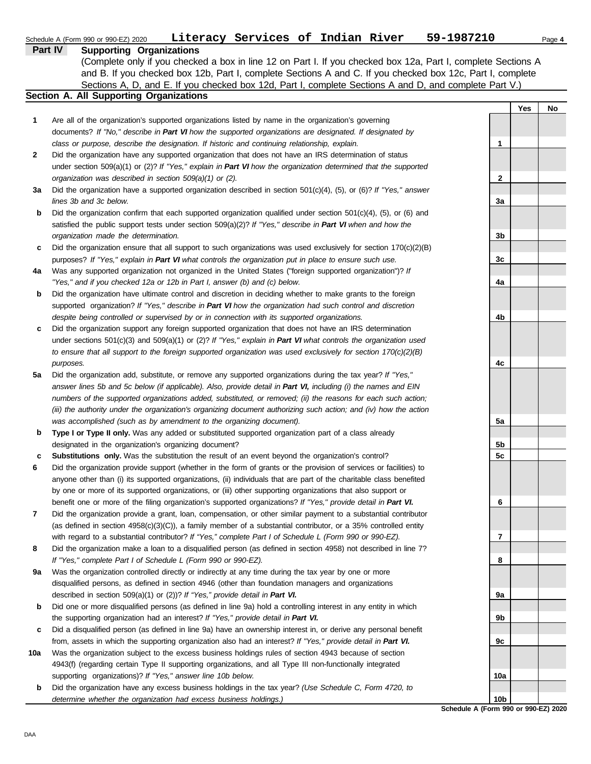|     | Literacy Services of Indian River<br>Schedule A (Form 990 or 990-EZ) 2020                                                | 59-1987210              |     | Page 4 |
|-----|--------------------------------------------------------------------------------------------------------------------------|-------------------------|-----|--------|
|     | <b>Part IV</b><br><b>Supporting Organizations</b>                                                                        |                         |     |        |
|     | (Complete only if you checked a box in line 12 on Part I. If you checked box 12a, Part I, complete Sections A            |                         |     |        |
|     | and B. If you checked box 12b, Part I, complete Sections A and C. If you checked box 12c, Part I, complete               |                         |     |        |
|     | Sections A, D, and E. If you checked box 12d, Part I, complete Sections A and D, and complete Part V.)                   |                         |     |        |
|     | Section A. All Supporting Organizations                                                                                  |                         |     |        |
|     |                                                                                                                          |                         | Yes | No     |
| 1   | Are all of the organization's supported organizations listed by name in the organization's governing                     |                         |     |        |
|     | documents? If "No," describe in Part VI how the supported organizations are designated. If designated by                 |                         |     |        |
|     | class or purpose, describe the designation. If historic and continuing relationship, explain.                            | $\mathbf{1}$            |     |        |
| 2   | Did the organization have any supported organization that does not have an IRS determination of status                   |                         |     |        |
|     | under section 509(a)(1) or (2)? If "Yes," explain in Part VI how the organization determined that the supported          |                         |     |        |
|     | organization was described in section 509(a)(1) or (2).                                                                  | $\mathbf{2}$            |     |        |
| За  | Did the organization have a supported organization described in section $501(c)(4)$ , (5), or (6)? If "Yes," answer      |                         |     |        |
|     | lines 3b and 3c below.                                                                                                   | 3a                      |     |        |
| b   | Did the organization confirm that each supported organization qualified under section $501(c)(4)$ , $(5)$ , or $(6)$ and |                         |     |        |
|     | satisfied the public support tests under section 509(a)(2)? If "Yes," describe in Part VI when and how the               |                         |     |        |
|     | organization made the determination.                                                                                     | 3 <sub>b</sub>          |     |        |
| c   | Did the organization ensure that all support to such organizations was used exclusively for section $170(c)(2)(B)$       |                         |     |        |
|     | purposes? If "Yes," explain in Part VI what controls the organization put in place to ensure such use.                   | 3c                      |     |        |
| 4a  | Was any supported organization not organized in the United States ("foreign supported organization")? If                 |                         |     |        |
|     | "Yes," and if you checked 12a or 12b in Part I, answer (b) and (c) below.                                                | 4a                      |     |        |
| b   | Did the organization have ultimate control and discretion in deciding whether to make grants to the foreign              |                         |     |        |
|     | supported organization? If "Yes," describe in Part VI how the organization had such control and discretion               |                         |     |        |
|     | despite being controlled or supervised by or in connection with its supported organizations.                             | 4b                      |     |        |
| c   | Did the organization support any foreign supported organization that does not have an IRS determination                  |                         |     |        |
|     | under sections $501(c)(3)$ and $509(a)(1)$ or (2)? If "Yes," explain in Part VI what controls the organization used      |                         |     |        |
|     | to ensure that all support to the foreign supported organization was used exclusively for section $170(c)(2)(B)$         |                         |     |        |
|     | purposes.                                                                                                                | 4с                      |     |        |
| 5a  | Did the organization add, substitute, or remove any supported organizations during the tax year? If "Yes,"               |                         |     |        |
|     | answer lines 5b and 5c below (if applicable). Also, provide detail in Part VI, including (i) the names and EIN           |                         |     |        |
|     | numbers of the supported organizations added, substituted, or removed; (ii) the reasons for each such action;            |                         |     |        |
|     | (iii) the authority under the organization's organizing document authorizing such action; and (iv) how the action        |                         |     |        |
|     | was accomplished (such as by amendment to the organizing document).                                                      | 5a                      |     |        |
| b   | Type I or Type II only. Was any added or substituted supported organization part of a class already                      |                         |     |        |
|     | designated in the organization's organizing document?                                                                    | 5b                      |     |        |
| c   | Substitutions only. Was the substitution the result of an event beyond the organization's control?                       | 5 <sub>c</sub>          |     |        |
|     | Did the organization provide support (whether in the form of grants or the provision of services or facilities) to       |                         |     |        |
|     | anyone other than (i) its supported organizations, (ii) individuals that are part of the charitable class benefited      |                         |     |        |
|     | by one or more of its supported organizations, or (iii) other supporting organizations that also support or              |                         |     |        |
|     | benefit one or more of the filing organization's supported organizations? If "Yes," provide detail in Part VI.           | 6                       |     |        |
| 7   | Did the organization provide a grant, loan, compensation, or other similar payment to a substantial contributor          |                         |     |        |
|     | (as defined in section $4958(c)(3)(C)$ ), a family member of a substantial contributor, or a 35% controlled entity       |                         |     |        |
|     | with regard to a substantial contributor? If "Yes," complete Part I of Schedule L (Form 990 or 990-EZ).                  | $\overline{\mathbf{r}}$ |     |        |
| 8   | Did the organization make a loan to a disqualified person (as defined in section 4958) not described in line 7?          |                         |     |        |
|     | If "Yes," complete Part I of Schedule L (Form 990 or 990-EZ).                                                            | 8                       |     |        |
| 9а  | Was the organization controlled directly or indirectly at any time during the tax year by one or more                    |                         |     |        |
|     | disqualified persons, as defined in section 4946 (other than foundation managers and organizations                       |                         |     |        |
|     | described in section 509(a)(1) or (2))? If "Yes," provide detail in Part VI.                                             | 9а                      |     |        |
| b   | Did one or more disqualified persons (as defined in line 9a) hold a controlling interest in any entity in which          |                         |     |        |
|     | the supporting organization had an interest? If "Yes," provide detail in Part VI.                                        | 9b                      |     |        |
| c   | Did a disqualified person (as defined in line 9a) have an ownership interest in, or derive any personal benefit          |                         |     |        |
|     | from, assets in which the supporting organization also had an interest? If "Yes," provide detail in Part VI.             | 9с                      |     |        |
| 10a | Was the organization subject to the excess business holdings rules of section 4943 because of section                    |                         |     |        |
|     | 4943(f) (regarding certain Type II supporting organizations, and all Type III non-functionally integrated                |                         |     |        |
|     | supporting organizations)? If "Yes," answer line 10b below.                                                              | 10a                     |     |        |
| b   | Did the organization have any excess business holdings in the tax year? (Use Schedule C, Form 4720, to                   |                         |     |        |
|     | determine whether the organization had excess business holdings.)                                                        | 10b                     |     |        |

**Schedule A (Form 990 or 990-EZ) 2020**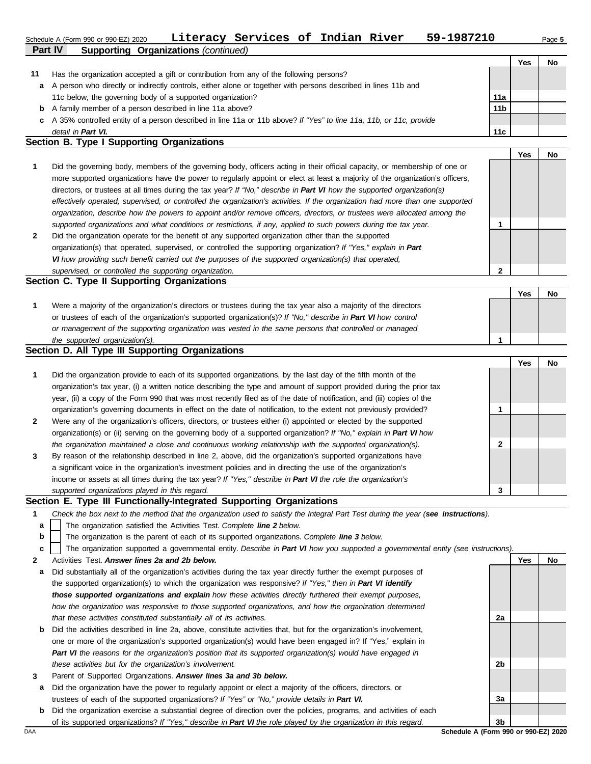#### **Part IV Supporting Organizations** *(continued)* Schedule A (Form 990 or 990-EZ) 2020 Page **5 Literacy Services of Indian River 59-1987210**

|    |                                                                                                                      |                 | Yes | No |
|----|----------------------------------------------------------------------------------------------------------------------|-----------------|-----|----|
| 11 | Has the organization accepted a gift or contribution from any of the following persons?                              |                 |     |    |
| a  | A person who directly or indirectly controls, either alone or together with persons described in lines 11b and       |                 |     |    |
|    | 11c below, the governing body of a supported organization?                                                           | 11a             |     |    |
| b  | A family member of a person described in line 11a above?                                                             | 11 <sub>b</sub> |     |    |
|    | c A 35% controlled entity of a person described in line 11a or 11b above? If "Yes" to line 11a, 11b, or 11c, provide |                 |     |    |
|    | detail in Part VI.                                                                                                   | 11c             |     |    |

#### **Section B. Type I Supporting Organizations**

|              |                                                                                                                                | Yes | No. |
|--------------|--------------------------------------------------------------------------------------------------------------------------------|-----|-----|
| $\mathbf 1$  | Did the governing body, members of the governing body, officers acting in their official capacity, or membership of one or     |     |     |
|              | more supported organizations have the power to regularly appoint or elect at least a majority of the organization's officers,  |     |     |
|              | directors, or trustees at all times during the tax year? If "No," describe in Part VI how the supported organization(s)        |     |     |
|              | effectively operated, supervised, or controlled the organization's activities. If the organization had more than one supported |     |     |
|              | organization, describe how the powers to appoint and/or remove officers, directors, or trustees were allocated among the       |     |     |
|              | supported organizations and what conditions or restrictions, if any, applied to such powers during the tax year.               |     |     |
| $\mathbf{2}$ | Did the organization operate for the benefit of any supported organization other than the supported                            |     |     |
|              | organization(s) that operated, supervised, or controlled the supporting organization? If "Yes," explain in Part                |     |     |
|              | VI how providing such benefit carried out the purposes of the supported organization(s) that operated,                         |     |     |

#### **Section C. Type II Supporting Organizations** Were a majority of the organization's directors or trustees during the tax year also a majority of the directors or trustees of each of the organization's supported organization(s)? *If "No," describe in Part VI how control* **1** *or management of the supporting organization was vested in the same persons that controlled or managed the supported organization(s).* **Yes No 1**

#### **Section D. All Type III Supporting Organizations**

*supervised, or controlled the supporting organization.*

|              |                                                                                                                        |   | Yes | No |
|--------------|------------------------------------------------------------------------------------------------------------------------|---|-----|----|
| 1            | Did the organization provide to each of its supported organizations, by the last day of the fifth month of the         |   |     |    |
|              | organization's tax year, (i) a written notice describing the type and amount of support provided during the prior tax  |   |     |    |
|              | year, (ii) a copy of the Form 990 that was most recently filed as of the date of notification, and (iii) copies of the |   |     |    |
|              | organization's governing documents in effect on the date of notification, to the extent not previously provided?       |   |     |    |
| $\mathbf{2}$ | Were any of the organization's officers, directors, or trustees either (i) appointed or elected by the supported       |   |     |    |
|              | organization(s) or (ii) serving on the governing body of a supported organization? If "No," explain in Part VI how     |   |     |    |
|              | the organization maintained a close and continuous working relationship with the supported organization(s).            | າ |     |    |
| $\mathbf{3}$ | By reason of the relationship described in line 2, above, did the organization's supported organizations have          |   |     |    |
|              | a significant voice in the organization's investment policies and in directing the use of the organization's           |   |     |    |
|              | income or assets at all times during the tax year? If "Yes," describe in Part VI the role the organization's           |   |     |    |
|              | supported organizations played in this regard.                                                                         | 3 |     |    |

#### **Section E. Type III Functionally-Integrated Supporting Organizations**

- **1** *Check the box next to the method that the organization used to satisfy the Integral Part Test during the year (see instructions).*
	- The organization satisfied the Activities Test. *Complete line 2 below.* **a**
	- The organization is the parent of each of its supported organizations. *Complete line 3 below.* **b**

The organization supported a governmental entity. *Describe in Part VI how you supported a governmental entity (see instructions).* **c**

- **2** Activities Test. *Answer lines 2a and 2b below.*
- **a** Did substantially all of the organization's activities during the tax year directly further the exempt purposes of the supported organization(s) to which the organization was responsive? *If "Yes," then in Part VI identify those supported organizations and explain how these activities directly furthered their exempt purposes,*  how the organization was responsive to those supported organizations, and how the organization determined *that these activities constituted substantially all of its activities.*
- **b** Did the activities described in line 2a, above, constitute activities that, but for the organization's involvement, one or more of the organization's supported organization(s) would have been engaged in? If "Yes," explain in *Part VI the reasons for the organization's position that its supported organization(s) would have engaged in these activities but for the organization's involvement.*
- **3** Parent of Supported Organizations. *Answer lines 3a and 3b below.*
- **a** Did the organization have the power to regularly appoint or elect a majority of the officers, directors, or trustees of each of the supported organizations? *If "Yes" or "No," provide details in Part VI.*
- **b** Did the organization exercise a substantial degree of direction over the policies, programs, and activities of each of its supported organizations? *If "Yes," describe in Part VI the role played by the organization in this regard.*

**Yes No 2a 2b 3a 3b**

**2**

DAA **Schedule A (Form 990 or 990-EZ) 2020**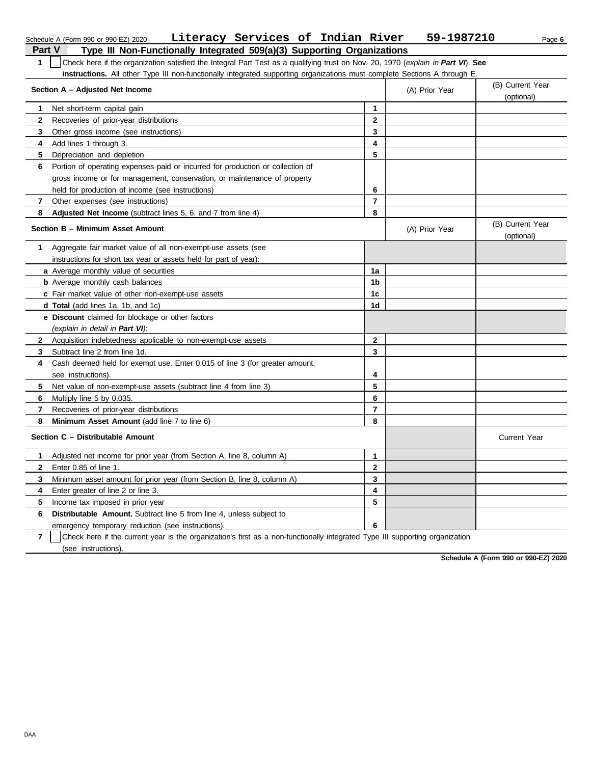|                | Literacy Services of Indian River<br>Schedule A (Form 990 or 990-EZ) 2020                                                        |                | 59-1987210     | Page 6                         |
|----------------|----------------------------------------------------------------------------------------------------------------------------------|----------------|----------------|--------------------------------|
| <b>Part V</b>  | Type III Non-Functionally Integrated 509(a)(3) Supporting Organizations                                                          |                |                |                                |
| $\mathbf{1}$   | Check here if the organization satisfied the Integral Part Test as a qualifying trust on Nov. 20, 1970 (explain in Part VI). See |                |                |                                |
|                | instructions. All other Type III non-functionally integrated supporting organizations must complete Sections A through E.        |                |                |                                |
|                | Section A - Adjusted Net Income                                                                                                  |                | (A) Prior Year | (B) Current Year<br>(optional) |
| 1              | Net short-term capital gain                                                                                                      | 1              |                |                                |
| 2              | Recoveries of prior-year distributions                                                                                           | $\mathbf{2}$   |                |                                |
| 3              | Other gross income (see instructions)                                                                                            | 3              |                |                                |
| 4              | Add lines 1 through 3.                                                                                                           | 4              |                |                                |
| 5              | Depreciation and depletion                                                                                                       | 5              |                |                                |
| 6              | Portion of operating expenses paid or incurred for production or collection of                                                   |                |                |                                |
|                | gross income or for management, conservation, or maintenance of property                                                         |                |                |                                |
|                | held for production of income (see instructions)                                                                                 | 6              |                |                                |
| 7              | Other expenses (see instructions)                                                                                                | $\overline{7}$ |                |                                |
| 8              | Adjusted Net Income (subtract lines 5, 6, and 7 from line 4)                                                                     | 8              |                |                                |
|                | Section B - Minimum Asset Amount                                                                                                 |                | (A) Prior Year | (B) Current Year<br>(optional) |
| 1.             | Aggregate fair market value of all non-exempt-use assets (see                                                                    |                |                |                                |
|                | instructions for short tax year or assets held for part of year):                                                                |                |                |                                |
|                | a Average monthly value of securities                                                                                            | 1a             |                |                                |
|                | <b>b</b> Average monthly cash balances                                                                                           | 1b             |                |                                |
|                | c Fair market value of other non-exempt-use assets                                                                               | 1 <sub>c</sub> |                |                                |
|                | d Total (add lines 1a, 1b, and 1c)                                                                                               | 1d             |                |                                |
|                | e Discount claimed for blockage or other factors                                                                                 |                |                |                                |
|                | (explain in detail in Part VI):                                                                                                  |                |                |                                |
| $\mathbf{2}$   | Acquisition indebtedness applicable to non-exempt-use assets                                                                     | $\mathbf{2}$   |                |                                |
| 3              | Subtract line 2 from line 1d.                                                                                                    | 3              |                |                                |
| 4              | Cash deemed held for exempt use. Enter 0.015 of line 3 (for greater amount,                                                      |                |                |                                |
|                | see instructions).                                                                                                               | 4              |                |                                |
| 5              | Net value of non-exempt-use assets (subtract line 4 from line 3)                                                                 | 5              |                |                                |
| 6              | Multiply line 5 by 0.035.                                                                                                        | 6              |                |                                |
| 7              | Recoveries of prior-year distributions                                                                                           | $\overline{7}$ |                |                                |
| 8              | Minimum Asset Amount (add line 7 to line 6)                                                                                      | 8              |                |                                |
|                | Section C - Distributable Amount                                                                                                 |                |                | <b>Current Year</b>            |
|                | Adjusted net income for prior year (from Section A, line 8, column A)                                                            | 1              |                |                                |
| $\mathbf{2}$   | Enter 0.85 of line 1.                                                                                                            | $\bf 2$        |                |                                |
| 3              | Minimum asset amount for prior year (from Section B, line 8, column A)                                                           | 3              |                |                                |
| 4              | Enter greater of line 2 or line 3.                                                                                               | 4              |                |                                |
| 5.             | Income tax imposed in prior year                                                                                                 | 5              |                |                                |
| 6              | Distributable Amount. Subtract line 5 from line 4, unless subject to                                                             |                |                |                                |
|                | emergency temporary reduction (see instructions).                                                                                | 6              |                |                                |
| $\overline{7}$ | Check here if the current year is the organization's first as a non-functionally integrated Type III supporting organization     |                |                |                                |

(see instructions).

**Schedule A (Form 990 or 990-EZ) 2020**

DAA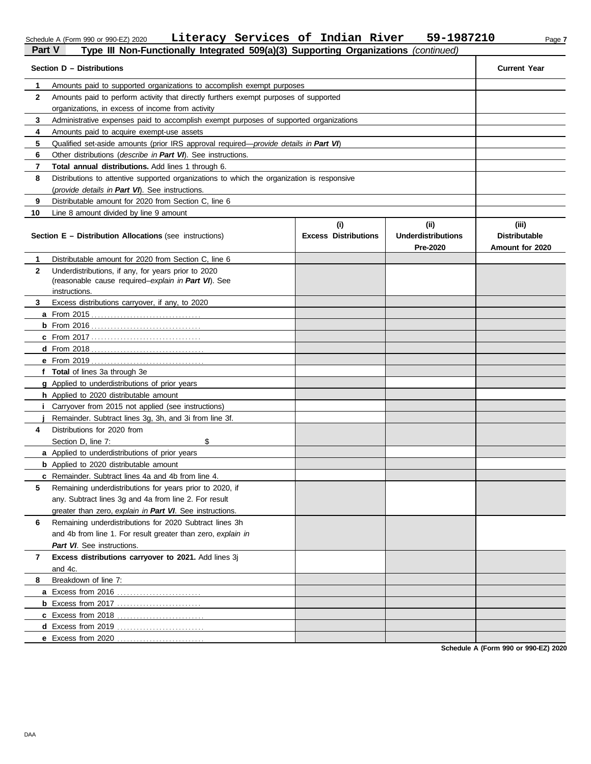#### Schedule A (Form 990 or 990-EZ) 2020 **Literacy Services Or Indian River 59-1987Z10** Page 7 **Literacy Services of Indian River 59-1987210**

# **Part V Type III Non-Functionally Integrated 509(a)(3) Supporting Organizations** *(continued)*

|              | $\cdots$ $\cdots$ $\cdots$ $\cdots$<br><br>Section D - Distributions                       |                                    |                                              | <b>Current Year</b>                              |  |  |  |  |
|--------------|--------------------------------------------------------------------------------------------|------------------------------------|----------------------------------------------|--------------------------------------------------|--|--|--|--|
| 1            | Amounts paid to supported organizations to accomplish exempt purposes                      |                                    |                                              |                                                  |  |  |  |  |
| $\mathbf{2}$ | Amounts paid to perform activity that directly furthers exempt purposes of supported       |                                    |                                              |                                                  |  |  |  |  |
|              | organizations, in excess of income from activity                                           |                                    |                                              |                                                  |  |  |  |  |
| 3            | Administrative expenses paid to accomplish exempt purposes of supported organizations      |                                    |                                              |                                                  |  |  |  |  |
| 4            | Amounts paid to acquire exempt-use assets                                                  |                                    |                                              |                                                  |  |  |  |  |
| 5            | Qualified set-aside amounts (prior IRS approval required-provide details in Part VI)       |                                    |                                              |                                                  |  |  |  |  |
| 6            | Other distributions (describe in Part VI). See instructions.                               |                                    |                                              |                                                  |  |  |  |  |
| 7            | Total annual distributions. Add lines 1 through 6.                                         |                                    |                                              |                                                  |  |  |  |  |
| 8            | Distributions to attentive supported organizations to which the organization is responsive |                                    |                                              |                                                  |  |  |  |  |
|              | (provide details in Part VI). See instructions.                                            |                                    |                                              |                                                  |  |  |  |  |
| 9            | Distributable amount for 2020 from Section C, line 6                                       |                                    |                                              |                                                  |  |  |  |  |
| 10           | Line 8 amount divided by line 9 amount                                                     |                                    |                                              |                                                  |  |  |  |  |
|              | <b>Section E - Distribution Allocations (see instructions)</b>                             | (i)<br><b>Excess Distributions</b> | (i)<br><b>Underdistributions</b><br>Pre-2020 | (iii)<br><b>Distributable</b><br>Amount for 2020 |  |  |  |  |
| 1.           | Distributable amount for 2020 from Section C, line 6                                       |                                    |                                              |                                                  |  |  |  |  |
| $\mathbf{2}$ | Underdistributions, if any, for years prior to 2020                                        |                                    |                                              |                                                  |  |  |  |  |
|              | (reasonable cause required-explain in Part VI). See                                        |                                    |                                              |                                                  |  |  |  |  |
| 3            | instructions.<br>Excess distributions carryover, if any, to 2020                           |                                    |                                              |                                                  |  |  |  |  |
|              | <b>a</b> From 2015                                                                         |                                    |                                              |                                                  |  |  |  |  |
|              | $b$ From 2016                                                                              |                                    |                                              |                                                  |  |  |  |  |
|              |                                                                                            |                                    |                                              |                                                  |  |  |  |  |
|              | $d$ From 2018                                                                              |                                    |                                              |                                                  |  |  |  |  |
|              | e From 2019                                                                                |                                    |                                              |                                                  |  |  |  |  |
|              | f Total of lines 3a through 3e                                                             |                                    |                                              |                                                  |  |  |  |  |
|              | g Applied to underdistributions of prior years                                             |                                    |                                              |                                                  |  |  |  |  |
|              | <b>h</b> Applied to 2020 distributable amount                                              |                                    |                                              |                                                  |  |  |  |  |
|              | Carryover from 2015 not applied (see instructions)                                         |                                    |                                              |                                                  |  |  |  |  |
|              | Remainder. Subtract lines 3g, 3h, and 3i from line 3f.                                     |                                    |                                              |                                                  |  |  |  |  |
| 4            | Distributions for 2020 from                                                                |                                    |                                              |                                                  |  |  |  |  |
|              | Section D, line 7:<br>\$                                                                   |                                    |                                              |                                                  |  |  |  |  |
|              | a Applied to underdistributions of prior years                                             |                                    |                                              |                                                  |  |  |  |  |
|              | <b>b</b> Applied to 2020 distributable amount                                              |                                    |                                              |                                                  |  |  |  |  |
|              | <b>c</b> Remainder. Subtract lines 4a and 4b from line 4.                                  |                                    |                                              |                                                  |  |  |  |  |
| 5            | Remaining underdistributions for years prior to 2020, if                                   |                                    |                                              |                                                  |  |  |  |  |
|              | any. Subtract lines 3g and 4a from line 2. For result                                      |                                    |                                              |                                                  |  |  |  |  |
|              | greater than zero, explain in Part VI. See instructions.                                   |                                    |                                              |                                                  |  |  |  |  |
| 6            | Remaining underdistributions for 2020 Subtract lines 3h                                    |                                    |                                              |                                                  |  |  |  |  |
|              | and 4b from line 1. For result greater than zero, explain in                               |                                    |                                              |                                                  |  |  |  |  |
|              | Part VI. See instructions.                                                                 |                                    |                                              |                                                  |  |  |  |  |
| 7            | Excess distributions carryover to 2021. Add lines 3j                                       |                                    |                                              |                                                  |  |  |  |  |
|              | and 4c.                                                                                    |                                    |                                              |                                                  |  |  |  |  |
| 8            | Breakdown of line 7:                                                                       |                                    |                                              |                                                  |  |  |  |  |
|              | a Excess from 2016                                                                         |                                    |                                              |                                                  |  |  |  |  |
|              | <b>b</b> Excess from 2017                                                                  |                                    |                                              |                                                  |  |  |  |  |
|              | c Excess from 2018                                                                         |                                    |                                              |                                                  |  |  |  |  |
|              | <b>d</b> Excess from 2019                                                                  |                                    |                                              |                                                  |  |  |  |  |
|              | e Excess from 2020                                                                         |                                    |                                              |                                                  |  |  |  |  |

**Schedule A (Form 990 or 990-EZ) 2020**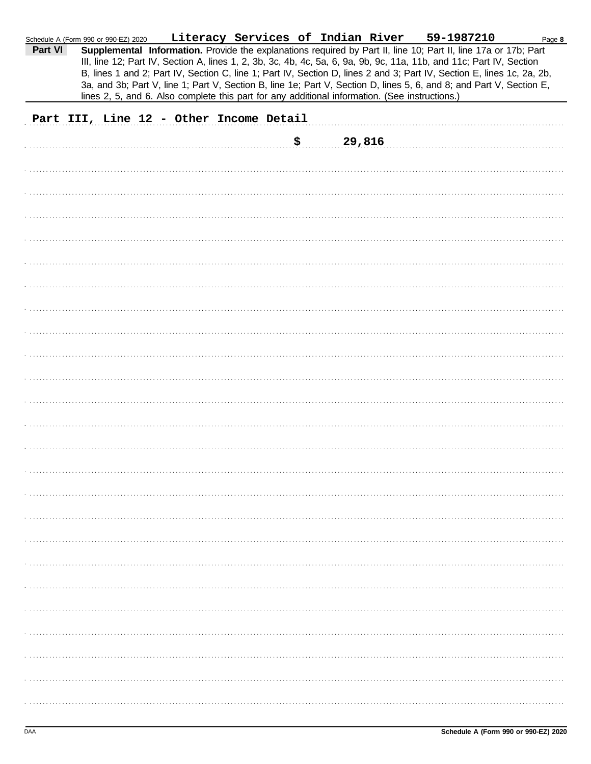| Part VI | Schedule A (Form 990 or 990-EZ) 2020    |  | Literacy Services of Indian River<br>lines 2, 5, and 6. Also complete this part for any additional information. (See instructions.) | 59-1987210<br>Supplemental Information. Provide the explanations required by Part II, line 10; Part II, line 17a or 17b; Part<br>III, line 12; Part IV, Section A, lines 1, 2, 3b, 3c, 4b, 4c, 5a, 6, 9a, 9b, 9c, 11a, 11b, and 11c; Part IV, Section<br>B, lines 1 and 2; Part IV, Section C, line 1; Part IV, Section D, lines 2 and 3; Part IV, Section E, lines 1c, 2a, 2b,<br>3a, and 3b; Part V, line 1; Part V, Section B, line 1e; Part V, Section D, lines 5, 6, and 8; and Part V, Section E, | Page 8 |
|---------|-----------------------------------------|--|-------------------------------------------------------------------------------------------------------------------------------------|---------------------------------------------------------------------------------------------------------------------------------------------------------------------------------------------------------------------------------------------------------------------------------------------------------------------------------------------------------------------------------------------------------------------------------------------------------------------------------------------------------|--------|
|         | Part III, Line 12 - Other Income Detail |  |                                                                                                                                     |                                                                                                                                                                                                                                                                                                                                                                                                                                                                                                         |        |
|         |                                         |  | \$<br>29,816                                                                                                                        |                                                                                                                                                                                                                                                                                                                                                                                                                                                                                                         |        |
|         |                                         |  |                                                                                                                                     |                                                                                                                                                                                                                                                                                                                                                                                                                                                                                                         |        |
|         |                                         |  |                                                                                                                                     |                                                                                                                                                                                                                                                                                                                                                                                                                                                                                                         |        |
|         |                                         |  |                                                                                                                                     |                                                                                                                                                                                                                                                                                                                                                                                                                                                                                                         |        |
|         |                                         |  |                                                                                                                                     |                                                                                                                                                                                                                                                                                                                                                                                                                                                                                                         |        |
|         |                                         |  |                                                                                                                                     |                                                                                                                                                                                                                                                                                                                                                                                                                                                                                                         |        |
|         |                                         |  |                                                                                                                                     |                                                                                                                                                                                                                                                                                                                                                                                                                                                                                                         |        |
|         |                                         |  |                                                                                                                                     |                                                                                                                                                                                                                                                                                                                                                                                                                                                                                                         |        |
|         |                                         |  |                                                                                                                                     |                                                                                                                                                                                                                                                                                                                                                                                                                                                                                                         |        |
|         |                                         |  |                                                                                                                                     |                                                                                                                                                                                                                                                                                                                                                                                                                                                                                                         |        |
|         |                                         |  |                                                                                                                                     |                                                                                                                                                                                                                                                                                                                                                                                                                                                                                                         |        |
|         |                                         |  |                                                                                                                                     |                                                                                                                                                                                                                                                                                                                                                                                                                                                                                                         |        |
|         |                                         |  |                                                                                                                                     |                                                                                                                                                                                                                                                                                                                                                                                                                                                                                                         |        |
|         |                                         |  |                                                                                                                                     |                                                                                                                                                                                                                                                                                                                                                                                                                                                                                                         |        |
|         |                                         |  |                                                                                                                                     |                                                                                                                                                                                                                                                                                                                                                                                                                                                                                                         |        |
|         |                                         |  |                                                                                                                                     |                                                                                                                                                                                                                                                                                                                                                                                                                                                                                                         |        |
|         |                                         |  |                                                                                                                                     |                                                                                                                                                                                                                                                                                                                                                                                                                                                                                                         |        |
|         |                                         |  |                                                                                                                                     |                                                                                                                                                                                                                                                                                                                                                                                                                                                                                                         |        |
|         |                                         |  |                                                                                                                                     |                                                                                                                                                                                                                                                                                                                                                                                                                                                                                                         |        |
|         |                                         |  |                                                                                                                                     |                                                                                                                                                                                                                                                                                                                                                                                                                                                                                                         |        |
|         |                                         |  |                                                                                                                                     |                                                                                                                                                                                                                                                                                                                                                                                                                                                                                                         |        |
|         |                                         |  |                                                                                                                                     |                                                                                                                                                                                                                                                                                                                                                                                                                                                                                                         |        |
|         |                                         |  |                                                                                                                                     |                                                                                                                                                                                                                                                                                                                                                                                                                                                                                                         |        |
|         |                                         |  |                                                                                                                                     |                                                                                                                                                                                                                                                                                                                                                                                                                                                                                                         |        |
|         |                                         |  |                                                                                                                                     |                                                                                                                                                                                                                                                                                                                                                                                                                                                                                                         |        |
|         |                                         |  |                                                                                                                                     |                                                                                                                                                                                                                                                                                                                                                                                                                                                                                                         |        |
|         |                                         |  |                                                                                                                                     |                                                                                                                                                                                                                                                                                                                                                                                                                                                                                                         |        |
|         |                                         |  |                                                                                                                                     |                                                                                                                                                                                                                                                                                                                                                                                                                                                                                                         |        |
|         |                                         |  |                                                                                                                                     |                                                                                                                                                                                                                                                                                                                                                                                                                                                                                                         |        |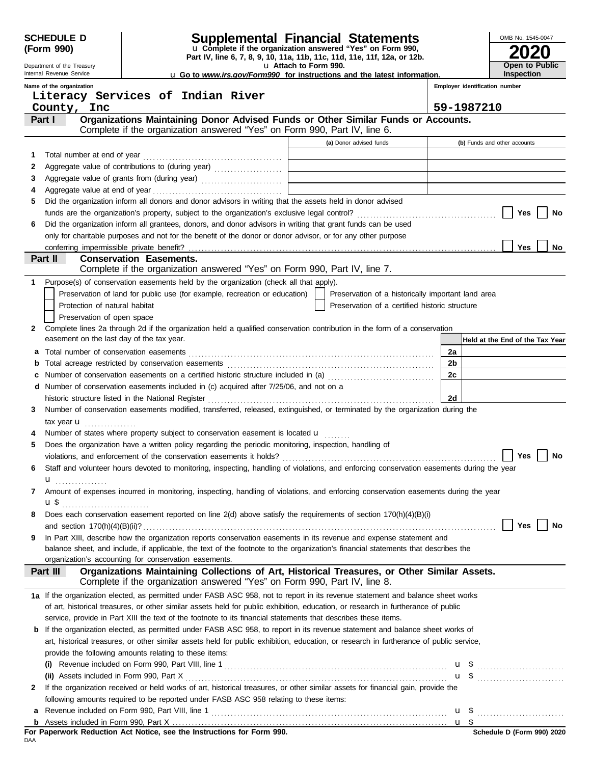| <b>SCHEDULE D</b><br>(Form 990) |                                                                                                                                                                                                                                                |                                                                                                             |  |  |  | Supplemental Financial Statements<br>u Complete if the organization answered "Yes" on Form 990, |                |                                | OMB No. 1545-0047                                |
|---------------------------------|------------------------------------------------------------------------------------------------------------------------------------------------------------------------------------------------------------------------------------------------|-------------------------------------------------------------------------------------------------------------|--|--|--|-------------------------------------------------------------------------------------------------|----------------|--------------------------------|--------------------------------------------------|
|                                 | Part IV, line 6, 7, 8, 9, 10, 11a, 11b, 11c, 11d, 11e, 11f, 12a, or 12b.<br>u Attach to Form 990.<br>Department of the Treasury<br>Internal Revenue Service<br><b>u</b> Go to www.irs.gov/Form990 for instructions and the latest information. |                                                                                                             |  |  |  |                                                                                                 |                | Open to Public<br>Inspection   |                                                  |
|                                 | Name of the organization                                                                                                                                                                                                                       |                                                                                                             |  |  |  |                                                                                                 |                | Employer identification number |                                                  |
|                                 | Literacy Services of Indian River                                                                                                                                                                                                              |                                                                                                             |  |  |  |                                                                                                 |                |                                |                                                  |
|                                 | County, Inc.                                                                                                                                                                                                                                   |                                                                                                             |  |  |  |                                                                                                 |                | 59-1987210                     |                                                  |
|                                 | Part I                                                                                                                                                                                                                                         | Complete if the organization answered "Yes" on Form 990, Part IV, line 6.                                   |  |  |  | Organizations Maintaining Donor Advised Funds or Other Similar Funds or Accounts.               |                |                                |                                                  |
|                                 |                                                                                                                                                                                                                                                |                                                                                                             |  |  |  | (a) Donor advised funds                                                                         |                | (b) Funds and other accounts   |                                                  |
| 1                               |                                                                                                                                                                                                                                                |                                                                                                             |  |  |  |                                                                                                 |                |                                |                                                  |
| 2                               | Aggregate value of contributions to (during year)                                                                                                                                                                                              |                                                                                                             |  |  |  |                                                                                                 |                |                                |                                                  |
| 3                               | Aggregate value of grants from (during year)                                                                                                                                                                                                   |                                                                                                             |  |  |  |                                                                                                 |                |                                |                                                  |
| 4                               |                                                                                                                                                                                                                                                |                                                                                                             |  |  |  |                                                                                                 |                |                                |                                                  |
| 5                               | Did the organization inform all donors and donor advisors in writing that the assets held in donor advised                                                                                                                                     |                                                                                                             |  |  |  |                                                                                                 |                |                                |                                                  |
|                                 |                                                                                                                                                                                                                                                |                                                                                                             |  |  |  |                                                                                                 |                |                                | Yes<br>No                                        |
| 6                               | Did the organization inform all grantees, donors, and donor advisors in writing that grant funds can be used                                                                                                                                   |                                                                                                             |  |  |  |                                                                                                 |                |                                |                                                  |
|                                 | only for charitable purposes and not for the benefit of the donor or donor advisor, or for any other purpose                                                                                                                                   |                                                                                                             |  |  |  |                                                                                                 |                |                                |                                                  |
|                                 |                                                                                                                                                                                                                                                |                                                                                                             |  |  |  |                                                                                                 |                |                                | Yes<br>No.                                       |
|                                 | Part II                                                                                                                                                                                                                                        | <b>Conservation Easements.</b><br>Complete if the organization answered "Yes" on Form 990, Part IV, line 7. |  |  |  |                                                                                                 |                |                                |                                                  |
| 1                               | Purpose(s) of conservation easements held by the organization (check all that apply).                                                                                                                                                          |                                                                                                             |  |  |  |                                                                                                 |                |                                |                                                  |
|                                 |                                                                                                                                                                                                                                                | Preservation of land for public use (for example, recreation or education)                                  |  |  |  | Preservation of a historically important land area                                              |                |                                |                                                  |
|                                 | Protection of natural habitat                                                                                                                                                                                                                  |                                                                                                             |  |  |  | Preservation of a certified historic structure                                                  |                |                                |                                                  |
|                                 | Preservation of open space                                                                                                                                                                                                                     |                                                                                                             |  |  |  |                                                                                                 |                |                                |                                                  |
| 2                               | Complete lines 2a through 2d if the organization held a qualified conservation contribution in the form of a conservation                                                                                                                      |                                                                                                             |  |  |  |                                                                                                 |                |                                |                                                  |
|                                 | easement on the last day of the tax year.                                                                                                                                                                                                      |                                                                                                             |  |  |  |                                                                                                 |                |                                | Held at the End of the Tax Year                  |
| а                               |                                                                                                                                                                                                                                                |                                                                                                             |  |  |  |                                                                                                 | 2a             |                                |                                                  |
|                                 |                                                                                                                                                                                                                                                |                                                                                                             |  |  |  |                                                                                                 | 2 <sub>b</sub> |                                |                                                  |
| c                               | Number of conservation easements on a certified historic structure included in (a) conservation conservation                                                                                                                                   |                                                                                                             |  |  |  |                                                                                                 | 2c             |                                |                                                  |
|                                 | d Number of conservation easements included in (c) acquired after 7/25/06, and not on a                                                                                                                                                        |                                                                                                             |  |  |  |                                                                                                 |                |                                |                                                  |
|                                 |                                                                                                                                                                                                                                                |                                                                                                             |  |  |  |                                                                                                 | <b>2d</b>      |                                |                                                  |
| 3                               | Number of conservation easements modified, transferred, released, extinguished, or terminated by the organization during the                                                                                                                   |                                                                                                             |  |  |  |                                                                                                 |                |                                |                                                  |
|                                 | tax year $\mathbf{u}$                                                                                                                                                                                                                          |                                                                                                             |  |  |  |                                                                                                 |                |                                |                                                  |
|                                 | Number of states where property subject to conservation easement is located <b>u</b>                                                                                                                                                           |                                                                                                             |  |  |  |                                                                                                 |                |                                |                                                  |
| 5                               | Does the organization have a written policy regarding the periodic monitoring, inspection, handling of                                                                                                                                         |                                                                                                             |  |  |  |                                                                                                 |                |                                | Yes<br>No                                        |
| 6                               | Staff and volunteer hours devoted to monitoring, inspecting, handling of violations, and enforcing conservation easements during the year                                                                                                      |                                                                                                             |  |  |  |                                                                                                 |                |                                |                                                  |
|                                 | u <sub></sub>                                                                                                                                                                                                                                  |                                                                                                             |  |  |  |                                                                                                 |                |                                |                                                  |
| 7                               | Amount of expenses incurred in monitoring, inspecting, handling of violations, and enforcing conservation easements during the year                                                                                                            |                                                                                                             |  |  |  |                                                                                                 |                |                                |                                                  |
|                                 |                                                                                                                                                                                                                                                |                                                                                                             |  |  |  |                                                                                                 |                |                                |                                                  |
| 8                               | Does each conservation easement reported on line 2(d) above satisfy the requirements of section 170(h)(4)(B)(i)                                                                                                                                |                                                                                                             |  |  |  |                                                                                                 |                |                                |                                                  |
|                                 |                                                                                                                                                                                                                                                |                                                                                                             |  |  |  |                                                                                                 |                |                                | Yes<br>No                                        |
| 9                               | In Part XIII, describe how the organization reports conservation easements in its revenue and expense statement and                                                                                                                            |                                                                                                             |  |  |  |                                                                                                 |                |                                |                                                  |
|                                 | balance sheet, and include, if applicable, the text of the footnote to the organization's financial statements that describes the                                                                                                              |                                                                                                             |  |  |  |                                                                                                 |                |                                |                                                  |
|                                 | organization's accounting for conservation easements.                                                                                                                                                                                          |                                                                                                             |  |  |  |                                                                                                 |                |                                |                                                  |
|                                 | Part III                                                                                                                                                                                                                                       | Complete if the organization answered "Yes" on Form 990, Part IV, line 8.                                   |  |  |  | Organizations Maintaining Collections of Art, Historical Treasures, or Other Similar Assets.    |                |                                |                                                  |
|                                 | 1a If the organization elected, as permitted under FASB ASC 958, not to report in its revenue statement and balance sheet works                                                                                                                |                                                                                                             |  |  |  |                                                                                                 |                |                                |                                                  |
|                                 | of art, historical treasures, or other similar assets held for public exhibition, education, or research in furtherance of public                                                                                                              |                                                                                                             |  |  |  |                                                                                                 |                |                                |                                                  |
|                                 | service, provide in Part XIII the text of the footnote to its financial statements that describes these items.                                                                                                                                 |                                                                                                             |  |  |  |                                                                                                 |                |                                |                                                  |
|                                 | <b>b</b> If the organization elected, as permitted under FASB ASC 958, to report in its revenue statement and balance sheet works of                                                                                                           |                                                                                                             |  |  |  |                                                                                                 |                |                                |                                                  |
|                                 | art, historical treasures, or other similar assets held for public exhibition, education, or research in furtherance of public service,                                                                                                        |                                                                                                             |  |  |  |                                                                                                 |                |                                |                                                  |
|                                 | provide the following amounts relating to these items:                                                                                                                                                                                         |                                                                                                             |  |  |  |                                                                                                 |                |                                |                                                  |
|                                 |                                                                                                                                                                                                                                                |                                                                                                             |  |  |  |                                                                                                 |                |                                |                                                  |
| 2                               | If the organization received or held works of art, historical treasures, or other similar assets for financial gain, provide the                                                                                                               |                                                                                                             |  |  |  |                                                                                                 |                |                                | $\mathbf{u}$ \$                                  |
|                                 | following amounts required to be reported under FASB ASC 958 relating to these items:                                                                                                                                                          |                                                                                                             |  |  |  |                                                                                                 |                |                                |                                                  |
|                                 |                                                                                                                                                                                                                                                |                                                                                                             |  |  |  |                                                                                                 |                |                                |                                                  |
|                                 |                                                                                                                                                                                                                                                |                                                                                                             |  |  |  |                                                                                                 |                |                                | $\underline{u}$ \$<br>Sebedule D (Ferm 000) 2020 |
|                                 |                                                                                                                                                                                                                                                |                                                                                                             |  |  |  |                                                                                                 |                |                                |                                                  |

**For Paperwork Reduction Act Notice, see the Instructions for Form 990.**<br><sub>DAA</sub>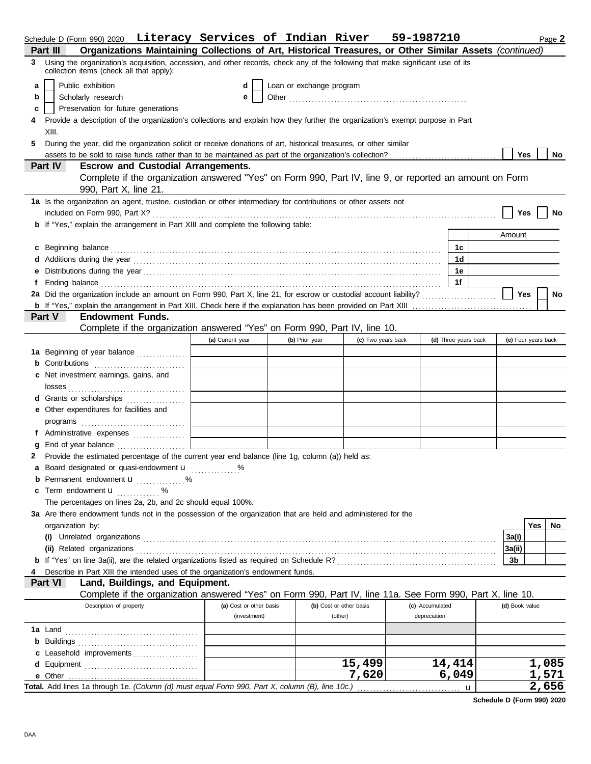|                              | Schedule D (Form 990) 2020 Literacy Services of Indian River                                                                                                                |                         |                          |                |                         | 59-1987210      |                      |                | Page 2              |  |
|------------------------------|-----------------------------------------------------------------------------------------------------------------------------------------------------------------------------|-------------------------|--------------------------|----------------|-------------------------|-----------------|----------------------|----------------|---------------------|--|
| Part III                     | Organizations Maintaining Collections of Art, Historical Treasures, or Other Similar Assets (continued)                                                                     |                         |                          |                |                         |                 |                      |                |                     |  |
| 3                            | Using the organization's acquisition, accession, and other records, check any of the following that make significant use of its<br>collection items (check all that apply): |                         |                          |                |                         |                 |                      |                |                     |  |
| a                            | Public exhibition                                                                                                                                                           | d                       | Loan or exchange program |                |                         |                 |                      |                |                     |  |
| Scholarly research<br>b<br>е |                                                                                                                                                                             |                         |                          |                |                         |                 |                      |                |                     |  |
| c                            | Preservation for future generations                                                                                                                                         |                         |                          |                |                         |                 |                      |                |                     |  |
| 4                            | Provide a description of the organization's collections and explain how they further the organization's exempt purpose in Part                                              |                         |                          |                |                         |                 |                      |                |                     |  |
| XIII.                        |                                                                                                                                                                             |                         |                          |                |                         |                 |                      |                |                     |  |
| 5                            | During the year, did the organization solicit or receive donations of art, historical treasures, or other similar                                                           |                         |                          |                |                         |                 |                      |                |                     |  |
|                              |                                                                                                                                                                             |                         |                          |                |                         |                 |                      | Yes            | No                  |  |
| Part IV                      | <b>Escrow and Custodial Arrangements.</b>                                                                                                                                   |                         |                          |                |                         |                 |                      |                |                     |  |
|                              | Complete if the organization answered "Yes" on Form 990, Part IV, line 9, or reported an amount on Form<br>990, Part X, line 21.                                            |                         |                          |                |                         |                 |                      |                |                     |  |
|                              | 1a Is the organization an agent, trustee, custodian or other intermediary for contributions or other assets not                                                             |                         |                          |                |                         |                 |                      | Yes            | No                  |  |
|                              | <b>b</b> If "Yes," explain the arrangement in Part XIII and complete the following table:                                                                                   |                         |                          |                |                         |                 |                      |                |                     |  |
|                              |                                                                                                                                                                             |                         |                          |                |                         |                 |                      | Amount         |                     |  |
| c Beginning balance          |                                                                                                                                                                             |                         |                          |                |                         |                 | 1c                   |                |                     |  |
|                              |                                                                                                                                                                             |                         |                          |                |                         |                 | 1d                   |                |                     |  |
|                              |                                                                                                                                                                             |                         |                          |                |                         |                 | 1е                   |                |                     |  |
| f                            | Ending balance <i>communically contained a contained a contained a contained a contained a contained a contained a</i>                                                      |                         |                          |                |                         |                 | 1f                   |                |                     |  |
|                              | 2a Did the organization include an amount on Form 990, Part X, line 21, for escrow or custodial account liability?                                                          |                         |                          |                |                         |                 |                      | Yes            | No                  |  |
|                              |                                                                                                                                                                             |                         |                          |                |                         |                 |                      |                |                     |  |
| Part V                       | <b>Endowment Funds.</b>                                                                                                                                                     |                         |                          |                |                         |                 |                      |                |                     |  |
|                              | Complete if the organization answered "Yes" on Form 990, Part IV, line 10.                                                                                                  |                         |                          |                |                         |                 |                      |                |                     |  |
|                              |                                                                                                                                                                             | (a) Current year        |                          | (b) Prior year | (c) Two years back      |                 | (d) Three years back |                | (e) Four years back |  |
|                              | 1a Beginning of year balance                                                                                                                                                |                         |                          |                |                         |                 |                      |                |                     |  |
|                              | <b>b</b> Contributions                                                                                                                                                      |                         |                          |                |                         |                 |                      |                |                     |  |
|                              | c Net investment earnings, gains, and                                                                                                                                       |                         |                          |                |                         |                 |                      |                |                     |  |
|                              |                                                                                                                                                                             |                         |                          |                |                         |                 |                      |                |                     |  |
|                              | <b>d</b> Grants or scholarships<br>.                                                                                                                                        |                         |                          |                |                         |                 |                      |                |                     |  |
|                              | e Other expenditures for facilities and                                                                                                                                     |                         |                          |                |                         |                 |                      |                |                     |  |
|                              | programs $\Box$                                                                                                                                                             |                         |                          |                |                         |                 |                      |                |                     |  |
|                              | f Administrative expenses                                                                                                                                                   |                         |                          |                |                         |                 |                      |                |                     |  |
|                              | End of year balance <i>[[[[[[[[[[[[[[[[[[[[[[[[[[[[]]]</i> ]]]                                                                                                              |                         |                          |                |                         |                 |                      |                |                     |  |
| 2                            | Provide the estimated percentage of the current year end balance (line 1g, column (a)) held as:                                                                             |                         |                          |                |                         |                 |                      |                |                     |  |
|                              | Board designated or quasi-endowment u %                                                                                                                                     |                         |                          |                |                         |                 |                      |                |                     |  |
|                              | <b>b</b> Permanent endowment <b>u</b><br>%                                                                                                                                  |                         |                          |                |                         |                 |                      |                |                     |  |
|                              | <b>c</b> Term endowment $\mathbf{u}$ %                                                                                                                                      |                         |                          |                |                         |                 |                      |                |                     |  |
|                              | The percentages on lines 2a, 2b, and 2c should equal 100%.                                                                                                                  |                         |                          |                |                         |                 |                      |                |                     |  |
|                              | 3a Are there endowment funds not in the possession of the organization that are held and administered for the                                                               |                         |                          |                |                         |                 |                      |                |                     |  |
| organization by:             |                                                                                                                                                                             |                         |                          |                |                         |                 |                      |                | Yes<br>No.          |  |
|                              |                                                                                                                                                                             |                         |                          |                |                         |                 |                      | 3a(i)          |                     |  |
|                              | (ii) Related organizations                                                                                                                                                  |                         |                          |                |                         |                 |                      | 3a(ii)         |                     |  |
| 4                            | Describe in Part XIII the intended uses of the organization's endowment funds.                                                                                              |                         |                          |                |                         |                 |                      | 3b             |                     |  |
| Part VI                      | Land, Buildings, and Equipment.                                                                                                                                             |                         |                          |                |                         |                 |                      |                |                     |  |
|                              | Complete if the organization answered "Yes" on Form 990, Part IV, line 11a. See Form 990, Part X, line 10.                                                                  |                         |                          |                |                         |                 |                      |                |                     |  |
|                              | Description of property                                                                                                                                                     | (a) Cost or other basis |                          |                | (b) Cost or other basis | (c) Accumulated |                      | (d) Book value |                     |  |
|                              |                                                                                                                                                                             | (investment)            |                          |                | (other)                 | depreciation    |                      |                |                     |  |
| 1a Land                      |                                                                                                                                                                             |                         |                          |                |                         |                 |                      |                |                     |  |
|                              |                                                                                                                                                                             |                         |                          |                |                         |                 |                      |                |                     |  |
|                              | c Leasehold improvements                                                                                                                                                    |                         |                          |                |                         |                 |                      |                |                     |  |
|                              |                                                                                                                                                                             |                         |                          |                | 15,499                  |                 | 14,414               |                | 1,085               |  |
|                              |                                                                                                                                                                             |                         |                          |                | 7,620                   |                 | 6,049                |                | 1,571               |  |
|                              | Total. Add lines 1a through 1e. (Column (d) must equal Form 990, Part X, column (B), line 10c.)                                                                             |                         |                          |                |                         |                 |                      |                | 2,656               |  |

**Schedule D (Form 990) 2020**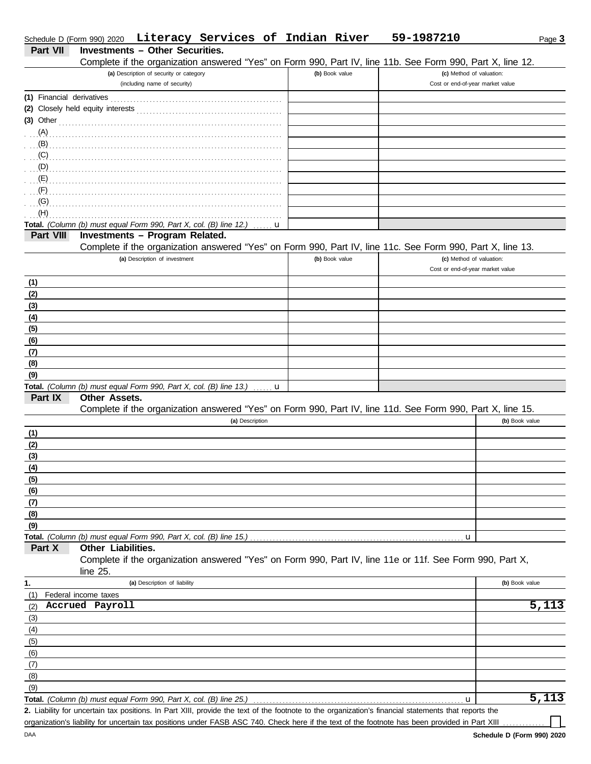|                           | Schedule D (Form 990) 2020 Literacy Services of Indian River                                                                                         |                | 59-1987210                       | Page 3             |
|---------------------------|------------------------------------------------------------------------------------------------------------------------------------------------------|----------------|----------------------------------|--------------------|
| <b>Part VII</b>           | <b>Investments - Other Securities.</b>                                                                                                               |                |                                  |                    |
|                           | Complete if the organization answered "Yes" on Form 990, Part IV, line 11b. See Form 990, Part X, line 12.                                           | (b) Book value | (c) Method of valuation:         |                    |
|                           | (a) Description of security or category<br>(including name of security)                                                                              |                | Cost or end-of-year market value |                    |
| (1) Financial derivatives |                                                                                                                                                      |                |                                  |                    |
|                           |                                                                                                                                                      |                |                                  |                    |
| $(3)$ Other               |                                                                                                                                                      |                |                                  |                    |
| (A)                       |                                                                                                                                                      |                |                                  |                    |
| (B)                       |                                                                                                                                                      |                |                                  |                    |
| (C)                       |                                                                                                                                                      |                |                                  |                    |
| (D)                       |                                                                                                                                                      |                |                                  |                    |
| (E)                       |                                                                                                                                                      |                |                                  |                    |
| (F)                       |                                                                                                                                                      |                |                                  |                    |
| (G)                       |                                                                                                                                                      |                |                                  |                    |
| (H)                       |                                                                                                                                                      |                |                                  |                    |
|                           | Total. (Column (b) must equal Form 990, Part X, col. (B) line 12.)<br>u                                                                              |                |                                  |                    |
| Part VIII                 | Investments - Program Related.                                                                                                                       |                |                                  |                    |
|                           | Complete if the organization answered "Yes" on Form 990, Part IV, line 11c. See Form 990, Part X, line 13.                                           |                |                                  |                    |
|                           | (a) Description of investment                                                                                                                        | (b) Book value | (c) Method of valuation:         |                    |
|                           |                                                                                                                                                      |                | Cost or end-of-year market value |                    |
| (1)                       |                                                                                                                                                      |                |                                  |                    |
| (2)                       |                                                                                                                                                      |                |                                  |                    |
| (3)                       |                                                                                                                                                      |                |                                  |                    |
| (4)                       |                                                                                                                                                      |                |                                  |                    |
| (5)                       |                                                                                                                                                      |                |                                  |                    |
| (6)                       |                                                                                                                                                      |                |                                  |                    |
| (7)                       |                                                                                                                                                      |                |                                  |                    |
| (8)                       |                                                                                                                                                      |                |                                  |                    |
| (9)                       |                                                                                                                                                      |                |                                  |                    |
|                           | Total. (Column (b) must equal Form 990, Part X, col. (B) line 13.)<br>. <b>. u</b>                                                                   |                |                                  |                    |
| Part IX                   | <b>Other Assets.</b>                                                                                                                                 |                |                                  |                    |
|                           | Complete if the organization answered "Yes" on Form 990, Part IV, line 11d. See Form 990, Part X, line 15.                                           |                |                                  |                    |
|                           | (a) Description                                                                                                                                      |                |                                  | (b) Book value     |
| (1)                       |                                                                                                                                                      |                |                                  |                    |
| (2)                       |                                                                                                                                                      |                |                                  |                    |
| (3)                       |                                                                                                                                                      |                |                                  |                    |
| (4)                       |                                                                                                                                                      |                |                                  |                    |
| (5)                       |                                                                                                                                                      |                |                                  |                    |
| (6)                       |                                                                                                                                                      |                |                                  |                    |
| (7)                       |                                                                                                                                                      |                |                                  |                    |
| (8)                       |                                                                                                                                                      |                |                                  |                    |
| (9)                       |                                                                                                                                                      |                |                                  |                    |
|                           | Total. (Column (b) must equal Form 990, Part X, col. (B) line 15.)                                                                                   |                | u                                |                    |
| Part X                    | Other Liabilities.                                                                                                                                   |                |                                  |                    |
|                           | Complete if the organization answered "Yes" on Form 990, Part IV, line 11e or 11f. See Form 990, Part X,                                             |                |                                  |                    |
|                           | line $25$ .                                                                                                                                          |                |                                  |                    |
| 1.                        | (a) Description of liability                                                                                                                         |                |                                  | (b) Book value     |
| (1)                       | Federal income taxes                                                                                                                                 |                |                                  |                    |
| (2)                       | Accrued Payroll                                                                                                                                      |                |                                  | 5,113              |
| (3)                       |                                                                                                                                                      |                |                                  |                    |
| (4)                       |                                                                                                                                                      |                |                                  |                    |
| (5)                       |                                                                                                                                                      |                |                                  |                    |
| (6)                       |                                                                                                                                                      |                |                                  |                    |
| (7)                       |                                                                                                                                                      |                |                                  |                    |
| (8)                       |                                                                                                                                                      |                |                                  |                    |
| (9)                       |                                                                                                                                                      |                |                                  |                    |
|                           | Total. (Column (b) must equal Form 990, Part X, col. (B) line 25.)                                                                                   |                | u                                | $\overline{5,113}$ |
|                           | 2. Liability for uncertain tax positions. In Part XIII, provide the text of the footnote to the organization's financial statements that reports the |                |                                  |                    |
|                           | organization's liability for uncertain tax positions under FASB ASC 740. Check here if the text of the footnote has been provided in Part XIII       |                |                                  |                    |

DAA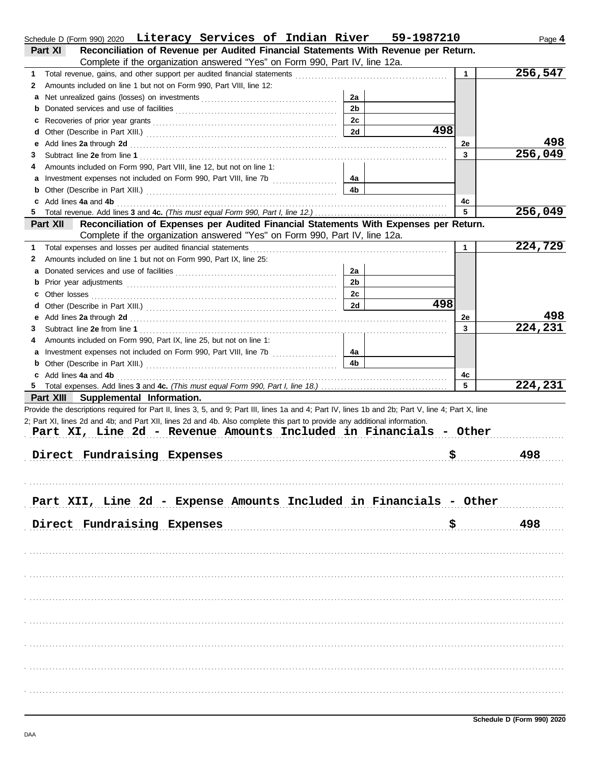|   | Schedule D (Form 990) 2020 Literacy Services of Indian River 59-1987210                                                                                                                                                        |                |     |              | Page 4  |
|---|--------------------------------------------------------------------------------------------------------------------------------------------------------------------------------------------------------------------------------|----------------|-----|--------------|---------|
|   | Reconciliation of Revenue per Audited Financial Statements With Revenue per Return.<br>Part XI                                                                                                                                 |                |     |              |         |
|   | Complete if the organization answered "Yes" on Form 990, Part IV, line 12a.                                                                                                                                                    |                |     |              |         |
| 1 |                                                                                                                                                                                                                                |                |     | $\mathbf{1}$ | 256,547 |
| 2 | Amounts included on line 1 but not on Form 990, Part VIII, line 12:                                                                                                                                                            |                |     |              |         |
|   |                                                                                                                                                                                                                                | 2a             |     |              |         |
| b |                                                                                                                                                                                                                                | 2 <sub>b</sub> |     |              |         |
|   |                                                                                                                                                                                                                                | 2c             |     |              |         |
| d |                                                                                                                                                                                                                                | 2d             | 498 |              |         |
| е | Add lines 2a through 2d [11] Additional Process and Additional Process and Additional Process and Additional Process and Additional Process and Additional Process and Additional Process and Additional Process and Additiona |                |     | 2e           | 498     |
| З |                                                                                                                                                                                                                                |                |     | 3            | 256,049 |
| 4 | Amounts included on Form 990, Part VIII, line 12, but not on line 1:                                                                                                                                                           |                |     |              |         |
|   |                                                                                                                                                                                                                                | 4a             |     |              |         |
| b |                                                                                                                                                                                                                                | 4 <sub>b</sub> |     |              |         |
|   | Add lines 4a and 4b                                                                                                                                                                                                            |                |     | 4с           |         |
|   |                                                                                                                                                                                                                                |                |     | 5            | 256,049 |
|   | Reconciliation of Expenses per Audited Financial Statements With Expenses per Return.<br>Part XII                                                                                                                              |                |     |              |         |
|   | Complete if the organization answered "Yes" on Form 990, Part IV, line 12a.                                                                                                                                                    |                |     |              |         |
| 1 | Total expenses and losses per audited financial statements                                                                                                                                                                     |                |     | $\mathbf{1}$ | 224,729 |
| 2 | Amounts included on line 1 but not on Form 990, Part IX, line 25:                                                                                                                                                              |                |     |              |         |
|   |                                                                                                                                                                                                                                | 2a             |     |              |         |
| b |                                                                                                                                                                                                                                | 2 <sub>b</sub> |     |              |         |
|   |                                                                                                                                                                                                                                | 2c             |     |              |         |
|   |                                                                                                                                                                                                                                | 2d             | 498 |              |         |
| е | Add lines 2a through 2d [11] March 2014 [12] March 2014 [12] March 2014 [12] March 2014 [12] March 2014 [12] March 2015 [12] March 2014 [12] March 2014 [12] March 2014 [12] March 2014 [12] March 2014 [12] March 2014 [12] M |                |     | 2e           | 498     |
| З |                                                                                                                                                                                                                                |                |     | 3            | 224,231 |
| 4 | Amounts included on Form 990, Part IX, line 25, but not on line 1:                                                                                                                                                             |                |     |              |         |
|   | Investment expenses not included on Form 990, Part VIII, line 7b                                                                                                                                                               | 4a             |     |              |         |
| b |                                                                                                                                                                                                                                | 4 <sub>b</sub> |     |              |         |
|   | c Add lines 4a and 4b                                                                                                                                                                                                          |                |     | 4c           |         |
|   |                                                                                                                                                                                                                                |                |     | 5            | 224,231 |
|   | Part XIII Supplemental Information.                                                                                                                                                                                            |                |     |              |         |
|   | Provide the descriptions required for Part II, lines 3, 5, and 9; Part III, lines 1a and 4; Part IV, lines 1b and 2b; Part V, line 4; Part X, line                                                                             |                |     |              |         |
|   | 2; Part XI, lines 2d and 4b; and Part XII, lines 2d and 4b. Also complete this part to provide any additional information.                                                                                                     |                |     |              |         |
|   | Part XI, Line 2d - Revenue Amounts Included in Financials - Other                                                                                                                                                              |                |     |              |         |
|   |                                                                                                                                                                                                                                |                |     |              |         |
|   | Direct Fundraising Expenses                                                                                                                                                                                                    |                | \$  |              | 498     |
|   |                                                                                                                                                                                                                                |                |     |              |         |
|   |                                                                                                                                                                                                                                |                |     |              |         |
|   |                                                                                                                                                                                                                                |                |     |              |         |
|   | Part XII, Line 2d - Expense Amounts Included in Financials - Other                                                                                                                                                             |                |     |              |         |
|   |                                                                                                                                                                                                                                |                |     |              |         |
|   | Direct Fundraising Expenses                                                                                                                                                                                                    |                | \$  |              | 498     |
|   |                                                                                                                                                                                                                                |                |     |              |         |
|   |                                                                                                                                                                                                                                |                |     |              |         |
|   |                                                                                                                                                                                                                                |                |     |              |         |
|   |                                                                                                                                                                                                                                |                |     |              |         |
|   |                                                                                                                                                                                                                                |                |     |              |         |
|   |                                                                                                                                                                                                                                |                |     |              |         |
|   |                                                                                                                                                                                                                                |                |     |              |         |
|   |                                                                                                                                                                                                                                |                |     |              |         |
|   |                                                                                                                                                                                                                                |                |     |              |         |
|   |                                                                                                                                                                                                                                |                |     |              |         |
|   |                                                                                                                                                                                                                                |                |     |              |         |
|   |                                                                                                                                                                                                                                |                |     |              |         |
|   |                                                                                                                                                                                                                                |                |     |              |         |
|   |                                                                                                                                                                                                                                |                |     |              |         |
|   |                                                                                                                                                                                                                                |                |     |              |         |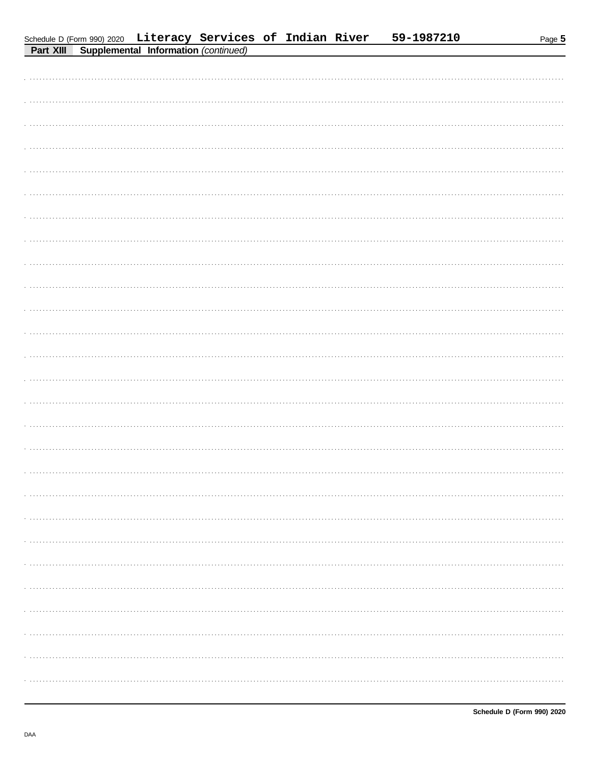| <b>Fait Alli</b> Supplemental Information ( <i>Continued</i> ) |  |
|----------------------------------------------------------------|--|
|                                                                |  |
|                                                                |  |
|                                                                |  |
|                                                                |  |
|                                                                |  |
|                                                                |  |
|                                                                |  |
|                                                                |  |
|                                                                |  |
|                                                                |  |
|                                                                |  |
|                                                                |  |
|                                                                |  |
|                                                                |  |
|                                                                |  |
|                                                                |  |
|                                                                |  |
|                                                                |  |
|                                                                |  |
|                                                                |  |
|                                                                |  |
|                                                                |  |
|                                                                |  |
|                                                                |  |
|                                                                |  |
|                                                                |  |
|                                                                |  |
|                                                                |  |
|                                                                |  |
|                                                                |  |
|                                                                |  |
|                                                                |  |
|                                                                |  |
|                                                                |  |
|                                                                |  |
|                                                                |  |
|                                                                |  |
|                                                                |  |
|                                                                |  |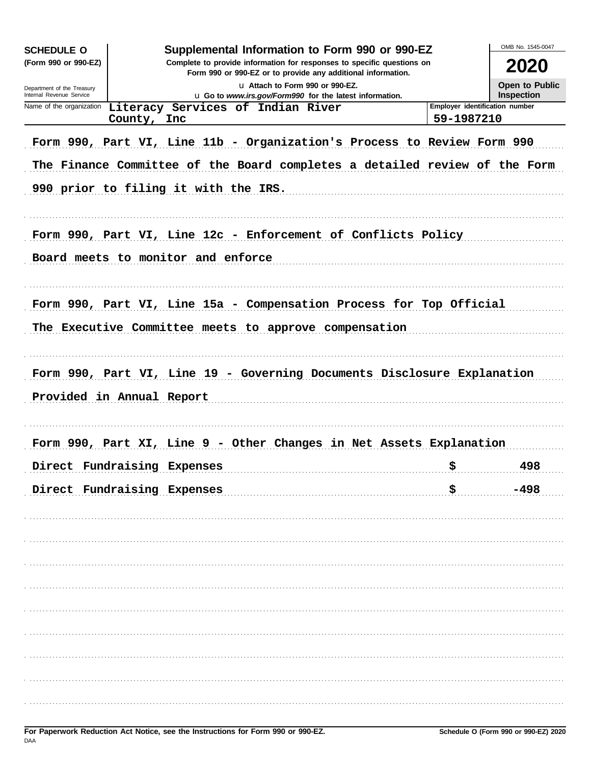| <b>SCHEDULE O</b>                                                                                                                                              | Supplemental Information to Form 990 or 990-EZ |                                   |                                                         |                                  |                                                                            |                                              | OMB No. 1545-0047                   |
|----------------------------------------------------------------------------------------------------------------------------------------------------------------|------------------------------------------------|-----------------------------------|---------------------------------------------------------|----------------------------------|----------------------------------------------------------------------------|----------------------------------------------|-------------------------------------|
| Complete to provide information for responses to specific questions on<br>(Form 990 or 990-EZ)<br>Form 990 or 990-EZ or to provide any additional information. |                                                |                                   |                                                         |                                  |                                                                            |                                              | 2020                                |
| Department of the Treasury<br>Internal Revenue Service                                                                                                         |                                                |                                   | u Go to www.irs.gov/Form990 for the latest information. | La Attach to Form 990 or 990-EZ. |                                                                            |                                              | Open to Public<br><b>Inspection</b> |
| Name of the organization                                                                                                                                       | County, Inc.                                   | Literacy Services of Indian River |                                                         |                                  |                                                                            | Employer identification number<br>59-1987210 |                                     |
|                                                                                                                                                                |                                                |                                   |                                                         |                                  | Form 990, Part VI, Line 11b - Organization's Process to Review Form 990    |                                              |                                     |
| 990 prior to filing it with the IRS.                                                                                                                           |                                                |                                   |                                                         |                                  | The Finance Committee of the Board completes a detailed review of the Form |                                              |                                     |
|                                                                                                                                                                |                                                |                                   |                                                         |                                  | Form 990, Part VI, Line 12c - Enforcement of Conflicts Policy              |                                              |                                     |
| Board meets to monitor and enforce                                                                                                                             |                                                |                                   |                                                         |                                  |                                                                            |                                              |                                     |
|                                                                                                                                                                |                                                |                                   |                                                         |                                  | Form 990, Part VI, Line 15a - Compensation Process for Top Official        |                                              |                                     |
| The Executive Committee meets to approve compensation                                                                                                          |                                                |                                   |                                                         |                                  |                                                                            |                                              |                                     |
|                                                                                                                                                                |                                                |                                   |                                                         |                                  | Form 990, Part VI, Line 19 - Governing Documents Disclosure Explanation    |                                              |                                     |
| Provided in Annual Report                                                                                                                                      |                                                |                                   |                                                         |                                  |                                                                            |                                              |                                     |
|                                                                                                                                                                |                                                |                                   |                                                         |                                  | Form 990, Part XI, Line 9 - Other Changes in Net Assets Explanation        |                                              |                                     |
| Direct Fundraising Expenses                                                                                                                                    |                                                |                                   |                                                         |                                  |                                                                            | \$                                           | 498                                 |
| Direct Fundraising Expenses                                                                                                                                    |                                                |                                   |                                                         |                                  |                                                                            |                                              |                                     |
|                                                                                                                                                                |                                                |                                   |                                                         |                                  |                                                                            |                                              |                                     |
|                                                                                                                                                                |                                                |                                   |                                                         |                                  |                                                                            |                                              |                                     |
|                                                                                                                                                                |                                                |                                   |                                                         |                                  |                                                                            |                                              |                                     |
|                                                                                                                                                                |                                                |                                   |                                                         |                                  |                                                                            |                                              |                                     |
|                                                                                                                                                                |                                                |                                   |                                                         |                                  |                                                                            |                                              |                                     |
|                                                                                                                                                                |                                                |                                   |                                                         |                                  |                                                                            |                                              |                                     |
|                                                                                                                                                                |                                                |                                   |                                                         |                                  |                                                                            |                                              |                                     |
|                                                                                                                                                                |                                                |                                   |                                                         |                                  |                                                                            |                                              |                                     |